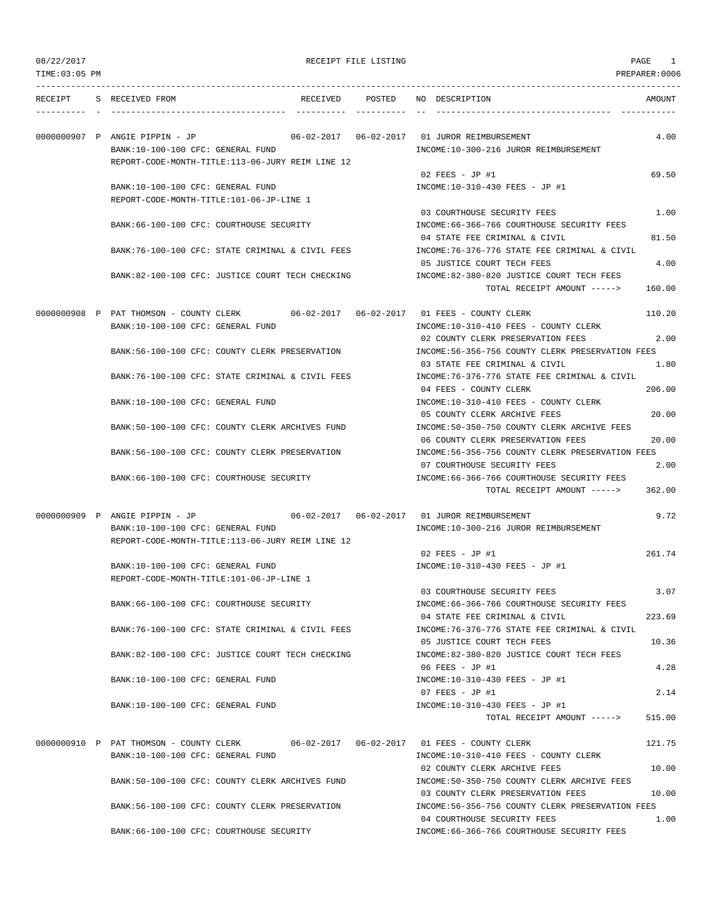# 08/22/2017 PAGE 1

| TIME:03:05 PM |                                                                                       |                 |                                                                                        | PREPARER:0006 |
|---------------|---------------------------------------------------------------------------------------|-----------------|----------------------------------------------------------------------------------------|---------------|
| RECEIPT       | S RECEIVED FROM                                                                       | RECEIVED POSTED | NO DESCRIPTION                                                                         | AMOUNT        |
|               | 0000000907 P ANGIE PIPPIN - JP                                                        |                 |                                                                                        | 4.00          |
|               | BANK:10-100-100 CFC: GENERAL FUND                                                     |                 | INCOME:10-300-216 JUROR REIMBURSEMENT                                                  |               |
|               | REPORT-CODE-MONTH-TITLE:113-06-JURY REIM LINE 12                                      |                 |                                                                                        |               |
|               |                                                                                       |                 | $02$ FEES - JP #1                                                                      | 69.50         |
|               | BANK:10-100-100 CFC: GENERAL FUND                                                     |                 | INCOME:10-310-430 FEES - JP #1                                                         |               |
|               | REPORT-CODE-MONTH-TITLE:101-06-JP-LINE 1                                              |                 |                                                                                        |               |
|               |                                                                                       |                 | 03 COURTHOUSE SECURITY FEES                                                            | 1.00          |
|               | BANK:66-100-100 CFC: COURTHOUSE SECURITY                                              |                 | INCOME: 66-366-766 COURTHOUSE SECURITY FEES                                            |               |
|               | BANK:76-100-100 CFC: STATE CRIMINAL & CIVIL FEES                                      |                 | 04 STATE FEE CRIMINAL & CIVIL<br>INCOME:76-376-776 STATE FEE CRIMINAL & CIVIL          | 81.50         |
|               |                                                                                       |                 | 05 JUSTICE COURT TECH FEES                                                             | 4.00          |
|               | BANK:82-100-100 CFC: JUSTICE COURT TECH CHECKING                                      |                 | INCOME:82-380-820 JUSTICE COURT TECH FEES                                              |               |
|               |                                                                                       |                 | TOTAL RECEIPT AMOUNT ----->                                                            | 160.00        |
|               |                                                                                       |                 |                                                                                        |               |
|               | 0000000908 P PAT THOMSON - COUNTY CLERK                                               |                 |                                                                                        | 110.20        |
|               | BANK:10-100-100 CFC: GENERAL FUND                                                     |                 | INCOME:10-310-410 FEES - COUNTY CLERK                                                  |               |
|               |                                                                                       |                 | 02 COUNTY CLERK PRESERVATION FEES                                                      | 2.00          |
|               | BANK:56-100-100 CFC: COUNTY CLERK PRESERVATION                                        |                 | INCOME:56-356-756 COUNTY CLERK PRESERVATION FEES                                       |               |
|               |                                                                                       |                 | 03 STATE FEE CRIMINAL & CIVIL                                                          | 1.80          |
|               | BANK:76-100-100 CFC: STATE CRIMINAL & CIVIL FEES                                      |                 | INCOME:76-376-776 STATE FEE CRIMINAL & CIVIL                                           |               |
|               | BANK:10-100-100 CFC: GENERAL FUND                                                     |                 | 04 FEES - COUNTY CLERK<br>INCOME:10-310-410 FEES - COUNTY CLERK                        | 206.00        |
|               |                                                                                       |                 | 05 COUNTY CLERK ARCHIVE FEES                                                           | 20.00         |
|               | BANK:50-100-100 CFC: COUNTY CLERK ARCHIVES FUND                                       |                 | INCOME:50-350-750 COUNTY CLERK ARCHIVE FEES                                            |               |
|               |                                                                                       |                 | 06 COUNTY CLERK PRESERVATION FEES                                                      | 20.00         |
|               | BANK:56-100-100 CFC: COUNTY CLERK PRESERVATION                                        |                 | INCOME:56-356-756 COUNTY CLERK PRESERVATION FEES                                       |               |
|               |                                                                                       |                 | 07 COURTHOUSE SECURITY FEES                                                            | 2.00          |
|               | BANK:66-100-100 CFC: COURTHOUSE SECURITY                                              |                 | INCOME: 66-366-766 COURTHOUSE SECURITY FEES                                            |               |
|               |                                                                                       |                 | TOTAL RECEIPT AMOUNT ----->                                                            | 362.00        |
|               |                                                                                       |                 |                                                                                        |               |
|               | 0000000909 P ANGIE PIPPIN - JP                                                        |                 | INCOME:10-300-216 JUROR REIMBURSEMENT                                                  | 9.72          |
|               | BANK:10-100-100 CFC: GENERAL FUND<br>REPORT-CODE-MONTH-TITLE:113-06-JURY REIM LINE 12 |                 |                                                                                        |               |
|               |                                                                                       |                 | $02$ FEES - JP #1                                                                      | 261.74        |
|               | BANK:10-100-100 CFC: GENERAL FUND                                                     |                 | INCOME:10-310-430 FEES - JP #1                                                         |               |
|               | REPORT-CODE-MONTH-TITLE:101-06-JP-LINE 1                                              |                 |                                                                                        |               |
|               |                                                                                       |                 | 03 COURTHOUSE SECURITY FEES                                                            | 3.07          |
|               | BANK:66-100-100 CFC: COURTHOUSE SECURITY                                              |                 | INCOME:66-366-766 COURTHOUSE SECURITY FEES                                             |               |
|               |                                                                                       |                 | 04 STATE FEE CRIMINAL & CIVIL                                                          | 223.69        |
|               | BANK:76-100-100 CFC: STATE CRIMINAL & CIVIL FEES                                      |                 | INCOME: 76-376-776 STATE FEE CRIMINAL & CIVIL                                          |               |
|               |                                                                                       |                 | 05 JUSTICE COURT TECH FEES                                                             | 10.36         |
|               | BANK:82-100-100 CFC: JUSTICE COURT TECH CHECKING                                      |                 | INCOME:82-380-820 JUSTICE COURT TECH FEES                                              |               |
|               | BANK:10-100-100 CFC: GENERAL FUND                                                     |                 | 06 FEES - JP #1<br>INCOME:10-310-430 FEES - JP #1                                      | 4.28          |
|               |                                                                                       |                 | 07 FEES - JP #1                                                                        | 2.14          |
|               | BANK:10-100-100 CFC: GENERAL FUND                                                     |                 | INCOME:10-310-430 FEES - JP #1                                                         |               |
|               |                                                                                       |                 | TOTAL RECEIPT AMOUNT ----->                                                            | 515.00        |
|               |                                                                                       |                 |                                                                                        |               |
|               | 0000000910 P PAT THOMSON - COUNTY CLERK                                               |                 |                                                                                        | 121.75        |
|               | BANK:10-100-100 CFC: GENERAL FUND                                                     |                 | INCOME:10-310-410 FEES - COUNTY CLERK                                                  |               |
|               |                                                                                       |                 | 02 COUNTY CLERK ARCHIVE FEES                                                           | 10.00         |
|               | BANK:50-100-100 CFC: COUNTY CLERK ARCHIVES FUND                                       |                 | INCOME: 50-350-750 COUNTY CLERK ARCHIVE FEES                                           |               |
|               | BANK:56-100-100 CFC: COUNTY CLERK PRESERVATION                                        |                 | 03 COUNTY CLERK PRESERVATION FEES<br>INCOME: 56-356-756 COUNTY CLERK PRESERVATION FEES | 10.00         |
|               |                                                                                       |                 | 04 COURTHOUSE SECURITY FEES                                                            | 1.00          |
|               | BANK:66-100-100 CFC: COURTHOUSE SECURITY                                              |                 | INCOME:66-366-766 COURTHOUSE SECURITY FEES                                             |               |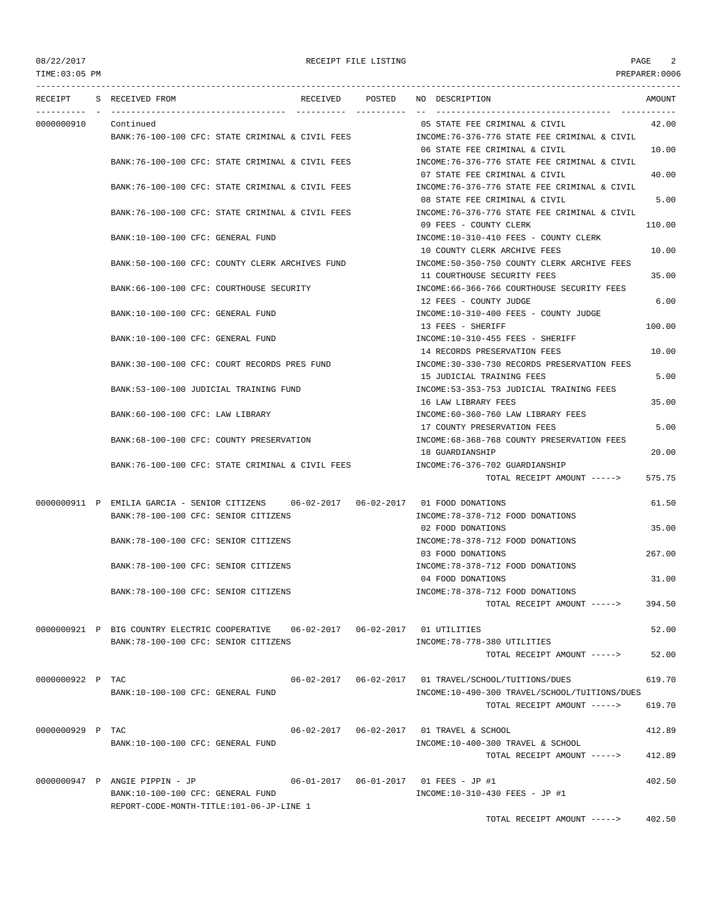TIME:03:05 PM PREPARER:0006

|                  | RECEIPT S RECEIVED FROM                                                              | RECEIVED POSTED | NO DESCRIPTION                                                                | AMOUNT |
|------------------|--------------------------------------------------------------------------------------|-----------------|-------------------------------------------------------------------------------|--------|
|                  |                                                                                      |                 |                                                                               |        |
| 0000000910       | Continued                                                                            |                 | 05 STATE FEE CRIMINAL & CIVIL                                                 | 42.00  |
|                  | BANK:76-100-100 CFC: STATE CRIMINAL & CIVIL FEES                                     |                 | INCOME:76-376-776 STATE FEE CRIMINAL & CIVIL                                  |        |
|                  | BANK:76-100-100 CFC: STATE CRIMINAL & CIVIL FEES                                     |                 | 06 STATE FEE CRIMINAL & CIVIL<br>INCOME:76-376-776 STATE FEE CRIMINAL & CIVIL | 10.00  |
|                  |                                                                                      |                 | 07 STATE FEE CRIMINAL & CIVIL                                                 | 40.00  |
|                  | BANK:76-100-100 CFC: STATE CRIMINAL & CIVIL FEES                                     |                 | INCOME: 76-376-776 STATE FEE CRIMINAL & CIVIL                                 |        |
|                  |                                                                                      |                 | 08 STATE FEE CRIMINAL & CIVIL                                                 | 5.00   |
|                  | BANK:76-100-100 CFC: STATE CRIMINAL & CIVIL FEES                                     |                 | INCOME:76-376-776 STATE FEE CRIMINAL & CIVIL                                  |        |
|                  |                                                                                      |                 | 09 FEES - COUNTY CLERK                                                        | 110.00 |
|                  | BANK:10-100-100 CFC: GENERAL FUND                                                    |                 | INCOME:10-310-410 FEES - COUNTY CLERK<br>10 COUNTY CLERK ARCHIVE FEES         | 10.00  |
|                  | BANK:50-100-100 CFC: COUNTY CLERK ARCHIVES FUND                                      |                 | INCOME:50-350-750 COUNTY CLERK ARCHIVE FEES                                   |        |
|                  |                                                                                      |                 | 11 COURTHOUSE SECURITY FEES                                                   | 35.00  |
|                  | BANK:66-100-100 CFC: COURTHOUSE SECURITY                                             |                 | INCOME: 66-366-766 COURTHOUSE SECURITY FEES                                   |        |
|                  |                                                                                      |                 | 12 FEES - COUNTY JUDGE                                                        | 6.00   |
|                  | BANK:10-100-100 CFC: GENERAL FUND                                                    |                 | INCOME:10-310-400 FEES - COUNTY JUDGE                                         |        |
|                  |                                                                                      |                 | 13 FEES - SHERIFF<br>INCOME:10-310-455 FEES - SHERIFF                         | 100.00 |
|                  | BANK:10-100-100 CFC: GENERAL FUND                                                    |                 | 14 RECORDS PRESERVATION FEES                                                  | 10.00  |
|                  | BANK:30-100-100 CFC: COURT RECORDS PRES FUND                                         |                 | INCOME:30-330-730 RECORDS PRESERVATION FEES                                   |        |
|                  |                                                                                      |                 | 15 JUDICIAL TRAINING FEES                                                     | 5.00   |
|                  | BANK: 53-100-100 JUDICIAL TRAINING FUND                                              |                 | INCOME: 53-353-753 JUDICIAL TRAINING FEES                                     |        |
|                  |                                                                                      |                 | 16 LAW LIBRARY FEES                                                           | 35.00  |
|                  | BANK:60-100-100 CFC: LAW LIBRARY                                                     |                 | INCOME:60-360-760 LAW LIBRARY FEES                                            |        |
|                  | BANK:68-100-100 CFC: COUNTY PRESERVATION                                             |                 | 17 COUNTY PRESERVATION FEES<br>INCOME: 68-368-768 COUNTY PRESERVATION FEES    | 5.00   |
|                  |                                                                                      |                 | 18 GUARDIANSHIP                                                               | 20.00  |
|                  | BANK:76-100-100 CFC: STATE CRIMINAL & CIVIL FEES                                     |                 | INCOME: 76-376-702 GUARDIANSHIP                                               |        |
|                  |                                                                                      |                 | TOTAL RECEIPT AMOUNT ----->                                                   | 575.75 |
|                  | 0000000911 P EMILIA GARCIA - SENIOR CITIZENS 06-02-2017 06-02-2017 01 FOOD DONATIONS |                 |                                                                               | 61.50  |
|                  | BANK:78-100-100 CFC: SENIOR CITIZENS                                                 |                 | INCOME: 78-378-712 FOOD DONATIONS                                             |        |
|                  |                                                                                      |                 | 02 FOOD DONATIONS                                                             | 35.00  |
|                  | BANK:78-100-100 CFC: SENIOR CITIZENS                                                 |                 | INCOME: 78-378-712 FOOD DONATIONS                                             |        |
|                  |                                                                                      |                 | 03 FOOD DONATIONS                                                             | 267.00 |
|                  | BANK: 78-100-100 CFC: SENIOR CITIZENS                                                |                 | INCOME: 78-378-712 FOOD DONATIONS<br>04 FOOD DONATIONS                        | 31.00  |
|                  | BANK: 78-100-100 CFC: SENIOR CITIZENS                                                |                 | INCOME: 78-378-712 FOOD DONATIONS                                             |        |
|                  |                                                                                      |                 | TOTAL RECEIPT AMOUNT ----->                                                   | 394.50 |
|                  |                                                                                      |                 |                                                                               |        |
|                  | 0000000921 P BIG COUNTRY ELECTRIC COOPERATIVE  06-02-2017  06-02-2017  01 UTILITIES  |                 |                                                                               | 52.00  |
|                  | BANK: 78-100-100 CFC: SENIOR CITIZENS                                                |                 | INCOME: 78-778-380 UTILITIES                                                  |        |
|                  |                                                                                      |                 | TOTAL RECEIPT AMOUNT ----->                                                   | 52.00  |
| 0000000922 P TAC |                                                                                      |                 | 06-02-2017  06-02-2017  01 TRAVEL/SCHOOL/TUITIONS/DUES                        | 619.70 |
|                  | BANK:10-100-100 CFC: GENERAL FUND                                                    |                 | INCOME:10-490-300 TRAVEL/SCHOOL/TUITIONS/DUES                                 |        |
|                  |                                                                                      |                 | TOTAL RECEIPT AMOUNT ----->                                                   | 619.70 |
|                  |                                                                                      |                 |                                                                               |        |
| 0000000929 P TAC |                                                                                      |                 | 06-02-2017  06-02-2017  01 TRAVEL & SCHOOL                                    | 412.89 |
|                  | BANK:10-100-100 CFC: GENERAL FUND                                                    |                 | INCOME:10-400-300 TRAVEL & SCHOOL<br>TOTAL RECEIPT AMOUNT ----->              | 412.89 |
|                  |                                                                                      |                 |                                                                               |        |
|                  | 0000000947 P ANGIE PIPPIN - JP                                                       |                 |                                                                               | 402.50 |
|                  | BANK:10-100-100 CFC: GENERAL FUND                                                    |                 | INCOME:10-310-430 FEES - JP #1                                                |        |
|                  | REPORT-CODE-MONTH-TITLE:101-06-JP-LINE 1                                             |                 |                                                                               |        |
|                  |                                                                                      |                 | TOTAL RECEIPT AMOUNT ----->                                                   | 402.50 |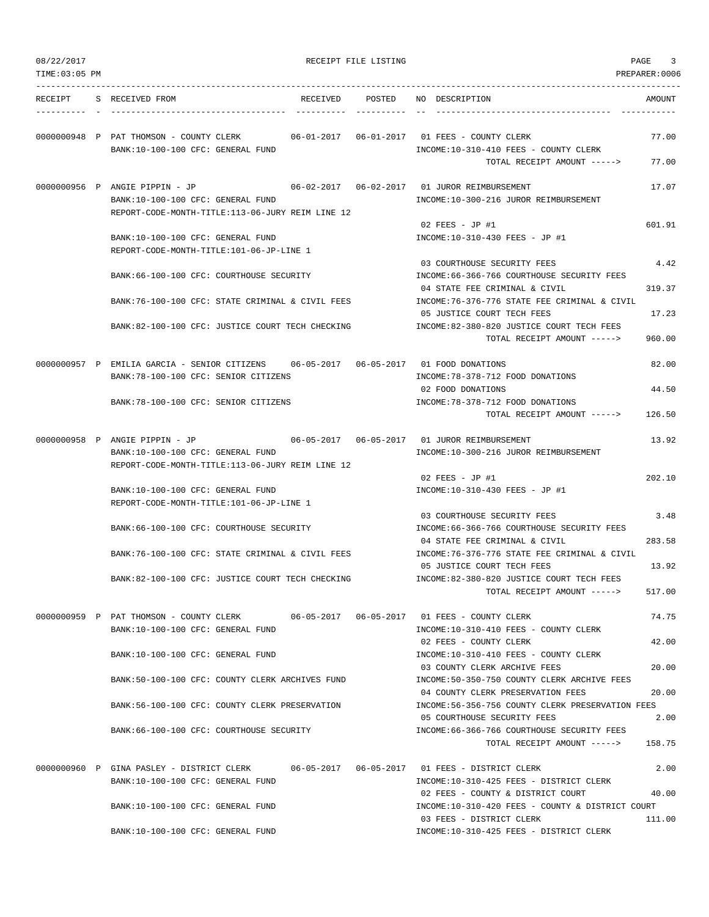| 08/22/2017     |                                                                                       | RECEIPT FILE LISTING |                                                                                                           | PAGE<br>3      |
|----------------|---------------------------------------------------------------------------------------|----------------------|-----------------------------------------------------------------------------------------------------------|----------------|
| TIME: 03:05 PM |                                                                                       |                      |                                                                                                           | PREPARER:0006  |
| RECEIPT        | S RECEIVED FROM                                                                       | RECEIVED POSTED      | NO DESCRIPTION                                                                                            | AMOUNT         |
|                | 0000000948 P PAT THOMSON - COUNTY CLERK                                               |                      |                                                                                                           | 77.00          |
|                | BANK:10-100-100 CFC: GENERAL FUND                                                     |                      | INCOME:10-310-410 FEES - COUNTY CLERK<br>TOTAL RECEIPT AMOUNT ----->                                      | 77.00          |
|                | 0000000956 P ANGIE PIPPIN - JP<br>BANK:10-100-100 CFC: GENERAL FUND                   |                      | INCOME:10-300-216 JUROR REIMBURSEMENT                                                                     | 17.07          |
|                | REPORT-CODE-MONTH-TITLE:113-06-JURY REIM LINE 12                                      |                      | $02$ FEES - JP #1                                                                                         | 601.91         |
|                | BANK:10-100-100 CFC: GENERAL FUND<br>REPORT-CODE-MONTH-TITLE:101-06-JP-LINE 1         |                      | INCOME:10-310-430 FEES - JP #1                                                                            |                |
|                | BANK:66-100-100 CFC: COURTHOUSE SECURITY                                              |                      | 03 COURTHOUSE SECURITY FEES<br>INCOME:66-366-766 COURTHOUSE SECURITY FEES                                 | 4.42           |
|                | BANK:76-100-100 CFC: STATE CRIMINAL & CIVIL FEES                                      |                      | 04 STATE FEE CRIMINAL & CIVIL<br>INCOME:76-376-776 STATE FEE CRIMINAL & CIVIL                             | 319.37         |
|                | BANK:82-100-100 CFC: JUSTICE COURT TECH CHECKING                                      |                      | 05 JUSTICE COURT TECH FEES<br>INCOME:82-380-820 JUSTICE COURT TECH FEES                                   | 17.23          |
|                |                                                                                       |                      | TOTAL RECEIPT AMOUNT ----->                                                                               | 960.00         |
|                | 0000000957 P EMILIA GARCIA - SENIOR CITIZENS<br>BANK: 78-100-100 CFC: SENIOR CITIZENS |                      | INCOME: 78-378-712 FOOD DONATIONS                                                                         | 82.00          |
|                | BANK: 78-100-100 CFC: SENIOR CITIZENS                                                 |                      | 02 FOOD DONATIONS<br>INCOME: 78-378-712 FOOD DONATIONS                                                    | 44.50          |
|                |                                                                                       |                      | TOTAL RECEIPT AMOUNT ----->                                                                               | 126.50         |
|                | 0000000958 P ANGIE PIPPIN - JP<br>BANK:10-100-100 CFC: GENERAL FUND                   |                      | INCOME:10-300-216 JUROR REIMBURSEMENT                                                                     | 13.92          |
|                | REPORT-CODE-MONTH-TITLE:113-06-JURY REIM LINE 12                                      |                      | 02 FEES - JP #1                                                                                           | 202.10         |
|                | BANK:10-100-100 CFC: GENERAL FUND<br>REPORT-CODE-MONTH-TITLE:101-06-JP-LINE 1         |                      | INCOME:10-310-430 FEES - JP #1                                                                            |                |
|                | BANK:66-100-100 CFC: COURTHOUSE SECURITY                                              |                      | 03 COURTHOUSE SECURITY FEES<br>INCOME: 66-366-766 COURTHOUSE SECURITY FEES                                | 3.48           |
|                | BANK:76-100-100 CFC: STATE CRIMINAL & CIVIL FEES                                      |                      | 04 STATE FEE CRIMINAL & CIVIL<br>INCOME: 76-376-776 STATE FEE CRIMINAL & CIVIL                            | 283.58         |
|                | BANK:82-100-100 CFC: JUSTICE COURT TECH CHECKING                                      |                      | 05 JUSTICE COURT TECH FEES<br>INCOME:82-380-820 JUSTICE COURT TECH FEES                                   | 13.92          |
|                |                                                                                       |                      | TOTAL RECEIPT AMOUNT ----->                                                                               | 517.00         |
|                | 0000000959 P PAT THOMSON - COUNTY CLERK<br>BANK:10-100-100 CFC: GENERAL FUND          |                      | INCOME:10-310-410 FEES - COUNTY CLERK                                                                     | 74.75          |
|                | BANK:10-100-100 CFC: GENERAL FUND                                                     |                      | 02 FEES - COUNTY CLERK<br>INCOME:10-310-410 FEES - COUNTY CLERK                                           | 42.00          |
|                | BANK:50-100-100 CFC: COUNTY CLERK ARCHIVES FUND                                       |                      | 03 COUNTY CLERK ARCHIVE FEES<br>INCOME: 50-350-750 COUNTY CLERK ARCHIVE FEES                              | 20.00          |
|                | BANK:56-100-100 CFC: COUNTY CLERK PRESERVATION                                        |                      | 04 COUNTY CLERK PRESERVATION FEES<br>INCOME: 56-356-756 COUNTY CLERK PRESERVATION FEES                    | 20.00          |
|                | BANK:66-100-100 CFC: COURTHOUSE SECURITY                                              |                      | 05 COURTHOUSE SECURITY FEES<br>INCOME: 66-366-766 COURTHOUSE SECURITY FEES<br>TOTAL RECEIPT AMOUNT -----> | 2.00<br>158.75 |
|                |                                                                                       |                      |                                                                                                           |                |
|                | 0000000960 P GINA PASLEY - DISTRICT CLERK<br>BANK:10-100-100 CFC: GENERAL FUND        |                      | INCOME:10-310-425 FEES - DISTRICT CLERK                                                                   | 2.00           |
|                | BANK:10-100-100 CFC: GENERAL FUND                                                     |                      | 02 FEES - COUNTY & DISTRICT COURT<br>INCOME:10-310-420 FEES - COUNTY & DISTRICT COURT                     | 40.00          |
|                | BANK:10-100-100 CFC: GENERAL FUND                                                     |                      | 03 FEES - DISTRICT CLERK<br>INCOME:10-310-425 FEES - DISTRICT CLERK                                       | 111.00         |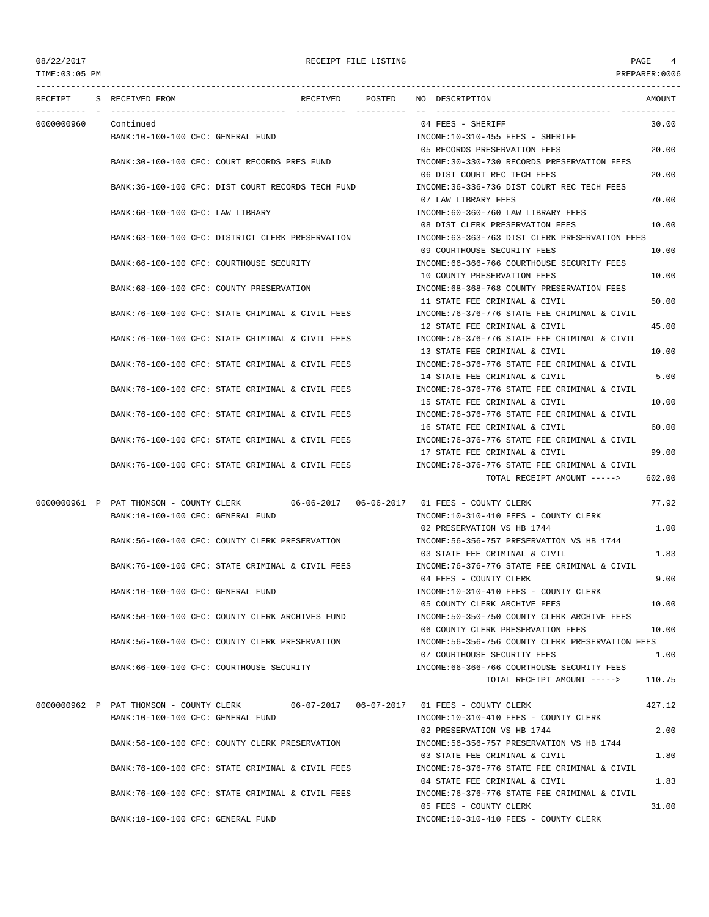| TIME: 03:05 PM |                                                   |          |             |                                                                                      | PREPARER:0006 |
|----------------|---------------------------------------------------|----------|-------------|--------------------------------------------------------------------------------------|---------------|
| RECEIPT        | S RECEIVED FROM                                   | RECEIVED | POSTED      | NO DESCRIPTION                                                                       | AMOUNT        |
| 0000000960     | Continued                                         |          | ----------- | 04 FEES - SHERIFF                                                                    | 30.00         |
|                | BANK:10-100-100 CFC: GENERAL FUND                 |          |             | INCOME:10-310-455 FEES - SHERIFF                                                     |               |
|                |                                                   |          |             | 05 RECORDS PRESERVATION FEES                                                         | 20.00         |
|                | BANK:30-100-100 CFC: COURT RECORDS PRES FUND      |          |             | INCOME:30-330-730 RECORDS PRESERVATION FEES                                          |               |
|                |                                                   |          |             | 06 DIST COURT REC TECH FEES                                                          | 20.00         |
|                | BANK:36-100-100 CFC: DIST COURT RECORDS TECH FUND |          |             | INCOME: 36-336-736 DIST COURT REC TECH FEES                                          |               |
|                |                                                   |          |             | 07 LAW LIBRARY FEES                                                                  | 70.00         |
|                | BANK:60-100-100 CFC: LAW LIBRARY                  |          |             | INCOME:60-360-760 LAW LIBRARY FEES                                                   |               |
|                |                                                   |          |             | 08 DIST CLERK PRESERVATION FEES                                                      | 10.00         |
|                | BANK:63-100-100 CFC: DISTRICT CLERK PRESERVATION  |          |             | INCOME:63-363-763 DIST CLERK PRESERVATION FEES                                       |               |
|                |                                                   |          |             | 09 COURTHOUSE SECURITY FEES                                                          | 10.00         |
|                | BANK:66-100-100 CFC: COURTHOUSE SECURITY          |          |             | INCOME:66-366-766 COURTHOUSE SECURITY FEES                                           |               |
|                |                                                   |          |             | 10 COUNTY PRESERVATION FEES                                                          | 10.00         |
|                | BANK:68-100-100 CFC: COUNTY PRESERVATION          |          |             | INCOME: 68-368-768 COUNTY PRESERVATION FEES                                          |               |
|                |                                                   |          |             | 11 STATE FEE CRIMINAL & CIVIL                                                        | 50.00         |
|                | BANK:76-100-100 CFC: STATE CRIMINAL & CIVIL FEES  |          |             | INCOME: 76-376-776 STATE FEE CRIMINAL & CIVIL                                        |               |
|                |                                                   |          |             | 12 STATE FEE CRIMINAL & CIVIL                                                        | 45.00         |
|                | BANK:76-100-100 CFC: STATE CRIMINAL & CIVIL FEES  |          |             | INCOME:76-376-776 STATE FEE CRIMINAL & CIVIL                                         |               |
|                |                                                   |          |             | 13 STATE FEE CRIMINAL & CIVIL                                                        | 10.00         |
|                | BANK:76-100-100 CFC: STATE CRIMINAL & CIVIL FEES  |          |             | INCOME:76-376-776 STATE FEE CRIMINAL & CIVIL                                         |               |
|                |                                                   |          |             | 14 STATE FEE CRIMINAL & CIVIL                                                        | 5.00          |
|                | BANK:76-100-100 CFC: STATE CRIMINAL & CIVIL FEES  |          |             | INCOME: 76-376-776 STATE FEE CRIMINAL & CIVIL                                        |               |
|                |                                                   |          |             | 15 STATE FEE CRIMINAL & CIVIL                                                        | 10.00         |
|                | BANK:76-100-100 CFC: STATE CRIMINAL & CIVIL FEES  |          |             | INCOME:76-376-776 STATE FEE CRIMINAL & CIVIL                                         |               |
|                |                                                   |          |             | 16 STATE FEE CRIMINAL & CIVIL                                                        | 60.00         |
|                | BANK:76-100-100 CFC: STATE CRIMINAL & CIVIL FEES  |          |             | INCOME: 76-376-776 STATE FEE CRIMINAL & CIVIL                                        |               |
|                |                                                   |          |             | 17 STATE FEE CRIMINAL & CIVIL                                                        | 99.00         |
|                | BANK:76-100-100 CFC: STATE CRIMINAL & CIVIL FEES  |          |             | INCOME:76-376-776 STATE FEE CRIMINAL & CIVIL                                         |               |
|                |                                                   |          |             | TOTAL RECEIPT AMOUNT ----->                                                          | 602.00        |
|                |                                                   |          |             |                                                                                      |               |
|                |                                                   |          |             | 0000000961 P PAT THOMSON - COUNTY CLERK 06-06-2017 06-06-2017 01 FEES - COUNTY CLERK | 77.92         |
|                | BANK:10-100-100 CFC: GENERAL FUND                 |          |             | INCOME:10-310-410 FEES - COUNTY CLERK                                                |               |
|                |                                                   |          |             | 02 PRESERVATION VS HB 1744                                                           | 1.00          |
|                | BANK:56-100-100 CFC: COUNTY CLERK PRESERVATION    |          |             | INCOME: 56-356-757 PRESERVATION VS HB 1744                                           |               |
|                |                                                   |          |             | 03 STATE FEE CRIMINAL & CIVIL                                                        | 1.83          |
|                | BANK:76-100-100 CFC: STATE CRIMINAL & CIVIL FEES  |          |             | INCOME: 76-376-776 STATE FEE CRIMINAL & CIVIL                                        |               |
|                |                                                   |          |             | 04 FEES - COUNTY CLERK                                                               | 9.00          |
|                | BANK:10-100-100 CFC: GENERAL FUND                 |          |             | INCOME:10-310-410 FEES - COUNTY CLERK                                                |               |
|                |                                                   |          |             | 05 COUNTY CLERK ARCHIVE FEES                                                         | 10.00         |
|                | BANK:50-100-100 CFC: COUNTY CLERK ARCHIVES FUND   |          |             | INCOME:50-350-750 COUNTY CLERK ARCHIVE FEES                                          |               |
|                |                                                   |          |             | 06 COUNTY CLERK PRESERVATION FEES                                                    | 10.00         |
|                | BANK:56-100-100 CFC: COUNTY CLERK PRESERVATION    |          |             | INCOME: 56-356-756 COUNTY CLERK PRESERVATION FEES                                    |               |
|                |                                                   |          |             | 07 COURTHOUSE SECURITY FEES                                                          | 1.00          |
|                | BANK:66-100-100 CFC: COURTHOUSE SECURITY          |          |             | INCOME: 66-366-766 COURTHOUSE SECURITY FEES                                          |               |
|                |                                                   |          |             | TOTAL RECEIPT AMOUNT ----->                                                          | 110.75        |
|                |                                                   |          |             | 0000000962 P PAT THOMSON - COUNTY CLERK 06-07-2017 06-07-2017 01 FEES - COUNTY CLERK | 427.12        |
|                | BANK:10-100-100 CFC: GENERAL FUND                 |          |             | INCOME:10-310-410 FEES - COUNTY CLERK                                                |               |
|                |                                                   |          |             | 02 PRESERVATION VS HB 1744                                                           | 2.00          |
|                | BANK:56-100-100 CFC: COUNTY CLERK PRESERVATION    |          |             | INCOME: 56-356-757 PRESERVATION VS HB 1744                                           |               |
|                |                                                   |          |             | 03 STATE FEE CRIMINAL & CIVIL                                                        | 1.80          |
|                | BANK:76-100-100 CFC: STATE CRIMINAL & CIVIL FEES  |          |             | INCOME: 76-376-776 STATE FEE CRIMINAL & CIVIL                                        |               |
|                |                                                   |          |             | 04 STATE FEE CRIMINAL & CIVIL                                                        | 1.83          |
|                | BANK:76-100-100 CFC: STATE CRIMINAL & CIVIL FEES  |          |             | INCOME:76-376-776 STATE FEE CRIMINAL & CIVIL                                         |               |
|                |                                                   |          |             |                                                                                      |               |

BANK:10-100-100 CFC: GENERAL FUND INCOME:10-310-410 FEES - COUNTY CLERK

05 FEES - COUNTY CLERK 31.00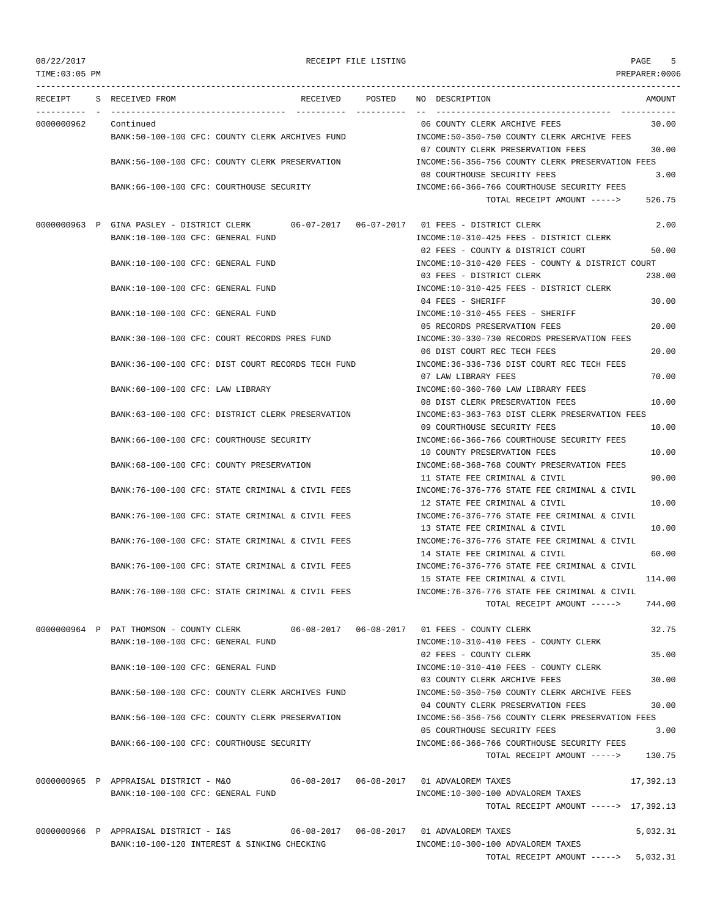| TIME:03:05 PM |                                                                                          | PREPARER:0006                                                                                   |
|---------------|------------------------------------------------------------------------------------------|-------------------------------------------------------------------------------------------------|
| RECEIPT       | POSTED<br>S RECEIVED FROM<br>RECEIVED                                                    | NO DESCRIPTION<br>AMOUNT                                                                        |
| 0000000962    | Continued                                                                                | 06 COUNTY CLERK ARCHIVE FEES<br>30.00                                                           |
|               | BANK:50-100-100 CFC: COUNTY CLERK ARCHIVES FUND                                          | INCOME:50-350-750 COUNTY CLERK ARCHIVE FEES                                                     |
|               |                                                                                          | 07 COUNTY CLERK PRESERVATION FEES<br>30.00                                                      |
|               | BANK:56-100-100 CFC: COUNTY CLERK PRESERVATION                                           | INCOME:56-356-756 COUNTY CLERK PRESERVATION FEES                                                |
|               |                                                                                          | 08 COURTHOUSE SECURITY FEES<br>3.00                                                             |
|               | BANK:66-100-100 CFC: COURTHOUSE SECURITY                                                 | INCOME: 66-366-766 COURTHOUSE SECURITY FEES<br>526.75                                           |
|               |                                                                                          | TOTAL RECEIPT AMOUNT ----->                                                                     |
|               | 0000000963 P GINA PASLEY - DISTRICT CLERK 06-07-2017 06-07-2017 01 FEES - DISTRICT CLERK | 2.00                                                                                            |
|               | BANK:10-100-100 CFC: GENERAL FUND                                                        | INCOME:10-310-425 FEES - DISTRICT CLERK                                                         |
|               |                                                                                          | 02 FEES - COUNTY & DISTRICT COURT<br>50.00                                                      |
|               | BANK:10-100-100 CFC: GENERAL FUND                                                        | INCOME:10-310-420 FEES - COUNTY & DISTRICT COURT                                                |
|               |                                                                                          | 238.00<br>03 FEES - DISTRICT CLERK                                                              |
|               | BANK:10-100-100 CFC: GENERAL FUND                                                        | INCOME:10-310-425 FEES - DISTRICT CLERK<br>04 FEES - SHERIFF<br>30.00                           |
|               | BANK:10-100-100 CFC: GENERAL FUND                                                        | INCOME:10-310-455 FEES - SHERIFF                                                                |
|               |                                                                                          | 20.00<br>05 RECORDS PRESERVATION FEES                                                           |
|               | BANK:30-100-100 CFC: COURT RECORDS PRES FUND                                             | INCOME:30-330-730 RECORDS PRESERVATION FEES                                                     |
|               |                                                                                          | 06 DIST COURT REC TECH FEES<br>20.00                                                            |
|               | BANK:36-100-100 CFC: DIST COURT RECORDS TECH FUND                                        | INCOME: 36-336-736 DIST COURT REC TECH FEES                                                     |
|               |                                                                                          | 70.00<br>07 LAW LIBRARY FEES                                                                    |
|               | BANK:60-100-100 CFC: LAW LIBRARY                                                         | INCOME:60-360-760 LAW LIBRARY FEES<br>10.00                                                     |
|               | BANK:63-100-100 CFC: DISTRICT CLERK PRESERVATION                                         | 08 DIST CLERK PRESERVATION FEES<br>INCOME:63-363-763 DIST CLERK PRESERVATION FEES               |
|               |                                                                                          | 09 COURTHOUSE SECURITY FEES<br>10.00                                                            |
|               | BANK:66-100-100 CFC: COURTHOUSE SECURITY                                                 | INCOME: 66-366-766 COURTHOUSE SECURITY FEES                                                     |
|               |                                                                                          | 10 COUNTY PRESERVATION FEES<br>10.00                                                            |
|               | BANK:68-100-100 CFC: COUNTY PRESERVATION                                                 | INCOME: 68-368-768 COUNTY PRESERVATION FEES                                                     |
|               |                                                                                          | 90.00<br>11 STATE FEE CRIMINAL & CIVIL                                                          |
|               | BANK:76-100-100 CFC: STATE CRIMINAL & CIVIL FEES                                         | INCOME:76-376-776 STATE FEE CRIMINAL & CIVIL                                                    |
|               | BANK:76-100-100 CFC: STATE CRIMINAL & CIVIL FEES                                         | 12 STATE FEE CRIMINAL & CIVIL<br>10.00<br>INCOME: 76-376-776 STATE FEE CRIMINAL & CIVIL         |
|               |                                                                                          | 10.00<br>13 STATE FEE CRIMINAL & CIVIL                                                          |
|               | BANK:76-100-100 CFC: STATE CRIMINAL & CIVIL FEES                                         | INCOME: 76-376-776 STATE FEE CRIMINAL & CIVIL                                                   |
|               |                                                                                          | 60.00<br>14 STATE FEE CRIMINAL & CIVIL                                                          |
|               | BANK:76-100-100 CFC: STATE CRIMINAL & CIVIL FEES                                         | INCOME:76-376-776 STATE FEE CRIMINAL & CIVIL                                                    |
|               |                                                                                          | 114.00<br>15 STATE FEE CRIMINAL & CIVIL                                                         |
|               | BANK: 76-100-100 CFC: STATE CRIMINAL & CIVIL FEES                                        | INCOME: 76-376-776 STATE FEE CRIMINAL & CIVIL                                                   |
|               |                                                                                          | TOTAL RECEIPT AMOUNT -----><br>744.00                                                           |
|               | 0000000964 P PAT THOMSON - COUNTY CLERK 06-08-2017 06-08-2017 01 FEES - COUNTY CLERK     | 32.75                                                                                           |
|               | BANK:10-100-100 CFC: GENERAL FUND                                                        | INCOME:10-310-410 FEES - COUNTY CLERK                                                           |
|               |                                                                                          | 02 FEES - COUNTY CLERK<br>35.00                                                                 |
|               | BANK:10-100-100 CFC: GENERAL FUND                                                        | INCOME:10-310-410 FEES - COUNTY CLERK                                                           |
|               |                                                                                          | 03 COUNTY CLERK ARCHIVE FEES<br>30.00                                                           |
|               | BANK:50-100-100 CFC: COUNTY CLERK ARCHIVES FUND                                          | INCOME: 50-350-750 COUNTY CLERK ARCHIVE FEES<br>04 COUNTY CLERK PRESERVATION FEES<br>30.00      |
|               | BANK:56-100-100 CFC: COUNTY CLERK PRESERVATION                                           | INCOME:56-356-756 COUNTY CLERK PRESERVATION FEES                                                |
|               |                                                                                          | 05 COURTHOUSE SECURITY FEES<br>3.00                                                             |
|               | BANK:66-100-100 CFC: COURTHOUSE SECURITY                                                 | INCOME:66-366-766 COURTHOUSE SECURITY FEES                                                      |
|               |                                                                                          | 130.75<br>TOTAL RECEIPT AMOUNT ----->                                                           |
|               | 0000000965 P APPRAISAL DISTRICT - M&O                                                    | 17,392.13                                                                                       |
|               | BANK:10-100-100 CFC: GENERAL FUND                                                        | INCOME:10-300-100 ADVALOREM TAXES                                                               |
|               |                                                                                          | TOTAL RECEIPT AMOUNT -----> 17,392.13                                                           |
|               |                                                                                          |                                                                                                 |
|               | 0000000966 P APPRAISAL DISTRICT - I&S<br>BANK:10-100-120 INTEREST & SINKING CHECKING     | 06-08-2017    06-08-2017    01 ADVALOREM TAXES<br>5,032.31<br>INCOME:10-300-100 ADVALOREM TAXES |
|               |                                                                                          | TOTAL RECEIPT AMOUNT -----><br>5,032.31                                                         |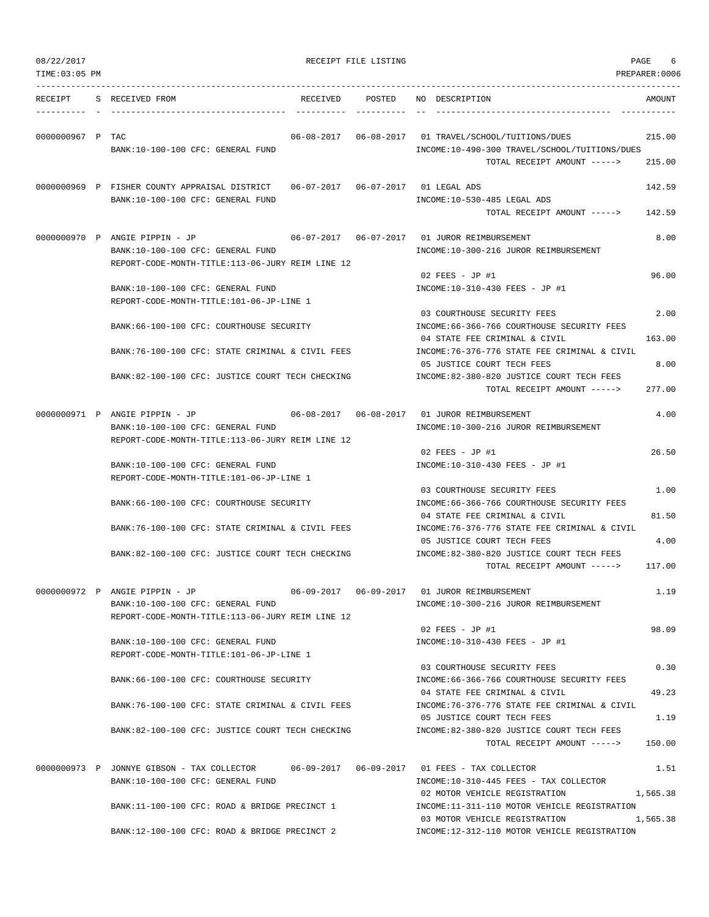|  | 08/22/2017 |  |
|--|------------|--|
|  |            |  |
|  |            |  |

| 08/22/2017<br>TIME: 03:05 PM |                                                                                                                         | RECEIPT FILE LISTING              |                                                                                                                                        | PAGE<br>6<br>PREPARER:0006 |
|------------------------------|-------------------------------------------------------------------------------------------------------------------------|-----------------------------------|----------------------------------------------------------------------------------------------------------------------------------------|----------------------------|
| RECEIPT                      | S RECEIVED FROM<br>RECEIVED                                                                                             | POSTED                            | NO DESCRIPTION                                                                                                                         | AMOUNT                     |
| 0000000967 P TAC             | BANK:10-100-100 CFC: GENERAL FUND                                                                                       |                                   | 06-08-2017  06-08-2017  01 TRAVEL/SCHOOL/TUITIONS/DUES<br>INCOME:10-490-300 TRAVEL/SCHOOL/TUITIONS/DUES<br>TOTAL RECEIPT AMOUNT -----> | 215.00<br>215.00           |
|                              | 0000000969 P FISHER COUNTY APPRAISAL DISTRICT<br>BANK:10-100-100 CFC: GENERAL FUND                                      |                                   | 06-07-2017  06-07-2017  01 LEGAL ADS<br>INCOME:10-530-485 LEGAL ADS<br>TOTAL RECEIPT AMOUNT ----->                                     | 142.59<br>142.59           |
|                              | 0000000970 P ANGIE PIPPIN - JP<br>BANK:10-100-100 CFC: GENERAL FUND<br>REPORT-CODE-MONTH-TITLE:113-06-JURY REIM LINE 12 |                                   | INCOME:10-300-216 JUROR REIMBURSEMENT                                                                                                  | 8.00                       |
|                              | BANK:10-100-100 CFC: GENERAL FUND<br>REPORT-CODE-MONTH-TITLE:101-06-JP-LINE 1                                           |                                   | $02$ FEES - JP #1<br>INCOME:10-310-430 FEES - JP #1                                                                                    | 96.00                      |
|                              | BANK:66-100-100 CFC: COURTHOUSE SECURITY                                                                                |                                   | 03 COURTHOUSE SECURITY FEES<br>INCOME: 66-366-766 COURTHOUSE SECURITY FEES<br>04 STATE FEE CRIMINAL & CIVIL                            | 2.00<br>163.00             |
|                              | BANK:76-100-100 CFC: STATE CRIMINAL & CIVIL FEES<br>BANK:82-100-100 CFC: JUSTICE COURT TECH CHECKING                    |                                   | INCOME: 76-376-776 STATE FEE CRIMINAL & CIVIL<br>05 JUSTICE COURT TECH FEES<br>INCOME:82-380-820 JUSTICE COURT TECH FEES               | 8.00                       |
|                              |                                                                                                                         |                                   | TOTAL RECEIPT AMOUNT ----->                                                                                                            | 277.00                     |
|                              | 0000000971 P ANGIE PIPPIN - JP<br>BANK:10-100-100 CFC: GENERAL FUND<br>REPORT-CODE-MONTH-TITLE:113-06-JURY REIM LINE 12 | $06 - 08 - 2017$ $06 - 08 - 2017$ | 01 JUROR REIMBURSEMENT<br>INCOME:10-300-216 JUROR REIMBURSEMENT                                                                        | 4.00                       |
|                              | BANK:10-100-100 CFC: GENERAL FUND<br>REPORT-CODE-MONTH-TITLE:101-06-JP-LINE 1                                           |                                   | 02 FEES - JP #1<br>INCOME:10-310-430 FEES - JP #1                                                                                      | 26.50                      |
|                              | BANK:66-100-100 CFC: COURTHOUSE SECURITY                                                                                |                                   | 03 COURTHOUSE SECURITY FEES<br>INCOME: 66-366-766 COURTHOUSE SECURITY FEES<br>04 STATE FEE CRIMINAL & CIVIL                            | 1.00<br>81.50              |
|                              | BANK:76-100-100 CFC: STATE CRIMINAL & CIVIL FEES                                                                        |                                   | INCOME:76-376-776 STATE FEE CRIMINAL & CIVIL<br>05 JUSTICE COURT TECH FEES                                                             | 4.00                       |
|                              | BANK:82-100-100 CFC: JUSTICE COURT TECH CHECKING                                                                        |                                   | INCOME:82-380-820 JUSTICE COURT TECH FEES<br>TOTAL RECEIPT AMOUNT ----->                                                               | 117.00                     |
|                              | 0000000972 P ANGIE PIPPIN - JP<br>BANK:10-100-100 CFC: GENERAL FUND<br>REPORT-CODE-MONTH-TITLE:113-06-JURY REIM LINE 12 |                                   | INCOME:10-300-216 JUROR REIMBURSEMENT                                                                                                  | 1.19                       |
|                              | BANK:10-100-100 CFC: GENERAL FUND<br>REPORT-CODE-MONTH-TITLE:101-06-JP-LINE 1                                           |                                   | $02$ FEES - JP #1<br>INCOME:10-310-430 FEES - JP #1                                                                                    | 98.09                      |
|                              | BANK:66-100-100 CFC: COURTHOUSE SECURITY                                                                                |                                   | 03 COURTHOUSE SECURITY FEES<br>INCOME:66-366-766 COURTHOUSE SECURITY FEES                                                              | 0.30                       |
|                              | BANK:76-100-100 CFC: STATE CRIMINAL & CIVIL FEES                                                                        |                                   | 04 STATE FEE CRIMINAL & CIVIL<br>INCOME: 76-376-776 STATE FEE CRIMINAL & CIVIL<br>05 JUSTICE COURT TECH FEES                           | 49.23<br>1.19              |
|                              | BANK:82-100-100 CFC: JUSTICE COURT TECH CHECKING                                                                        |                                   | INCOME:82-380-820 JUSTICE COURT TECH FEES<br>TOTAL RECEIPT AMOUNT ----->                                                               | 150.00                     |
|                              | 0000000973 P JONNYE GIBSON - TAX COLLECTOR<br>BANK:10-100-100 CFC: GENERAL FUND                                         |                                   | INCOME:10-310-445 FEES - TAX COLLECTOR                                                                                                 | 1.51                       |
|                              | BANK:11-100-100 CFC: ROAD & BRIDGE PRECINCT 1                                                                           |                                   | 02 MOTOR VEHICLE REGISTRATION<br>INCOME:11-311-110 MOTOR VEHICLE REGISTRATION                                                          | 1,565.38                   |
|                              | BANK:12-100-100 CFC: ROAD & BRIDGE PRECINCT 2                                                                           |                                   | 03 MOTOR VEHICLE REGISTRATION<br>INCOME:12-312-110 MOTOR VEHICLE REGISTRATION                                                          | 1,565.38                   |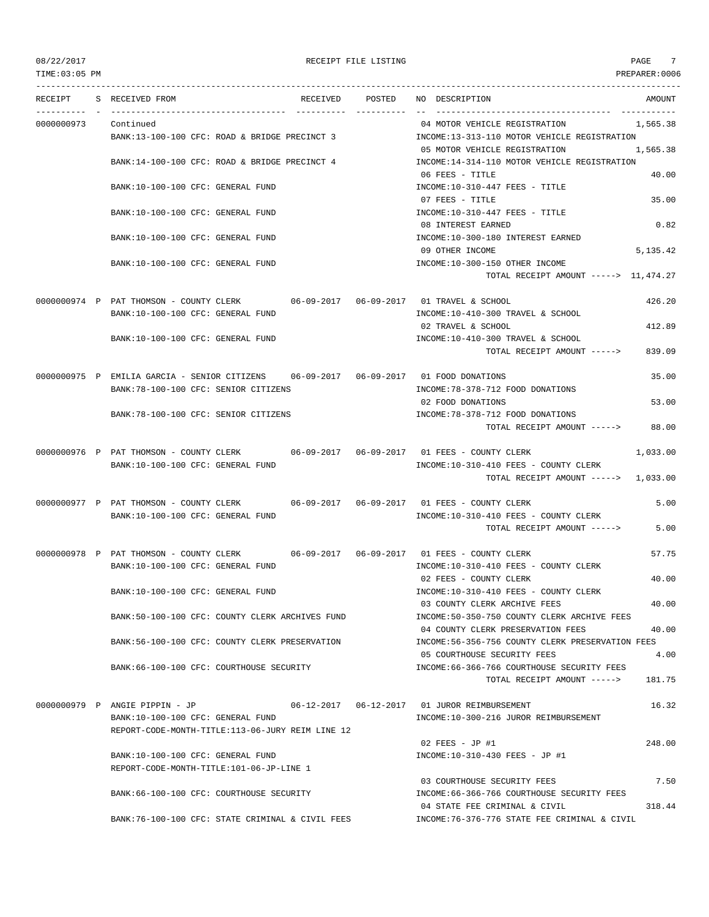## TIME:03:05 PM PREPARER:0006

### 08/22/2017 RECEIPT FILE LISTING PAGE 7

--------------------------------------------------------------------------------------------------------------------------------- RECEIPT S RECEIVED FROM THE RECEIVED POSTED NO DESCRIPTION THE RECEIVED AMOUNT ---------- - ----------------------------------- ---------- ---------- -- ----------------------------------- ----------- 0000000973 Continued 04 MOTOR VEHICLE REGISTRATION 1,565.38 BANK:13-100-100 CFC: ROAD & BRIDGE PRECINCT 3 INCOME:13-313-110 MOTOR VEHICLE REGISTRATION 05 MOTOR VEHICLE REGISTRATION 1,565.38 BANK:14-100-100 CFC: ROAD & BRIDGE PRECINCT 4 INCOME:14-314-110 MOTOR VEHICLE REGISTRATION 06 FEES - TITLE 40.00 BANK:10-100-100 CFC: GENERAL FUND INCOME:10-310-447 FEES - TITLE 07 FEES - TITLE 35.00 BANK:10-100-100 CFC: GENERAL FUND **INCOME:10-310-447 FEES - TITLE** 08 INTEREST EARNED 0.82 BANK:10-100-100 CFC: GENERAL FUND INCOME:10-300-180 INTEREST EARNED 09 OTHER INCOME 5,135.42 BANK:10-100-100 CFC: GENERAL FUND **INCOME:10-300-150 OTHER INCOME** TOTAL RECEIPT AMOUNT -----> 11,474.27 0000000974 P PAT THOMSON - COUNTY CLERK 06-09-2017 06-09-2017 01 TRAVEL & SCHOOL 426.20 BANK:10-100-100 CFC: GENERAL FUND INCOME:10-410-300 TRAVEL & SCHOOL 02 TRAVEL & SCHOOL 412.89 BANK:10-100-100 CFC: GENERAL FUND INCOME:10-410-300 TRAVEL & SCHOOL TOTAL RECEIPT AMOUNT -----> 839.09 0000000975 P EMILIA GARCIA - SENIOR CITIZENS 06-09-2017 06-09-2017 01 FOOD DONATIONS 35.00 BANK:78-100-100 CFC: SENIOR CITIZENS  $INCOME:78-378-712$  FOOD DONATIONS 02 FOOD DONATIONS 53.00 BANK:78-100-100 CFC: SENIOR CITIZENS INCOME:78-378-712 FOOD DONATIONS TOTAL RECEIPT AMOUNT -----> 88.00 0000000976 P PAT THOMSON - COUNTY CLERK 06-09-2017 06-09-2017 01 FEES - COUNTY CLERK 1,033.00 BANK:10-100-100 CFC: GENERAL FUND **INCOME:10-310-410 FEES - COUNTY CLERK** TOTAL RECEIPT AMOUNT -----> 1,033.00 0000000977 P PAT THOMSON - COUNTY CLERK 06-09-2017 06-09-2017 01 FEES - COUNTY CLERK 5.00 BANK:10-100-100 CFC: GENERAL FUND INCOME:10-310-410 FEES - COUNTY CLERK TOTAL RECEIPT AMOUNT -----> 5.00 0000000978 P PAT THOMSON - COUNTY CLERK 06-09-2017 06-09-2017 01 FEES - COUNTY CLERK 57.75 BANK:10-100-100 CFC: GENERAL FUND **INCOME:10-310-410 FEES - COUNTY CLERK** 02 FEES - COUNTY CLERK 40.00 BANK:10-100-100 CFC: GENERAL FUND INCOME:10-310-410 FEES - COUNTY CLERK 03 COUNTY CLERK ARCHIVE FEES 40.00 BANK:50-100-100 CFC: COUNTY CLERK ARCHIVES FUND INCOME:50-350-750 COUNTY CLERK ARCHIVE FEES 04 COUNTY CLERK PRESERVATION FEES 40.00 BANK:56-100-100 CFC: COUNTY CLERK PRESERVATION INCOME:56-356-756 COUNTY CLERK PRESERVATION FEES 05 COURTHOUSE SECURITY FEES 4.00 BANK:66-100-100 CFC: COURTHOUSE SECURITY INCOME:66-366-766 COURTHOUSE SECURITY FEES TOTAL RECEIPT AMOUNT -----> 181.75 0000000979 P ANGIE PIPPIN - JP 06-12-2017 06-12-2017 01 JUROR REIMBURSEMENT 16.32 BANK:10-100-100 CFC: GENERAL FUND INCOME:10-300-216 JUROR REIMBURSEMENT REPORT-CODE-MONTH-TITLE:113-06-JURY REIM LINE 12 02 FEES - JP #1 248.00 BANK:10-100-100 CFC: GENERAL FUND INCOME:10-310-430 FEES - JP #1 REPORT-CODE-MONTH-TITLE:101-06-JP-LINE 1 03 COURTHOUSE SECURITY FEES 7.50 BANK:66-100-100 CFC: COURTHOUSE SECURITY INCOME:66-366-766 COURTHOUSE SECURITY FEES 04 STATE FEE CRIMINAL & CIVIL 318.44 BANK:76-100-100 CFC: STATE CRIMINAL & CIVIL FEES INCOME:76-376-776 STATE FEE CRIMINAL & CIVIL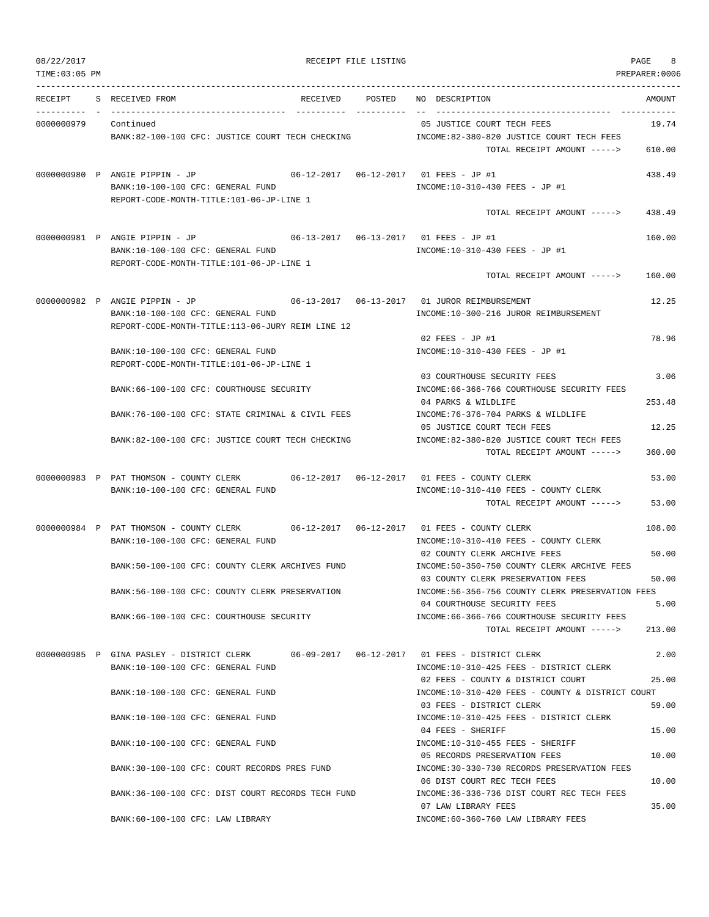| 08/22/2017 |
|------------|
|------------|

### RECEIPT FILE LISTING **EXECUTE A SECURE 2** 8

TIME:03:05 PM PREPARER:0006 --------------------------------------------------------------------------------------------------------------------------------- RECEIPT S RECEIVED FROM RECEIVED POSTED NO DESCRIPTION AMOUNT ---------- - ----------------------------------- ---------- ---------- -- ----------------------------------- ----------- 0000000979 Continued 05 JUSTICE COURT TECH FEES 19.74 BANK:82-100-100 CFC: JUSTICE COURT TECH CHECKING INCOME:82-380-820 JUSTICE COURT TECH FEES TOTAL RECEIPT AMOUNT -----> 610.00 0000000980 P ANGIE PIPPIN - JP 06-12-2017 06-12-2017 01 FEES - JP #1 438.49 BANK:10-100-100 CFC: GENERAL FUND **INCOME:10-310-430 FEES** - JP #1 REPORT-CODE-MONTH-TITLE:101-06-JP-LINE 1 TOTAL RECEIPT AMOUNT  $--- 5$  438.49 0000000981 P ANGIE PIPPIN - JP 06-13-2017 06-13-2017 01 FEES - JP #1 160.00 BANK:10-100-100 CFC: GENERAL FUND INCOME:10-310-430 FEES - JP #1 REPORT-CODE-MONTH-TITLE:101-06-JP-LINE 1 TOTAL RECEIPT AMOUNT -----> 160.00 0000000982 P ANGIE PIPPIN - JP 06-13-2017 06-13-2017 01 JUROR REIMBURSEMENT 12.25 BANK:10-100-100 CFC: GENERAL FUND INCOME:10-300-216 JUROR REIMBURSEMENT REPORT-CODE-MONTH-TITLE:113-06-JURY REIM LINE 12 02 FEES - JP #1 78.96 BANK:10-100-100 CFC: GENERAL FUND INCOME:10-310-430 FEES - JP #1 REPORT-CODE-MONTH-TITLE:101-06-JP-LINE 1 03 COURTHOUSE SECURITY FEES 3.06 BANK:66-100-100 CFC: COURTHOUSE SECURITY INCOME:66-366-766 COURTHOUSE SECURITY FEES 04 PARKS & WILDLIFE 253.48 BANK:76-100-100 CFC: STATE CRIMINAL & CIVIL FEES INCOME:76-376-704 PARKS & WILDLIFE 05 JUSTICE COURT TECH FEES 12.25 BANK:82-100-100 CFC: JUSTICE COURT TECH CHECKING INCOME:82-380-820 JUSTICE COURT TECH FEES TOTAL RECEIPT AMOUNT -----> 360.00 0000000983 P PAT THOMSON - COUNTY CLERK 06-12-2017 06-12-2017 01 FEES - COUNTY CLERK 53.00 BANK:10-100-100 CFC: GENERAL FUND SANK:10-310-410 FEES - COUNTY CLERK TOTAL RECEIPT AMOUNT -----> 53.00 0000000984 P PAT THOMSON - COUNTY CLERK 06-12-2017 06-12-2017 01 FEES - COUNTY CLERK 108.00 BANK:10-100-100 CFC: GENERAL FUND SANK:10-310-410 FEES - COUNTY CLERK 02 COUNTY CLERK ARCHIVE FEES 50.00 BANK:50-100-100 CFC: COUNTY CLERK ARCHIVES FUND INCOME:50-350-750 COUNTY CLERK ARCHIVE FEES 03 COUNTY CLERK PRESERVATION FEES 50.00 BANK:56-100-100 CFC: COUNTY CLERK PRESERVATION INCOME:56-356-756 COUNTY CLERK PRESERVATION FEES 04 COURTHOUSE SECURITY FEES 5.00 BANK:66-100-100 CFC: COURTHOUSE SECURITY INCOME:66-366-766 COURTHOUSE SECURITY FEES TOTAL RECEIPT AMOUNT -----> 213.00 0000000985 P GINA PASLEY - DISTRICT CLERK 06-09-2017 06-12-2017 01 FEES - DISTRICT CLERK 2.00 BANK:10-100-100 CFC: GENERAL FUND INCOME:10-310-425 FEES - DISTRICT CLERK 02 FEES - COUNTY & DISTRICT COURT 25.00 BANK:10-100-100 CFC: GENERAL FUND INCOME:10-310-420 FEES - COUNTY & DISTRICT COURT 03 FEES - DISTRICT CLERK 59.00 BANK:10-100-100 CFC: GENERAL FUND INCOME:10-310-425 FEES - DISTRICT CLERK 04 FEES - SHERIFF 15.00 BANK:10-100-100 CFC: GENERAL FUND INCOME:10-310-455 FEES - SHERIFF 05 RECORDS PRESERVATION FEES 10.00 BANK:30-100-100 CFC: COURT RECORDS PRES FUND INCOME:30-330-730 RECORDS PRESERVATION FEES 06 DIST COURT REC TECH FEES 10.00 BANK:36-100-100 CFC: DIST COURT RECORDS TECH FUND INCOME:36-336-736 DIST COURT REC TECH FEES 07 LAW LIBRARY FEES 35.00 BANK:60-100-100 CFC: LAW LIBRARY INCOME:60-360-760 LAW LIBRARY FEES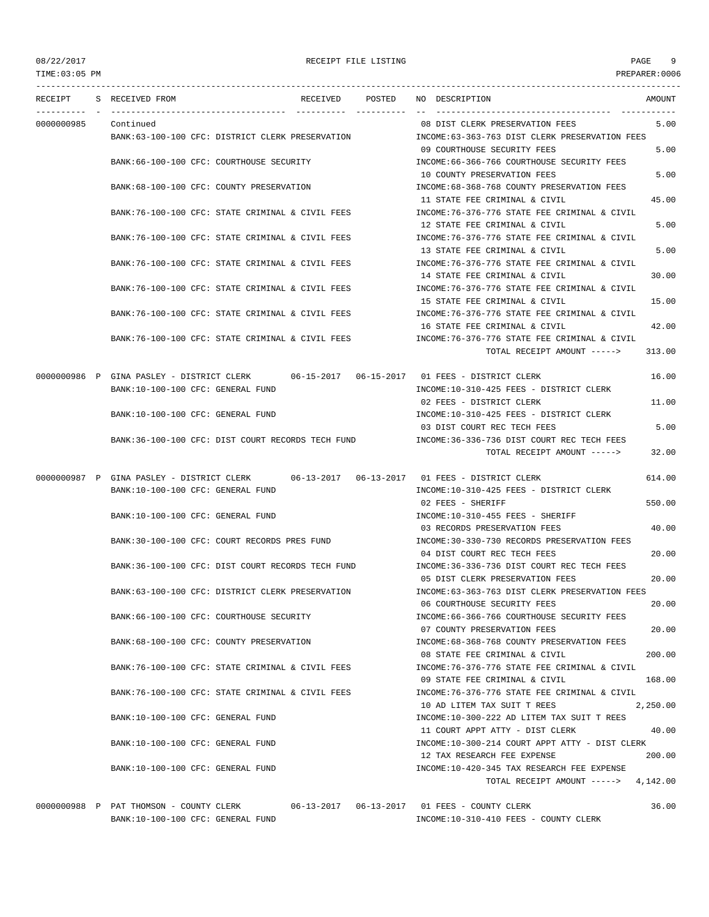## 08/22/2017 RECEIPT FILE LISTING PAGE 9 TIME:03:05 PM PREPARER:0006

--------------------------------------------------------------------------------------------------------------------------------- RECEIPT S RECEIVED FROM RECEIVED POSTED NO DESCRIPTION AMOUNT ---------- - ----------------------------------- ---------- ---------- -- ----------------------------------- ----------- 0000000985 Continued 08 DIST CLERK PRESERVATION FEES 5.00 BANK:63-100-100 CFC: DISTRICT CLERK PRESERVATION INCOME:63-363-763 DIST CLERK PRESERVATION FEES 09 COURTHOUSE SECURITY FEES 5.00 BANK:66-100-100 CFC: COURTHOUSE SECURITY INCOME:66-366-766 COURTHOUSE SECURITY FEES 10 COUNTY PRESERVATION FEES 5.00 BANK:68-100-100 CFC: COUNTY PRESERVATION INCOME:68-368-768 COUNTY PRESERVATION FEES 11 STATE FEE CRIMINAL & CIVIL 45.00 BANK:76-100-100 CFC: STATE CRIMINAL & CIVIL FEES INCOME:76-376-776 STATE FEE CRIMINAL & CIVIL 12 STATE FEE CRIMINAL & CIVIL 5.00 BANK:76-100-100 CFC: STATE CRIMINAL & CIVIL FEES INCOME:76-376-776 STATE FEE CRIMINAL & CIVIL 13 STATE FEE CRIMINAL & CIVIL 5.00 BANK:76-100-100 CFC: STATE CRIMINAL & CIVIL FEES INCOME:76-376-776 STATE FEE CRIMINAL & CIVIL 14 STATE FEE CRIMINAL & CIVIL 30.00 BANK:76-100-100 CFC: STATE CRIMINAL & CIVIL FEES INCOME:76-376-776 STATE FEE CRIMINAL & CIVIL 15 STATE FEE CRIMINAL & CIVIL 15.00 BANK:76-100-100 CFC: STATE CRIMINAL & CIVIL FEES INCOME:76-376-776 STATE FEE CRIMINAL & CIVIL 16 STATE FEE CRIMINAL & CIVIL 42.00 BANK:76-100-100 CFC: STATE CRIMINAL & CIVIL FEES INCOME:76-376-776 STATE FEE CRIMINAL & CIVIL TOTAL RECEIPT AMOUNT -----> 313.00 0000000986 P GINA PASLEY - DISTRICT CLERK 06-15-2017 06-15-2017 01 FEES - DISTRICT CLERK 16.00 BANK:10-100-100 CFC: GENERAL FUND **INCOME:10-310-425 FEES - DISTRICT CLERK** 02 FEES - DISTRICT CLERK 11.00 BANK:10-100-100 CFC: GENERAL FUND INCOME:10-310-425 FEES - DISTRICT CLERK 03 DIST COURT REC TECH FEES 5.00 BANK:36-100-100 CFC: DIST COURT RECORDS TECH FUND INCOME:36-336-736 DIST COURT REC TECH FEES TOTAL RECEIPT AMOUNT -----> 32.00 0000000987 P GINA PASLEY - DISTRICT CLERK 06-13-2017 06-13-2017 01 FEES - DISTRICT CLERK 614.00 BANK:10-100-100 CFC: GENERAL FUND INCOME:10-310-425 FEES - DISTRICT CLERK 02 FEES - SHERIFF 550.00 BANK:10-100-100 CFC: GENERAL FUND **INCOME:10-310-455 FEES - SHERIFF** 03 RECORDS PRESERVATION FEES 40.00 BANK:30-100-100 CFC: COURT RECORDS PRES FUND INCOME:30-330-730 RECORDS PRESERVATION FEES 04 DIST COURT REC TECH FEES 20.00 BANK:36-100-100 CFC: DIST COURT RECORDS TECH FUND INCOME:36-336-736 DIST COURT REC TECH FEES 05 DIST CLERK PRESERVATION FEES 20.00 BANK:63-100-100 CFC: DISTRICT CLERK PRESERVATION INCOME:63-363-763 DIST CLERK PRESERVATION FEES 06 COURTHOUSE SECURITY FEES 20.00 BANK:66-100-100 CFC: COURTHOUSE SECURITY INCOME:66-366-766 COURTHOUSE SECURITY FEES 07 COUNTY PRESERVATION FEES 20.00 BANK:68-100-100 CFC: COUNTY PRESERVATION INCOME:68-368-768 COUNTY PRESERVATION FEES 08 STATE FEE CRIMINAL & CIVIL 200.00 BANK:76-100-100 CFC: STATE CRIMINAL & CIVIL FEES **INCOME:76-376-776 STATE FEE CRIMINAL & CIVIL** 09 STATE FEE CRIMINAL & CIVIL 168.00 BANK:76-100-100 CFC: STATE CRIMINAL & CIVIL FEES INCOME:76-376-776 STATE FEE CRIMINAL & CIVIL 10 AD LITEM TAX SUIT T REES 2,250.00 BANK:10-100-100 CFC: GENERAL FUND INCOME:10-300-222 AD LITEM TAX SUIT T REES 11 COURT APPT ATTY - DIST CLERK 40.00 BANK:10-100-100 CFC: GENERAL FUND INCOME:10-300-214 COURT APPT ATTY - DIST CLERK 12 TAX RESEARCH FEE EXPENSE 200.00 BANK:10-100-100 CFC: GENERAL FUND INCOME:10-420-345 TAX RESEARCH FEE EXPENSE TOTAL RECEIPT AMOUNT -----> 4,142.00 0000000988 P PAT THOMSON - COUNTY CLERK 06-13-2017 06-13-2017 01 FEES - COUNTY CLERK 36.00 BANK:10-100-100 CFC: GENERAL FUND INCOME:10-310-410 FEES - COUNTY CLERK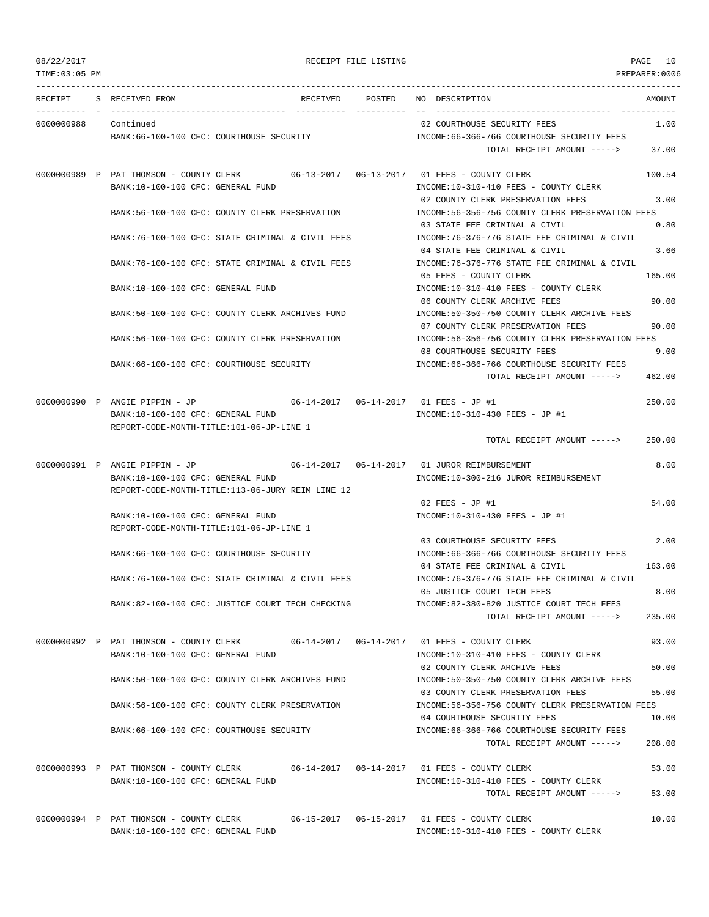| TIME: 03:05 PM |                                                                                       |                                                                                       | PREPARER:0006 |
|----------------|---------------------------------------------------------------------------------------|---------------------------------------------------------------------------------------|---------------|
| RECEIPT        | RECEIVED POSTED<br>S RECEIVED FROM                                                    | NO DESCRIPTION                                                                        | AMOUNT        |
| 0000000988     | Continued                                                                             | 02 COURTHOUSE SECURITY FEES                                                           | 1.00          |
|                | BANK:66-100-100 CFC: COURTHOUSE SECURITY                                              | INCOME: 66-366-766 COURTHOUSE SECURITY FEES                                           |               |
|                |                                                                                       | TOTAL RECEIPT AMOUNT ----->                                                           | 37.00         |
|                | 0000000989 P PAT THOMSON - COUNTY CLERK                                               |                                                                                       | 100.54        |
|                | BANK:10-100-100 CFC: GENERAL FUND                                                     | INCOME:10-310-410 FEES - COUNTY CLERK<br>02 COUNTY CLERK PRESERVATION FEES            | 3.00          |
|                | BANK:56-100-100 CFC: COUNTY CLERK PRESERVATION                                        | INCOME:56-356-756 COUNTY CLERK PRESERVATION FEES<br>03 STATE FEE CRIMINAL & CIVIL     | 0.80          |
|                | BANK:76-100-100 CFC: STATE CRIMINAL & CIVIL FEES                                      | INCOME:76-376-776 STATE FEE CRIMINAL & CIVIL                                          |               |
|                | BANK:76-100-100 CFC: STATE CRIMINAL & CIVIL FEES                                      | 04 STATE FEE CRIMINAL & CIVIL<br>INCOME:76-376-776 STATE FEE CRIMINAL & CIVIL         | 3.66          |
|                | BANK:10-100-100 CFC: GENERAL FUND                                                     | 05 FEES - COUNTY CLERK<br>INCOME:10-310-410 FEES - COUNTY CLERK                       | 165.00        |
|                |                                                                                       | 06 COUNTY CLERK ARCHIVE FEES                                                          | 90.00         |
|                | BANK:50-100-100 CFC: COUNTY CLERK ARCHIVES FUND                                       | INCOME:50-350-750 COUNTY CLERK ARCHIVE FEES<br>07 COUNTY CLERK PRESERVATION FEES      | 90.00         |
|                | BANK:56-100-100 CFC: COUNTY CLERK PRESERVATION                                        | INCOME:56-356-756 COUNTY CLERK PRESERVATION FEES                                      |               |
|                |                                                                                       | 08 COURTHOUSE SECURITY FEES                                                           | 9.00          |
|                | BANK:66-100-100 CFC: COURTHOUSE SECURITY                                              | INCOME: 66-366-766 COURTHOUSE SECURITY FEES<br>TOTAL RECEIPT AMOUNT ----->            | 462.00        |
|                | 0000000990 P ANGIE PIPPIN - JP<br>$06-14-2017$ $06-14-2017$ 01 FEES - JP #1           |                                                                                       | 250.00        |
|                | BANK:10-100-100 CFC: GENERAL FUND<br>REPORT-CODE-MONTH-TITLE:101-06-JP-LINE 1         | INCOME:10-310-430 FEES - JP #1                                                        |               |
|                |                                                                                       | TOTAL RECEIPT AMOUNT ----->                                                           | 250.00        |
|                | 0000000991 P ANGIE PIPPIN - JP<br>$06 - 14 - 2017$ $06 - 14 - 2017$                   | 01 JUROR REIMBURSEMENT                                                                | 8.00          |
|                | BANK:10-100-100 CFC: GENERAL FUND<br>REPORT-CODE-MONTH-TITLE:113-06-JURY REIM LINE 12 | INCOME:10-300-216 JUROR REIMBURSEMENT                                                 |               |
|                |                                                                                       | 02 FEES - JP #1                                                                       | 54.00         |
|                | BANK:10-100-100 CFC: GENERAL FUND<br>REPORT-CODE-MONTH-TITLE:101-06-JP-LINE 1         | INCOME:10-310-430 FEES - JP #1                                                        |               |
|                |                                                                                       | 03 COURTHOUSE SECURITY FEES                                                           | 2.00          |
|                | BANK: 66-100-100 CFC: COURTHOUSE SECURITY                                             | INCOME: 66-366-766 COURTHOUSE SECURITY FEES                                           |               |
|                | BANK: 76-100-100 CFC: STATE CRIMINAL & CIVIL FEES                                     | 04 STATE FEE CRIMINAL & CIVIL<br>INCOME:76-376-776 STATE FEE CRIMINAL & CIVIL         | 163.00        |
|                |                                                                                       | 05 JUSTICE COURT TECH FEES                                                            | 8.00          |
|                | BANK:82-100-100 CFC: JUSTICE COURT TECH CHECKING                                      | INCOME:82-380-820 JUSTICE COURT TECH FEES<br>TOTAL RECEIPT AMOUNT ----->              | 235.00        |
|                |                                                                                       |                                                                                       |               |
|                | 0000000992 P PAT THOMSON - COUNTY CLERK                                               |                                                                                       | 93.00         |
|                | BANK:10-100-100 CFC: GENERAL FUND                                                     | INCOME:10-310-410 FEES - COUNTY CLERK<br>02 COUNTY CLERK ARCHIVE FEES                 | 50.00         |
|                | BANK:50-100-100 CFC: COUNTY CLERK ARCHIVES FUND                                       | INCOME:50-350-750 COUNTY CLERK ARCHIVE FEES                                           |               |
|                | BANK:56-100-100 CFC: COUNTY CLERK PRESERVATION                                        | 03 COUNTY CLERK PRESERVATION FEES<br>INCOME:56-356-756 COUNTY CLERK PRESERVATION FEES | 55.00         |
|                |                                                                                       | 04 COURTHOUSE SECURITY FEES                                                           | 10.00         |
|                | BANK:66-100-100 CFC: COURTHOUSE SECURITY                                              | INCOME: 66-366-766 COURTHOUSE SECURITY FEES<br>TOTAL RECEIPT AMOUNT ----->            | 208.00        |
|                | 0000000993 P PAT THOMSON - COUNTY CLERK 06-14-2017 06-14-2017 01 FEES - COUNTY CLERK  |                                                                                       | 53.00         |
|                | BANK:10-100-100 CFC: GENERAL FUND                                                     | INCOME:10-310-410 FEES - COUNTY CLERK<br>TOTAL RECEIPT AMOUNT ----->                  | 53.00         |
|                |                                                                                       |                                                                                       |               |
|                | 0000000994 P PAT THOMSON - COUNTY CLERK<br>BANK:10-100-100 CFC: GENERAL FUND          | INCOME:10-310-410 FEES - COUNTY CLERK                                                 | 10.00         |
|                |                                                                                       |                                                                                       |               |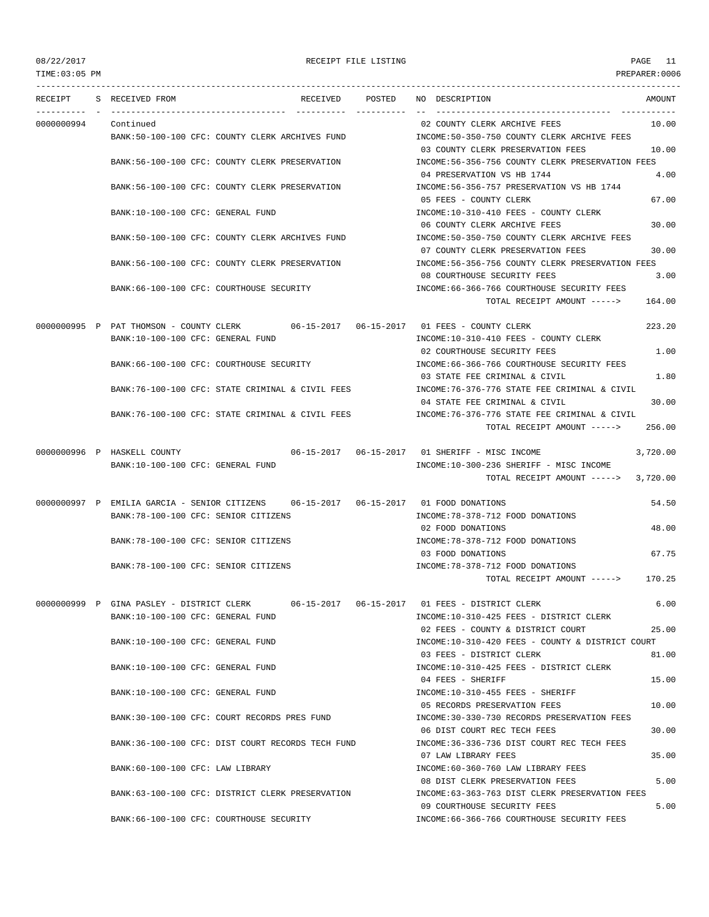TIME:03:05 PM PREPARER:0006 --------------------------------------------------------------------------------------------------------------------------------- RECEIPT S RECEIVED FROM RECEIVED POSTED NO DESCRIPTION AMOUNT ---------- - ----------------------------------- ---------- ---------- -- ----------------------------------- ----------- 0000000994 Continued 02 COUNTY CLERK ARCHIVE FEES 10.00 BANK:50-100-100 CFC: COUNTY CLERK ARCHIVES FUND INCOME:50-350-750 COUNTY CLERK ARCHIVE FEES 03 COUNTY CLERK PRESERVATION FEES 10.00 BANK:56-100-100 CFC: COUNTY CLERK PRESERVATION INCOME:56-356-756 COUNTY CLERK PRESERVATION FEES 04 PRESERVATION VS HB 1744 4.00 BANK:56-100-100 CFC: COUNTY CLERK PRESERVATION INCOME:56-356-757 PRESERVATION VS HB 1744 05 FEES - COUNTY CLERK 67.00 BANK:10-100-100 CFC: GENERAL FUND INCOME:10-310-410 FEES - COUNTY CLERK 06 COUNTY CLERK ARCHIVE FEES 30.00 BANK:50-100-100 CFC: COUNTY CLERK ARCHIVES FUND INCOME:50-350-750 COUNTY CLERK ARCHIVE FEES 07 COUNTY CLERK PRESERVATION FEES 30.00 BANK:56-100-100 CFC: COUNTY CLERK PRESERVATION INCOME:56-356-756 COUNTY CLERK PRESERVATION FEES 08 COURTHOUSE SECURITY FEES 3.00 BANK:66-100-100 CFC: COURTHOUSE SECURITY INCOME:66-366-766 COURTHOUSE SECURITY FEES TOTAL RECEIPT AMOUNT -----> 164.00 0000000995 P PAT THOMSON - COUNTY CLERK 06-15-2017 06-15-2017 01 FEES - COUNTY CLERK 223.20 BANK:10-100-100 CFC: GENERAL FUND INCOME:10-310-410 FEES - COUNTY CLERK 02 COURTHOUSE SECURITY FEES 1.00 BANK:66-100-100 CFC: COURTHOUSE SECURITY INCOME:66-366-766 COURTHOUSE SECURITY FEES 03 STATE FEE CRIMINAL & CIVIL 1.80 BANK:76-100-100 CFC: STATE CRIMINAL & CIVIL FEES INCOME:76-376-776 STATE FEE CRIMINAL & CIVIL 04 STATE FEE CRIMINAL & CIVIL 30 00 BANK:76-100-100 CFC: STATE CRIMINAL & CIVIL FEES INCOME:76-376-776 STATE FEE CRIMINAL & CIVIL TOTAL RECEIPT AMOUNT -----> 256.00 0000000996 P HASKELL COUNTY 06-15-2017 06-15-2017 01 SHERIFF - MISC INCOME 3,720.00 BANK:10-100-100 CFC: GENERAL FUND INCOME:10-300-236 SHERIFF - MISC INCOME TOTAL RECEIPT AMOUNT -----> 3,720.00 0000000997 P EMILIA GARCIA - SENIOR CITIZENS 06-15-2017 06-15-2017 01 FOOD DONATIONS 54.50 BANK:78-100-100 CFC: SENIOR CITIZENS INCOME:78-378-712 FOOD DONATIONS 02 FOOD DONATIONS 48.00 BANK:78-100-100 CFC: SENIOR CITIZENS INCOME:78-378-712 FOOD DONATIONS 03 FOOD DONATIONS 67.75 BANK:78-100-100 CFC: SENIOR CITIZENS INCOME:78-378-712 FOOD DONATIONS TOTAL RECEIPT AMOUNT -----> 170.25 0000000999 P GINA PASLEY - DISTRICT CLERK 06-15-2017 06-15-2017 01 FEES - DISTRICT CLERK 6.00 BANK:10-100-100 CFC: GENERAL FUND INCOME:10-310-425 FEES - DISTRICT CLERK 02 FEES - COUNTY & DISTRICT COURT 25.00 BANK:10-100-100 CFC: GENERAL FUND INCOME:10-310-420 FEES - COUNTY & DISTRICT COURT 03 FEES - DISTRICT CLERK 81.00 BANK:10-100-100 CFC: GENERAL FUND INCOME:10-310-425 FEES - DISTRICT CLERK  $04$  FEES - SHERIFF  $15.00$ BANK:10-100-100 CFC: GENERAL FUND INCOME:10-310-455 FEES - SHERIFF 05 RECORDS PRESERVATION FEES 10.00 BANK:30-100-100 CFC: COURT RECORDS PRES FUND INCOME:30-330-730 RECORDS PRESERVATION FEES 06 DIST COURT REC TECH FEES 30.00 BANK:36-100-100 CFC: DIST COURT RECORDS TECH FUND INCOME:36-336-736 DIST COURT REC TECH FEES 07 LAW LIBRARY FEES 35.00 BANK:60-100-100 CFC: LAW LIBRARY INCOME:60-360-760 LAW LIBRARY FEES 08 DIST CLERK PRESERVATION FEES 5.00 BANK:63-100-100 CFC: DISTRICT CLERK PRESERVATION INCOME:63-363-763 DIST CLERK PRESERVATION FEES 09 COURTHOUSE SECURITY FEES 5.00 BANK:66-100-100 CFC: COURTHOUSE SECURITY INCOME:66-366-766 COURTHOUSE SECURITY FEES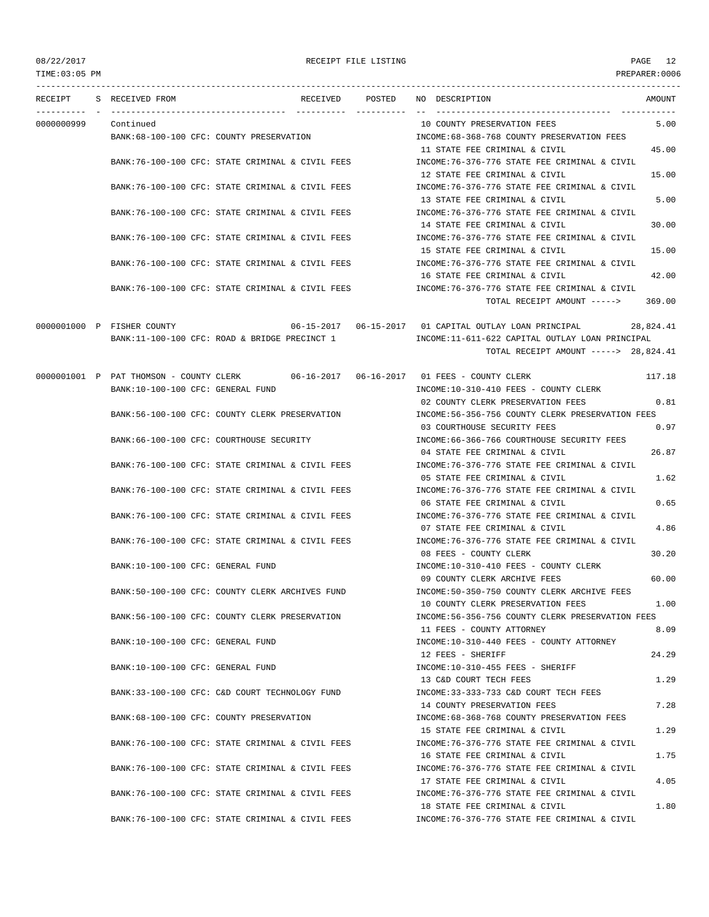TIME:03:05 PM PREPARER:0006 --------------------------------------------------------------------------------------------------------------------------------- RECEIPT S RECEIVED FROM RECEIVED POSTED NO DESCRIPTION AMOUNT ---------- - ----------------------------------- ---------- ---------- -- ----------------------------------- ----------- 0000000999 Continued 10 COUNTY PRESERVATION FEES 5.00 BANK:68-100-100 CFC: COUNTY PRESERVATION INCOME:68-368-768 COUNTY PRESERVATION FEES 11 STATE FEE CRIMINAL & CIVIL 45.00 BANK:76-100-100 CFC: STATE CRIMINAL & CIVIL FEES INCOME:76-376-776 STATE FEE CRIMINAL & CIVIL 12 STATE FEE CRIMINAL & CIVIL 15.00 BANK:76-100-100 CFC: STATE CRIMINAL & CIVIL FEES INCOME:76-376-776 STATE FEE CRIMINAL & CIVIL 13 STATE FEE CRIMINAL & CIVIL 5.00 BANK:76-100-100 CFC: STATE CRIMINAL & CIVIL FEES INCOME:76-376-776 STATE FEE CRIMINAL & CIVIL 14 STATE FEE CRIMINAL & CIVIL 30.00 BANK:76-100-100 CFC: STATE CRIMINAL & CIVIL FEES INCOME:76-376-776 STATE FEE CRIMINAL & CIVIL 15 STATE FEE CRIMINAL & CIVIL 15.00 BANK:76-100-100 CFC: STATE CRIMINAL & CIVIL FEES INCOME:76-376-776 STATE FEE CRIMINAL & CIVIL 16 STATE FEE CRIMINAL & CIVIL 42.00 BANK:76-100-100 CFC: STATE CRIMINAL & CIVIL FEES INCOME:76-376-776 STATE FEE CRIMINAL & CIVIL TOTAL RECEIPT AMOUNT -----> 369.00 0000001000 P FISHER COUNTY 06-15-2017 06-15-2017 01 CAPITAL OUTLAY LOAN PRINCIPAL 28,824.41 BANK:11-100-100 CFC: ROAD & BRIDGE PRECINCT 1 INCOME:11-611-622 CAPITAL OUTLAY LOAN PRINCIPAL TOTAL RECEIPT AMOUNT -----> 28,824.41 0000001001 P PAT THOMSON - COUNTY CLERK 06-16-2017 06-16-2017 01 FEES - COUNTY CLERK 117.18 BANK:10-100-100 CFC: GENERAL FUND **INCOME:10-310-410 FEES - COUNTY CLERK** 02 COUNTY CLERK PRESERVATION FEES 0.81 BANK:56-100-100 CFC: COUNTY CLERK PRESERVATION INCOME:56-356-756 COUNTY CLERK PRESERVATION FEES 03 COURTHOUSE SECURITY FEES 0.97 BANK:66-100-100 CFC: COURTHOUSE SECURITY **INCOME:66-366-766 COURTHOUSE SECURITY FEES** 04 STATE FEE CRIMINAL & CIVIL 26.87 BANK:76-100-100 CFC: STATE CRIMINAL & CIVIL FEES INCOME:76-376-776 STATE FEE CRIMINAL & CIVIL 05 STATE FEE CRIMINAL & CIVIL 1.62 BANK:76-100-100 CFC: STATE CRIMINAL & CIVIL FEES INCOME:76-376-776 STATE FEE CRIMINAL & CIVIL 06 STATE FEE CRIMINAL & CIVIL 0.65 BANK:76-100-100 CFC: STATE CRIMINAL & CIVIL FEES INCOME:76-376-776 STATE FEE CRIMINAL & CIVIL 07 STATE FEE CRIMINAL & CIVIL 4.86 BANK:76-100-100 CFC: STATE CRIMINAL & CIVIL FEES INCOME:76-376-776 STATE FEE CRIMINAL & CIVIL 08 FEES - COUNTY CLERK 30.20 BANK:10-100-100 CFC: GENERAL FUND INCOME:10-310-410 FEES - COUNTY CLERK 09 COUNTY CLERK ARCHIVE FEES 60.00 BANK:50-100-100 CFC: COUNTY CLERK ARCHIVES FUND INCOME:50-350-750 COUNTY CLERK ARCHIVE FEES 10 COUNTY CLERK PRESERVATION FEES 1.00 BANK:56-100-100 CFC: COUNTY CLERK PRESERVATION INCOME:56-356-756 COUNTY CLERK PRESERVATION FEES 11 FEES - COUNTY ATTORNEY 6.09 BANK:10-100-100 CFC: GENERAL FUND INCOME:10-310-440 FEES - COUNTY ATTORNEY 12 FEES - SHERIFF 24.29 BANK:10-100-100 CFC: GENERAL FUND INCOME:10-310-455 FEES - SHERIFF 13 C&D COURT TECH FEES 1.29 BANK:33-100-100 CFC: C&D COURT TECHNOLOGY FUND INCOME:33-333-733 C&D COURT TECH FEES 14 COUNTY PRESERVATION FEES 6 6 7.28 BANK:68-100-100 CFC: COUNTY PRESERVATION INCOME:68-368-768 COUNTY PRESERVATION FEES 15 STATE FEE CRIMINAL & CIVIL 1.29 BANK:76-100-100 CFC: STATE CRIMINAL & CIVIL FEES INCOME:76-376-776 STATE FEE CRIMINAL & CIVIL 16 STATE FEE CRIMINAL & CIVIL 1.75 BANK:76-100-100 CFC: STATE CRIMINAL & CIVIL FEES INCOME:76-376-776 STATE FEE CRIMINAL & CIVIL 17 STATE FEE CRIMINAL & CIVIL 4.05 BANK:76-100-100 CFC: STATE CRIMINAL & CIVIL FEES INCOME:76-376-776 STATE FEE CRIMINAL & CIVIL 18 STATE FEE CRIMINAL & CIVIL 1.80 BANK:76-100-100 CFC: STATE CRIMINAL & CIVIL FEES INCOME:76-376-776 STATE FEE CRIMINAL & CIVIL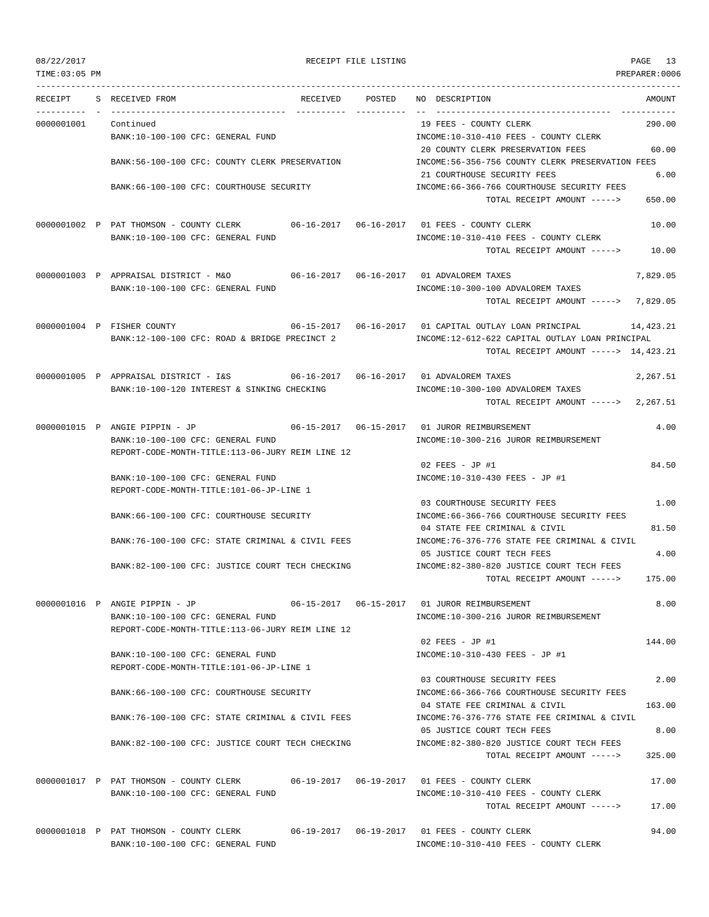TIME:03:05 PM PREPARER:0006 --------------------------------------------------------------------------------------------------------------------------------- RECEIPT S RECEIVED FROM THE RECEIVED POSTED NO DESCRIPTION THE RECEIVED AMOUNT ---------- - ----------------------------------- ---------- ---------- -- ----------------------------------- ----------- 0000001001 Continued 19 FEES - COUNTY CLERK 290.00 BANK:10-100-100 CFC: GENERAL FUND INCOME:10-310-410 FEES - COUNTY CLERK 20 COUNTY CLERK PRESERVATION FEES 60.00 BANK:56-100-100 CFC: COUNTY CLERK PRESERVATION INCOME:56-356-756 COUNTY CLERK PRESERVATION FEES 21 COURTHOUSE SECURITY FEES 6.00 BANK:66-100-100 CFC: COURTHOUSE SECURITY INCOME:66-366-766 COURTHOUSE SECURITY FEES TOTAL RECEIPT AMOUNT -----> 650.00 0000001002 P PAT THOMSON - COUNTY CLERK 06-16-2017 06-16-2017 01 FEES - COUNTY CLERK 10.00 BANK:10-100-100 CFC: GENERAL FUND INCOME:10-310-410 FEES - COUNTY CLERK TOTAL RECEIPT AMOUNT -----> 10.00 0000001003 P APPRAISAL DISTRICT - M&O 06-16-2017 06-16-2017 01 ADVALOREM TAXES 7,829.05 BANK:10-100-100 CFC: GENERAL FUND INCOME:10-300-100 ADVALOREM TAXES TOTAL RECEIPT AMOUNT -----> 7,829.05 0000001004 P FISHER COUNTY 06-15-2017 06-16-2017 01 CAPITAL OUTLAY LOAN PRINCIPAL 14,423.21 BANK:12-100-100 CFC: ROAD & BRIDGE PRECINCT 2 INCOME:12-612-622 CAPITAL OUTLAY LOAN PRINCIPAL TOTAL RECEIPT AMOUNT -----> 14,423.21 0000001005 P APPRAISAL DISTRICT - I&S 06-16-2017 06-16-2017 01 ADVALOREM TAXES 2,267.51 BANK:10-100-120 INTEREST & SINKING CHECKING INCOME:10-300-100 ADVALOREM TAXES TOTAL RECEIPT AMOUNT -----> 2,267.51 0000001015 P ANGIE PIPPIN - JP 06-15-2017 06-15-2017 01 JUROR REIMBURSEMENT 4.00 BANK:10-100-100 CFC: GENERAL FUND INCOME:10-300-216 JUROR REIMBURSEMENT REPORT-CODE-MONTH-TITLE:113-06-JURY REIM LINE 12 02 FEES - JP #1 84.50 BANK:10-100-100 CFC: GENERAL FUND **INCOME:10-310-430 FEES** - JP #1 REPORT-CODE-MONTH-TITLE:101-06-JP-LINE 1 03 COURTHOUSE SECURITY FEES 1.00 BANK:66-100-100 CFC: COURTHOUSE SECURITY INCOME:66-366-766 COURTHOUSE SECURITY FEES 04 STATE FEE CRIMINAL & CIVIL 81.50 BANK:76-100-100 CFC: STATE CRIMINAL & CIVIL FEES INCOME:76-376-776 STATE FEE CRIMINAL & CIVIL 05 JUSTICE COURT TECH FEES 4.00 BANK:82-100-100 CFC: JUSTICE COURT TECH CHECKING INCOME:82-380-820 JUSTICE COURT TECH FEES TOTAL RECEIPT AMOUNT -----> 175.00 0000001016 P ANGIE PIPPIN - JP 06-15-2017 06-15-2017 01 JUROR REIMBURSEMENT 8.00 BANK:10-100-100 CFC: GENERAL FUND INCOME:10-300-216 JUROR REIMBURSEMENT REPORT-CODE-MONTH-TITLE:113-06-JURY REIM LINE 12 02 FEES - JP #1 144.00 BANK:10-100-100 CFC: GENERAL FUND INCOME:10-310-430 FEES - JP #1 REPORT-CODE-MONTH-TITLE:101-06-JP-LINE 1 03 COURTHOUSE SECURITY FEES 2.00 BANK:66-100-100 CFC: COURTHOUSE SECURITY INCOME:66-366-766 COURTHOUSE SECURITY FEES 04 STATE FEE CRIMINAL & CIVIL 163.00 BANK:76-100-100 CFC: STATE CRIMINAL & CIVIL FEES INCOME:76-376-776 STATE FEE CRIMINAL & CIVIL 05 JUSTICE COURT TECH FEES 8.00 BANK:82-100-100 CFC: JUSTICE COURT TECH CHECKING INCOME:82-380-820 JUSTICE COURT TECH FEES TOTAL RECEIPT AMOUNT -----> 325.00 0000001017 P PAT THOMSON - COUNTY CLERK 06-19-2017 06-19-2017 01 FEES - COUNTY CLERK 17.00 BANK:10-100-100 CFC: GENERAL FUND INCOME:10-310-410 FEES - COUNTY CLERK TOTAL RECEIPT AMOUNT -----> 17.00 0000001018 P PAT THOMSON - COUNTY CLERK 06-19-2017 06-19-2017 01 FEES - COUNTY CLERK 94.00

BANK:10-100-100 CFC: GENERAL FUND INCOME:10-310-410 FEES - COUNTY CLERK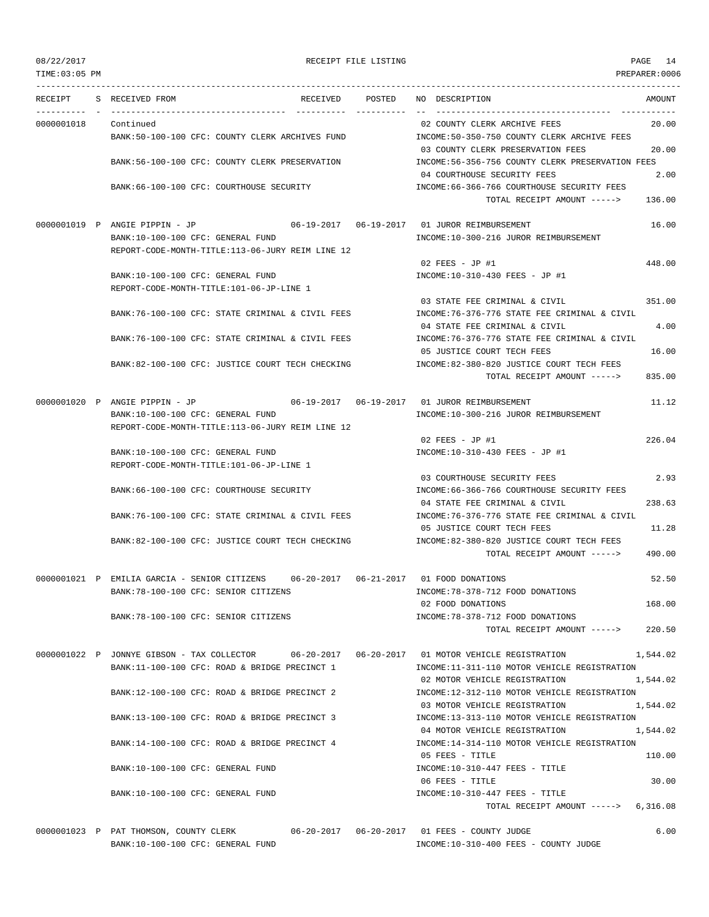TIME:03:05 PM PREPARER:0006 --------------------------------------------------------------------------------------------------------------------------------- RECEIPT S RECEIVED FROM THE RECEIVED POSTED NO DESCRIPTION THE RECEIVED AMOUNT ---------- - ----------------------------------- ---------- ---------- -- ----------------------------------- ----------- 0000001018 Continued 02 COUNTY CLERK ARCHIVE FEES 20.00 BANK:50-100-100 CFC: COUNTY CLERK ARCHIVES FUND INCOME:50-350-750 COUNTY CLERK ARCHIVE FEES 03 COUNTY CLERK PRESERVATION FEES 20.00 BANK:56-100-100 CFC: COUNTY CLERK PRESERVATION INCOME:56-356-756 COUNTY CLERK PRESERVATION FEES 04 COURTHOUSE SECURITY FEES 2.00 BANK:66-100-100 CFC: COURTHOUSE SECURITY INCOME:66-366-766 COURTHOUSE SECURITY FEES TOTAL RECEIPT AMOUNT -----> 136.00 0000001019 P ANGIE PIPPIN - JP 06-19-2017 06-19-2017 01 JUROR REIMBURSEMENT 16.00 BANK:10-100-100 CFC: GENERAL FUND INCOME:10-300-216 JUROR REIMBURSEMENT REPORT-CODE-MONTH-TITLE:113-06-JURY REIM LINE 12 02 FEES - JP #1 448.00 BANK:10-100-100 CFC: GENERAL FUND INCOME:10-310-430 FEES - JP #1 REPORT-CODE-MONTH-TITLE:101-06-JP-LINE 1 03 STATE FEE CRIMINAL & CIVIL 351.00 BANK:76-100-100 CFC: STATE CRIMINAL & CIVIL FEES INCOME:76-376-776 STATE FEE CRIMINAL & CIVIL 04 STATE FEE CRIMINAL & CIVIL 4.00 BANK:76-100-100 CFC: STATE CRIMINAL & CIVIL FEES INCOME:76-376-776 STATE FEE CRIMINAL & CIVIL 05 JUSTICE COURT TECH FEES 16.00 BANK:82-100-100 CFC: JUSTICE COURT TECH CHECKING INCOME:82-380-820 JUSTICE COURT TECH FEES TOTAL RECEIPT AMOUNT -----> 835.00 0000001020 P ANGIE PIPPIN - JP 06-19-2017 06-19-2017 01 JUROR REIMBURSEMENT 11.12 BANK:10-100-100 CFC: GENERAL FUND INCOME:10-300-216 JUROR REIMBURSEMENT REPORT-CODE-MONTH-TITLE:113-06-JURY REIM LINE 12 02 FEES - JP #1 226.04 BANK:10-100-100 CFC: GENERAL FUND INCOME:10-310-430 FEES - JP #1 REPORT-CODE-MONTH-TITLE:101-06-JP-LINE 1 03 COURTHOUSE SECURITY FEES 2.93 BANK:66-100-100 CFC: COURTHOUSE SECURITY INCOME:66-366-766 COURTHOUSE SECURITY FEES 04 STATE FEE CRIMINAL & CIVIL 238.63 BANK:76-100-100 CFC: STATE CRIMINAL & CIVIL FEES INCOME:76-376-776 STATE FEE CRIMINAL & CIVIL 05 JUSTICE COURT TECH FEES 11.28 BANK:82-100-100 CFC: JUSTICE COURT TECH CHECKING INCOME:82-380-820 JUSTICE COURT TECH FEES TOTAL RECEIPT AMOUNT -----> 490.00 0000001021 P EMILIA GARCIA - SENIOR CITIZENS 06-20-2017 06-21-2017 01 FOOD DONATIONS 52.50 BANK:78-100-100 CFC: SENIOR CITIZENS INCOME:78-378-712 FOOD DONATIONS 02 FOOD DONATIONS 168.00 BANK:78-100-100 CFC: SENIOR CITIZENS INCOME:78-378-712 FOOD DONATIONS TOTAL RECEIPT AMOUNT -----> 220.50 0000001022 P JONNYE GIBSON - TAX COLLECTOR 06-20-2017 06-20-2017 01 MOTOR VEHICLE REGISTRATION 1,544.02 BANK:11-100-100 CFC: ROAD & BRIDGE PRECINCT 1 INCOME:11-311-110 MOTOR VEHICLE REGISTRATION 02 MOTOR VEHICLE REGISTRATION 1,544.02 BANK:12-100-100 CFC: ROAD & BRIDGE PRECINCT 2 INCOME:12-312-110 MOTOR VEHICLE REGISTRATION 03 MOTOR VEHICLE REGISTRATION 1.544.02 BANK:13-100-100 CFC: ROAD & BRIDGE PRECINCT 3 INCOME:13-313-110 MOTOR VEHICLE REGISTRATION 04 MOTOR VEHICLE REGISTRATION 1,544.02 BANK:14-100-100 CFC: ROAD & BRIDGE PRECINCT 4 INCOME:14-314-110 MOTOR VEHICLE REGISTRATION 05 FEES - TITLE 110.00 BANK:10-100-100 CFC: GENERAL FUND INCOME:10-310-447 FEES - TITLE 06 FEES - TITLE 30.00 BANK:10-100-100 CFC: GENERAL FUND INCOME:10-310-447 FEES - TITLE TOTAL RECEIPT AMOUNT -----> 6,316.08

0000001023 P PAT THOMSON, COUNTY CLERK 06-20-2017 06-20-2017 01 FEES - COUNTY JUDGE 6.00 BANK:10-100-100 CFC: GENERAL FUND INCOME:10-310-400 FEES - COUNTY JUDGE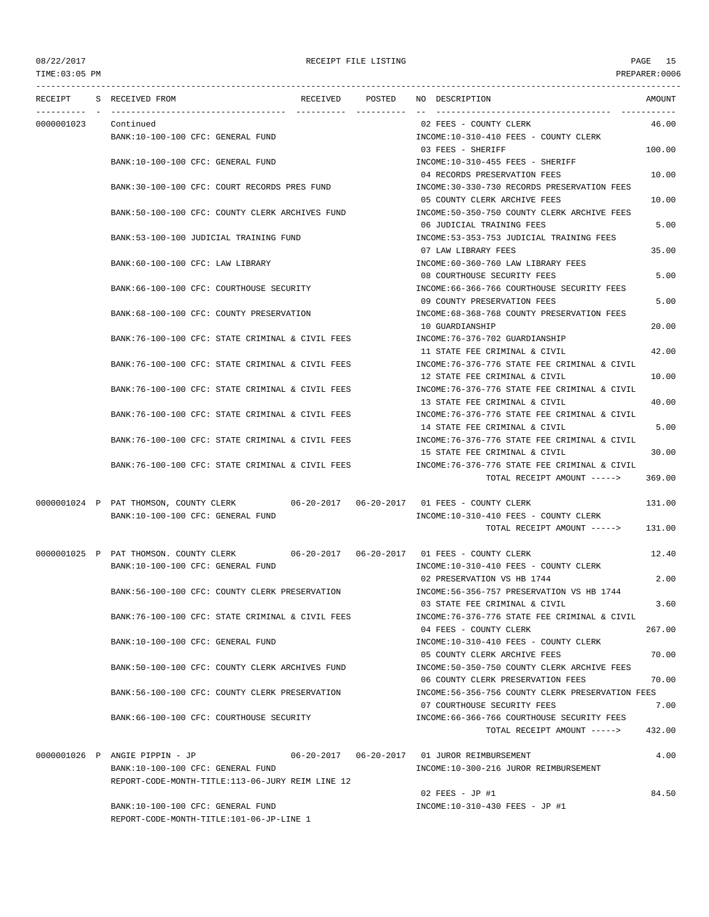| RECEIPT    | S RECEIVED FROM                                                                     | RECEIVED | POSTED | NO DESCRIPTION                                    | AMOUNT |
|------------|-------------------------------------------------------------------------------------|----------|--------|---------------------------------------------------|--------|
| 0000001023 | Continued                                                                           |          |        | 02 FEES - COUNTY CLERK                            | 46.00  |
|            | BANK:10-100-100 CFC: GENERAL FUND                                                   |          |        | INCOME:10-310-410 FEES - COUNTY CLERK             |        |
|            |                                                                                     |          |        | 03 FEES - SHERIFF                                 | 100.00 |
|            | BANK:10-100-100 CFC: GENERAL FUND                                                   |          |        | INCOME:10-310-455 FEES - SHERIFF                  |        |
|            |                                                                                     |          |        | 04 RECORDS PRESERVATION FEES                      | 10.00  |
|            | BANK:30-100-100 CFC: COURT RECORDS PRES FUND                                        |          |        | INCOME: 30-330-730 RECORDS PRESERVATION FEES      |        |
|            |                                                                                     |          |        | 05 COUNTY CLERK ARCHIVE FEES                      | 10.00  |
|            | BANK:50-100-100 CFC: COUNTY CLERK ARCHIVES FUND                                     |          |        | INCOME:50-350-750 COUNTY CLERK ARCHIVE FEES       |        |
|            |                                                                                     |          |        | 06 JUDICIAL TRAINING FEES                         | 5.00   |
|            | BANK: 53-100-100 JUDICIAL TRAINING FUND                                             |          |        | INCOME: 53-353-753 JUDICIAL TRAINING FEES         |        |
|            |                                                                                     |          |        | 07 LAW LIBRARY FEES                               | 35.00  |
|            | BANK:60-100-100 CFC: LAW LIBRARY                                                    |          |        | INCOME:60-360-760 LAW LIBRARY FEES                |        |
|            |                                                                                     |          |        | 08 COURTHOUSE SECURITY FEES                       | 5.00   |
|            | BANK:66-100-100 CFC: COURTHOUSE SECURITY                                            |          |        | INCOME: 66-366-766 COURTHOUSE SECURITY FEES       |        |
|            |                                                                                     |          |        | 09 COUNTY PRESERVATION FEES                       | 5.00   |
|            | BANK:68-100-100 CFC: COUNTY PRESERVATION                                            |          |        | INCOME: 68-368-768 COUNTY PRESERVATION FEES       |        |
|            |                                                                                     |          |        | 10 GUARDIANSHIP                                   | 20.00  |
|            | BANK:76-100-100 CFC: STATE CRIMINAL & CIVIL FEES                                    |          |        | INCOME: 76-376-702 GUARDIANSHIP                   |        |
|            |                                                                                     |          |        | 11 STATE FEE CRIMINAL & CIVIL                     | 42.00  |
|            | BANK:76-100-100 CFC: STATE CRIMINAL & CIVIL FEES                                    |          |        | INCOME:76-376-776 STATE FEE CRIMINAL & CIVIL      |        |
|            |                                                                                     |          |        | 12 STATE FEE CRIMINAL & CIVIL                     | 10.00  |
|            | BANK:76-100-100 CFC: STATE CRIMINAL & CIVIL FEES                                    |          |        | INCOME: 76-376-776 STATE FEE CRIMINAL & CIVIL     |        |
|            |                                                                                     |          |        | 13 STATE FEE CRIMINAL & CIVIL                     | 40.00  |
|            | BANK:76-100-100 CFC: STATE CRIMINAL & CIVIL FEES                                    |          |        | INCOME: 76-376-776 STATE FEE CRIMINAL & CIVIL     |        |
|            |                                                                                     |          |        | 14 STATE FEE CRIMINAL & CIVIL                     | 5.00   |
|            | BANK:76-100-100 CFC: STATE CRIMINAL & CIVIL FEES                                    |          |        | INCOME:76-376-776 STATE FEE CRIMINAL & CIVIL      |        |
|            |                                                                                     |          |        | 15 STATE FEE CRIMINAL & CIVIL                     | 30.00  |
|            | BANK:76-100-100 CFC: STATE CRIMINAL & CIVIL FEES                                    |          |        | INCOME:76-376-776 STATE FEE CRIMINAL & CIVIL      |        |
|            |                                                                                     |          |        | TOTAL RECEIPT AMOUNT ----->                       | 369.00 |
|            | 0000001024 P PAT THOMSON, COUNTY CLERK 06-20-2017 06-20-2017 01 FEES - COUNTY CLERK |          |        |                                                   | 131.00 |
|            | BANK:10-100-100 CFC: GENERAL FUND                                                   |          |        | INCOME:10-310-410 FEES - COUNTY CLERK             |        |
|            |                                                                                     |          |        | TOTAL RECEIPT AMOUNT ----->                       | 131.00 |
|            |                                                                                     |          |        |                                                   |        |
|            | 0000001025 P PAT THOMSON. COUNTY CLERK 06-20-2017 06-20-2017 01 FEES - COUNTY CLERK |          |        |                                                   | 12.40  |
|            | BANK:10-100-100 CFC: GENERAL FUND                                                   |          |        | INCOME:10-310-410 FEES - COUNTY CLERK             |        |
|            |                                                                                     |          |        | 02 PRESERVATION VS HB 1744                        | 2.00   |
|            | BANK:56-100-100 CFC: COUNTY CLERK PRESERVATION                                      |          |        | INCOME: 56-356-757 PRESERVATION VS HB 1744        |        |
|            |                                                                                     |          |        | 03 STATE FEE CRIMINAL & CIVIL                     | 3.60   |
|            | BANK:76-100-100 CFC: STATE CRIMINAL & CIVIL FEES                                    |          |        | INCOME:76-376-776 STATE FEE CRIMINAL & CIVIL      |        |
|            |                                                                                     |          |        | 04 FEES - COUNTY CLERK                            | 267.00 |
|            | BANK:10-100-100 CFC: GENERAL FUND                                                   |          |        | INCOME:10-310-410 FEES - COUNTY CLERK             |        |
|            |                                                                                     |          |        | 05 COUNTY CLERK ARCHIVE FEES                      | 70.00  |
|            | BANK:50-100-100 CFC: COUNTY CLERK ARCHIVES FUND                                     |          |        | INCOME: 50-350-750 COUNTY CLERK ARCHIVE FEES      |        |
|            |                                                                                     |          |        | 06 COUNTY CLERK PRESERVATION FEES                 | 70.00  |
|            | BANK:56-100-100 CFC: COUNTY CLERK PRESERVATION                                      |          |        | INCOME: 56-356-756 COUNTY CLERK PRESERVATION FEES |        |
|            |                                                                                     |          |        | 07 COURTHOUSE SECURITY FEES                       | 7.00   |
|            | BANK:66-100-100 CFC: COURTHOUSE SECURITY                                            |          |        | INCOME:66-366-766 COURTHOUSE SECURITY FEES        |        |
|            |                                                                                     |          |        | TOTAL RECEIPT AMOUNT ----->                       | 432.00 |
|            |                                                                                     |          |        |                                                   |        |
|            | 0000001026 P ANGIE PIPPIN - JP<br>BANK:10-100-100 CFC: GENERAL FUND                 |          |        | INCOME:10-300-216 JUROR REIMBURSEMENT             | 4.00   |
|            | REPORT-CODE-MONTH-TITLE:113-06-JURY REIM LINE 12                                    |          |        |                                                   |        |
|            |                                                                                     |          |        | $02$ FEES - JP #1                                 | 84.50  |
|            | BANK:10-100-100 CFC: GENERAL FUND                                                   |          |        | INCOME:10-310-430 FEES - JP #1                    |        |
|            | REPORT-CODE-MONTH-TITLE:101-06-JP-LINE 1                                            |          |        |                                                   |        |

TIME:03:05 PM PREPARER:0006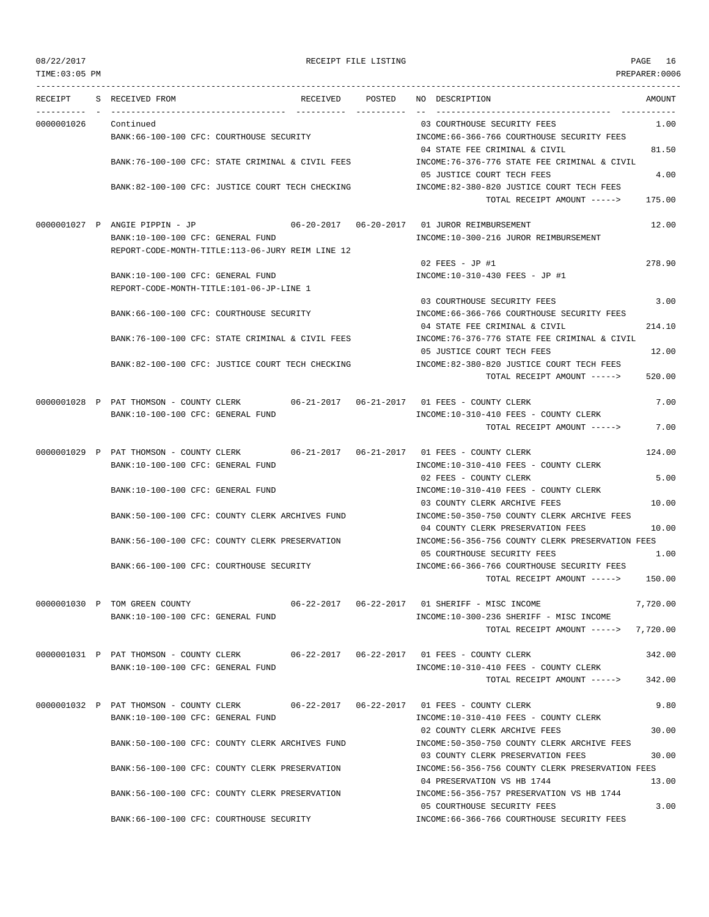TIME:03:05 PM PREPARER:0006 --------------------------------------------------------------------------------------------------------------------------------- RECEIPT S RECEIVED FROM RECEIVED POSTED NO DESCRIPTION AMOUNT ---------- - ----------------------------------- ---------- ---------- -- ----------------------------------- ----------- 0000001026 Continued 03 COURTHOUSE SECURITY FEES 1.00 BANK:66-100-100 CFC: COURTHOUSE SECURITY INCOME:66-366-766 COURTHOUSE SECURITY FEES 04 STATE FEE CRIMINAL & CIVIL 81.50 BANK:76-100-100 CFC: STATE CRIMINAL & CIVIL FEES INCOME:76-376-776 STATE FEE CRIMINAL & CIVIL 05 JUSTICE COURT TECH FEES 4.00 BANK:82-100-100 CFC: JUSTICE COURT TECH CHECKING INCOME:82-380-820 JUSTICE COURT TECH FEES TOTAL RECEIPT AMOUNT -----> 175.00 0000001027 P ANGIE PIPPIN - JP 06-20-2017 06-20-2017 01 JUROR REIMBURSEMENT 12.00 BANK:10-100-100 CFC: GENERAL FUND INCOME:10-300-216 JUROR REIMBURSEMENT REPORT-CODE-MONTH-TITLE:113-06-JURY REIM LINE 12 02 FEES - JP #1 278.90 BANK:10-100-100 CFC: GENERAL FUND INCOME:10-310-430 FEES - JP #1 REPORT-CODE-MONTH-TITLE:101-06-JP-LINE 1 03 COURTHOUSE SECURITY FEES 3.00 BANK:66-100-100 CFC: COURTHOUSE SECURITY INCOME:66-366-766 COURTHOUSE SECURITY FEES 04 STATE FEE CRIMINAL & CIVIL 214.10 BANK:76-100-100 CFC: STATE CRIMINAL & CIVIL FEES INCOME:76-376-776 STATE FEE CRIMINAL & CIVIL 05 JUSTICE COURT TECH FEES 12.00 BANK:82-100-100 CFC: JUSTICE COURT TECH CHECKING INCOME:82-380-820 JUSTICE COURT TECH FEES TOTAL RECEIPT AMOUNT -----> 520.00 0000001028 P PAT THOMSON - COUNTY CLERK 06-21-2017 06-21-2017 01 FEES - COUNTY CLERK 7.00 BANK:10-100-100 CFC: GENERAL FUND INCOME:10-310-410 FEES - COUNTY CLERK TOTAL RECEIPT AMOUNT -----> 7.00 0000001029 P PAT THOMSON - COUNTY CLERK 06-21-2017 06-21-2017 01 FEES - COUNTY CLERK 124.00 BANK:10-100-100 CFC: GENERAL FUND INCOME:10-310-410 FEES - COUNTY CLERK 02 FEES - COUNTY CLERK 5.00 BANK:10-100-100 CFC: GENERAL FUND INCOME:10-310-410 FEES - COUNTY CLERK 03 COUNTY CLERK ARCHIVE FEES 10.00 BANK:50-100-100 CFC: COUNTY CLERK ARCHIVES FUND INCOME:50-350-750 COUNTY CLERK ARCHIVE FEES 04 COUNTY CLERK PRESERVATION FEES 10.00 BANK:56-100-100 CFC: COUNTY CLERK PRESERVATION INCOME:56-356-756 COUNTY CLERK PRESERVATION FEES 05 COURTHOUSE SECURITY FEES 1.00 BANK:66-100-100 CFC: COURTHOUSE SECURITY INCOME:66-366-766 COURTHOUSE SECURITY FEES TOTAL RECEIPT AMOUNT -----> 150.00 0000001030 P TOM GREEN COUNTY 06-22-2017 06-22-2017 01 SHERIFF - MISC INCOME 7,720.00 BANK:10-100-100 CFC: GENERAL FUND INCOME:10-300-236 SHERIFF - MISC INCOME TOTAL RECEIPT AMOUNT -----> 7,720.00 0000001031 P PAT THOMSON - COUNTY CLERK 06-22-2017 06-22-2017 01 FEES - COUNTY CLERK 342.00 BANK:10-100-100 CFC: GENERAL FUND INCOME:10-310-410 FEES - COUNTY CLERK TOTAL RECEIPT AMOUNT -----> 342.00 0000001032 P PAT THOMSON - COUNTY CLERK 06-22-2017 06-22-2017 01 FEES - COUNTY CLERK 9.80 BANK:10-100-100 CFC: GENERAL FUND INCOME:10-310-410 FEES - COUNTY CLERK 02 COUNTY CLERK ARCHIVE FEES 30.00 BANK:50-100-100 CFC: COUNTY CLERK ARCHIVES FUND INCOME:50-350-750 COUNTY CLERK ARCHIVE FEES 03 COUNTY CLERK PRESERVATION FEES 30.00 BANK:56-100-100 CFC: COUNTY CLERK PRESERVATION INCOME:56-356-756 COUNTY CLERK PRESERVATION FEES 04 PRESERVATION VS HB 1744 13.00 BANK:56-100-100 CFC: COUNTY CLERK PRESERVATION INCOME:56-356-757 PRESERVATION VS HB 1744 05 COURTHOUSE SECURITY FEES 3.00

BANK:66-100-100 CFC: COURTHOUSE SECURITY INCOME:66-366-766 COURTHOUSE SECURITY FEES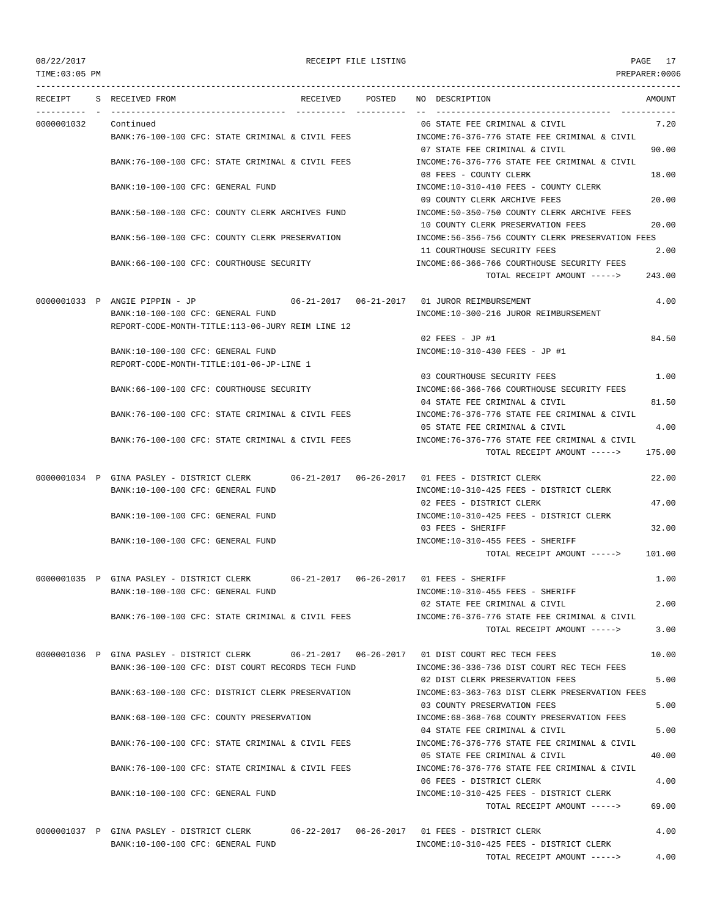TIME:03:05 PM PREPARER:0006 --------------------------------------------------------------------------------------------------------------------------------- RECEIPT S RECEIVED FROM THE RECEIVED POSTED NO DESCRIPTION THE RECEIVED AMOUNT ---------- - ----------------------------------- ---------- ---------- -- ----------------------------------- ----------- 0000001032 Continued 06 STATE FEE CRIMINAL & CIVIL 7.20 BANK:76-100-100 CFC: STATE CRIMINAL & CIVIL FEES INCOME:76-376-776 STATE FEE CRIMINAL & CIVIL 07 STATE FEE CRIMINAL & CIVIL 90.00 BANK:76-100-100 CFC: STATE CRIMINAL & CIVIL FEES INCOME:76-376-776 STATE FEE CRIMINAL & CIVIL 08 FEES - COUNTY CLERK 18.00 BANK:10-100-100 CFC: GENERAL FUND INCOME:10-310-410 FEES - COUNTY CLERK 09 COUNTY CLERK ARCHIVE FEES 20.00 BANK:50-100-100 CFC: COUNTY CLERK ARCHIVES FUND INCOME:50-350-750 COUNTY CLERK ARCHIVE FEES 10 COUNTY CLERK PRESERVATION FEES 20.00 BANK:56-100-100 CFC: COUNTY CLERK PRESERVATION INCOME:56-356-756 COUNTY CLERK PRESERVATION FEES 11 COURTHOUSE SECURITY FEES 2.00 BANK:66-100-100 CFC: COURTHOUSE SECURITY COME:66-366-766 COURTHOUSE SECURITY FEES TOTAL RECEIPT AMOUNT -----> 243.00 0000001033 P ANGIE PIPPIN - JP 06-21-2017 06-21-2017 01 JUROR REIMBURSEMENT 4.00 BANK:10-100-100 CFC: GENERAL FUND INCOME:10-300-216 JUROR REIMBURSEMENT REPORT-CODE-MONTH-TITLE:113-06-JURY REIM LINE 12  $02$  FEES - JP #1 84.50 BANK:10-100-100 CFC: GENERAL FUND INCOME:10-310-430 FEES - JP #1 REPORT-CODE-MONTH-TITLE:101-06-JP-LINE 1 03 COURTHOUSE SECURITY FEES 1.00 BANK:66-100-100 CFC: COURTHOUSE SECURITY INCOME:66-366-766 COURTHOUSE SECURITY FEES 04 STATE FEE CRIMINAL & CIVIL 81.50 BANK:76-100-100 CFC: STATE CRIMINAL & CIVIL FEES INCOME:76-376-776 STATE FEE CRIMINAL & CIVIL 05 STATE FEE CRIMINAL & CIVIL 4.00 BANK:76-100-100 CFC: STATE CRIMINAL & CIVIL FEES INCOME:76-376-776 STATE FEE CRIMINAL & CIVIL TOTAL RECEIPT AMOUNT -----> 175.00 0000001034 P GINA PASLEY - DISTRICT CLERK 06-21-2017 06-26-2017 01 FEES - DISTRICT CLERK 22.00 BANK:10-100-100 CFC: GENERAL FUND **INCOME:10-310-425 FEES - DISTRICT CLERK** 02 FEES - DISTRICT CLERK 47.00 BANK:10-100-100 CFC: GENERAL FUND INCOME:10-310-425 FEES - DISTRICT CLERK 03 FEES - SHERIFF 32.00 BANK:10-100-100 CFC: GENERAL FUND **INCOME:10-310-455 FEES - SHERIFF** TOTAL RECEIPT AMOUNT -----> 101.00 0000001035 P GINA PASLEY - DISTRICT CLERK 06-21-2017 06-26-2017 01 FEES - SHERIFF 1.00 BANK:10-100-100 CFC: GENERAL FUND INCOME:10-310-455 FEES - SHERIFF 02 STATE FEE CRIMINAL & CIVIL 2.00 BANK:76-100-100 CFC: STATE CRIMINAL & CIVIL FEES INCOME:76-376-776 STATE FEE CRIMINAL & CIVIL TOTAL RECEIPT AMOUNT -----> 3.00 0000001036 P GINA PASLEY - DISTRICT CLERK 06-21-2017 06-26-2017 01 DIST COURT REC TECH FEES 10.00 BANK:36-100-100 CFC: DIST COURT RECORDS TECH FUND INCOME:36-336-736 DIST COURT REC TECH FEES 02 DIST CLERK PRESERVATION FEES 6.00 BANK:63-100-100 CFC: DISTRICT CLERK PRESERVATION INCOME:63-363-763 DIST CLERK PRESERVATION FEES 03 COUNTY PRESERVATION FEES 5.00 BANK:68-100-100 CFC: COUNTY PRESERVATION INCOME:68-368-768 COUNTY PRESERVATION FEES 04 STATE FEE CRIMINAL & CIVIL 6 BANK:76-100-100 CFC: STATE CRIMINAL & CIVIL FEES INCOME:76-376-776 STATE FEE CRIMINAL & CIVIL 05 STATE FEE CRIMINAL & CIVIL 40.00 BANK:76-100-100 CFC: STATE CRIMINAL & CIVIL FEES INCOME:76-376-776 STATE FEE CRIMINAL & CIVIL 06 FEES - DISTRICT CLERK 4.00 BANK:10-100-100 CFC: GENERAL FUND INCOME:10-310-425 FEES - DISTRICT CLERK TOTAL RECEIPT AMOUNT -----> 69.00

0000001037 P GINA PASLEY - DISTRICT CLERK 06-22-2017 06-26-2017 01 FEES - DISTRICT CLERK 4.00 BANK:10-100-100 CFC: GENERAL FUND INCOME:10-310-425 FEES - DISTRICT CLERK TOTAL RECEIPT AMOUNT -----> 4.00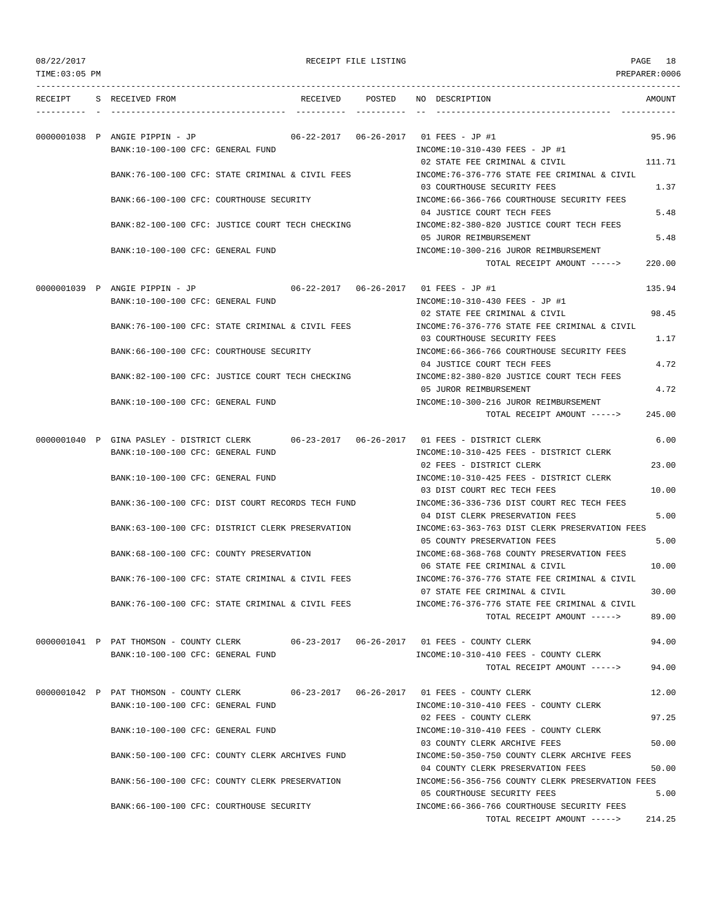|  |  | 08/22/2017 |  |
|--|--|------------|--|
|--|--|------------|--|

## RECEIPT FILE LISTING **PAGE** 18

| TIME:03:05 PM |                                                                              |          |        |                                                                                        | PREPARER:0006 |
|---------------|------------------------------------------------------------------------------|----------|--------|----------------------------------------------------------------------------------------|---------------|
| RECEIPT       | S RECEIVED FROM                                                              | RECEIVED | POSTED | NO DESCRIPTION                                                                         | AMOUNT        |
|               | 0000001038 P ANGIE PIPPIN - JP                                               |          |        | 06-22-2017  06-26-2017  01 FEES - JP #1                                                | 95.96         |
|               | BANK:10-100-100 CFC: GENERAL FUND                                            |          |        | INCOME:10-310-430 FEES - JP #1<br>02 STATE FEE CRIMINAL & CIVIL                        | 111.71        |
|               | BANK:76-100-100 CFC: STATE CRIMINAL & CIVIL FEES                             |          |        | INCOME: 76-376-776 STATE FEE CRIMINAL & CIVIL<br>03 COURTHOUSE SECURITY FEES           |               |
|               | BANK:66-100-100 CFC: COURTHOUSE SECURITY                                     |          |        | INCOME: 66-366-766 COURTHOUSE SECURITY FEES                                            | 1.37          |
|               |                                                                              |          |        | 04 JUSTICE COURT TECH FEES                                                             | 5.48          |
|               | BANK:82-100-100 CFC: JUSTICE COURT TECH CHECKING                             |          |        | INCOME:82-380-820 JUSTICE COURT TECH FEES<br>05 JUROR REIMBURSEMENT                    | 5.48          |
|               | BANK:10-100-100 CFC: GENERAL FUND                                            |          |        | INCOME:10-300-216 JUROR REIMBURSEMENT<br>TOTAL RECEIPT AMOUNT ----->                   | 220.00        |
|               | 0000001039 P ANGIE PIPPIN - JP                                               |          |        | 06-22-2017  06-26-2017  01 FEES - JP #1                                                | 135.94        |
|               | BANK:10-100-100 CFC: GENERAL FUND                                            |          |        | INCOME:10-310-430 FEES - JP #1                                                         |               |
|               | BANK:76-100-100 CFC: STATE CRIMINAL & CIVIL FEES                             |          |        | 02 STATE FEE CRIMINAL & CIVIL<br>INCOME: 76-376-776 STATE FEE CRIMINAL & CIVIL         | 98.45         |
|               |                                                                              |          |        | 03 COURTHOUSE SECURITY FEES                                                            | 1.17          |
|               | BANK:66-100-100 CFC: COURTHOUSE SECURITY                                     |          |        | INCOME: 66-366-766 COURTHOUSE SECURITY FEES<br>04 JUSTICE COURT TECH FEES              | 4.72          |
|               | BANK:82-100-100 CFC: JUSTICE COURT TECH CHECKING                             |          |        | INCOME:82-380-820 JUSTICE COURT TECH FEES                                              |               |
|               | BANK:10-100-100 CFC: GENERAL FUND                                            |          |        | 05 JUROR REIMBURSEMENT<br>INCOME:10-300-216 JUROR REIMBURSEMENT                        | 4.72          |
|               |                                                                              |          |        | TOTAL RECEIPT AMOUNT ----->                                                            | 245.00        |
|               | 0000001040 P GINA PASLEY - DISTRICT CLERK                                    |          |        |                                                                                        | 6.00          |
|               | BANK:10-100-100 CFC: GENERAL FUND                                            |          |        | INCOME:10-310-425 FEES - DISTRICT CLERK<br>02 FEES - DISTRICT CLERK                    | 23.00         |
|               | BANK:10-100-100 CFC: GENERAL FUND                                            |          |        | INCOME:10-310-425 FEES - DISTRICT CLERK                                                |               |
|               | BANK: 36-100-100 CFC: DIST COURT RECORDS TECH FUND                           |          |        | 03 DIST COURT REC TECH FEES<br>INCOME: 36-336-736 DIST COURT REC TECH FEES             | 10.00         |
|               |                                                                              |          |        | 04 DIST CLERK PRESERVATION FEES                                                        | 5.00          |
|               | BANK:63-100-100 CFC: DISTRICT CLERK PRESERVATION                             |          |        | INCOME:63-363-763 DIST CLERK PRESERVATION FEES                                         | 5.00          |
|               | BANK:68-100-100 CFC: COUNTY PRESERVATION                                     |          |        | 05 COUNTY PRESERVATION FEES<br>INCOME: 68-368-768 COUNTY PRESERVATION FEES             |               |
|               |                                                                              |          |        | 06 STATE FEE CRIMINAL & CIVIL                                                          | 10.00         |
|               | BANK:76-100-100 CFC: STATE CRIMINAL & CIVIL FEES                             |          |        | INCOME:76-376-776 STATE FEE CRIMINAL & CIVIL<br>07 STATE FEE CRIMINAL & CIVIL          | 30.00         |
|               | BANK:76-100-100 CFC: STATE CRIMINAL & CIVIL FEES                             |          |        | INCOME: 76-376-776 STATE FEE CRIMINAL & CIVIL                                          |               |
|               |                                                                              |          |        | TOTAL RECEIPT AMOUNT ----->                                                            | 89.00         |
|               |                                                                              |          |        | 0000001041 P PAT THOMSON - COUNTY CLERK 06-23-2017 06-26-2017 01 FEES - COUNTY CLERK   | 94.00         |
|               | BANK:10-100-100 CFC: GENERAL FUND                                            |          |        | INCOME:10-310-410 FEES - COUNTY CLERK<br>TOTAL RECEIPT AMOUNT ----->                   | 94.00         |
|               |                                                                              |          |        |                                                                                        |               |
|               | 0000001042 P PAT THOMSON - COUNTY CLERK<br>BANK:10-100-100 CFC: GENERAL FUND |          |        | INCOME:10-310-410 FEES - COUNTY CLERK                                                  | 12.00         |
|               |                                                                              |          |        | 02 FEES - COUNTY CLERK                                                                 | 97.25         |
|               | BANK:10-100-100 CFC: GENERAL FUND                                            |          |        | INCOME:10-310-410 FEES - COUNTY CLERK<br>03 COUNTY CLERK ARCHIVE FEES                  | 50.00         |
|               | BANK:50-100-100 CFC: COUNTY CLERK ARCHIVES FUND                              |          |        | INCOME:50-350-750 COUNTY CLERK ARCHIVE FEES                                            |               |
|               | BANK: 56-100-100 CFC: COUNTY CLERK PRESERVATION                              |          |        | 04 COUNTY CLERK PRESERVATION FEES<br>INCOME: 56-356-756 COUNTY CLERK PRESERVATION FEES | 50.00         |
|               |                                                                              |          |        | 05 COURTHOUSE SECURITY FEES                                                            | 5.00          |
|               | BANK:66-100-100 CFC: COURTHOUSE SECURITY                                     |          |        | INCOME: 66-366-766 COURTHOUSE SECURITY FEES<br>TOTAL RECEIPT AMOUNT ----->             | 214.25        |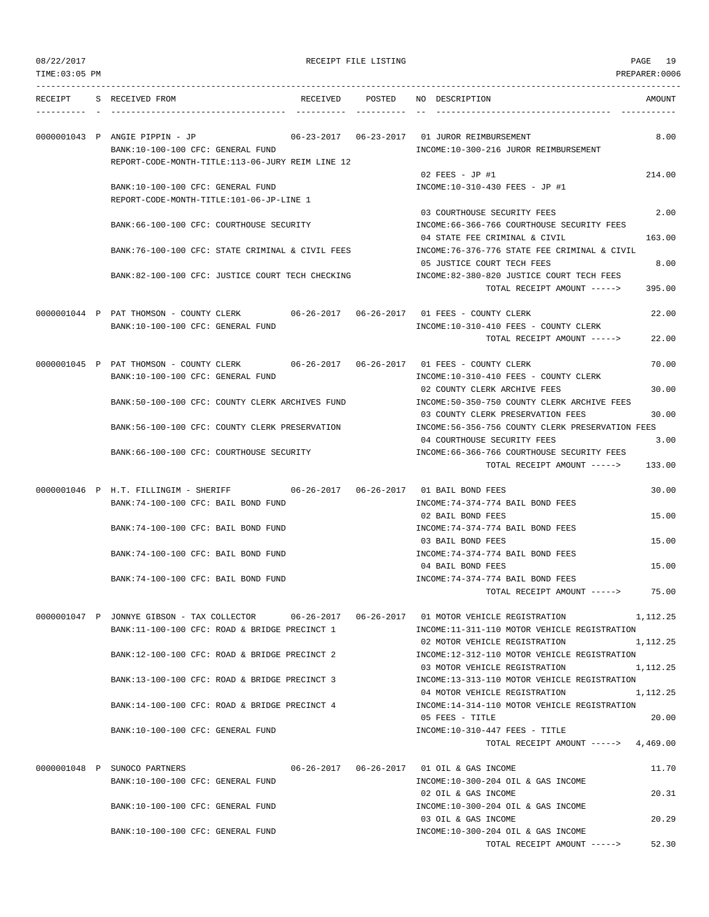|  | 08/22/2017 |  |
|--|------------|--|
|  |            |  |

PAGE THE LISTING RECEIPT FILE LISTING

| TIME: 03:05 PM |                                                                                                                                                 |                                   |                                                                                                             | PREPARER: 0006 |
|----------------|-------------------------------------------------------------------------------------------------------------------------------------------------|-----------------------------------|-------------------------------------------------------------------------------------------------------------|----------------|
| RECEIPT        | S RECEIVED FROM                                                                                                                                 | RECEIVED POSTED                   | NO DESCRIPTION                                                                                              | AMOUNT         |
|                | 0000001043 P ANGIE PIPPIN - JP<br>BANK:10-100-100 CFC: GENERAL FUND                                                                             |                                   | INCOME:10-300-216 JUROR REIMBURSEMENT                                                                       | 8.00           |
|                | REPORT-CODE-MONTH-TITLE:113-06-JURY REIM LINE 12                                                                                                |                                   | 02 FEES - JP #1                                                                                             | 214.00         |
|                | BANK:10-100-100 CFC: GENERAL FUND<br>REPORT-CODE-MONTH-TITLE:101-06-JP-LINE 1                                                                   |                                   | INCOME:10-310-430 FEES - JP #1                                                                              |                |
|                | BANK:66-100-100 CFC: COURTHOUSE SECURITY                                                                                                        |                                   | 03 COURTHOUSE SECURITY FEES<br>INCOME: 66-366-766 COURTHOUSE SECURITY FEES<br>04 STATE FEE CRIMINAL & CIVIL | 2.00<br>163.00 |
|                | BANK:76-100-100 CFC: STATE CRIMINAL & CIVIL FEES                                                                                                |                                   | INCOME:76-376-776 STATE FEE CRIMINAL & CIVIL                                                                |                |
|                | BANK:82-100-100 CFC: JUSTICE COURT TECH CHECKING                                                                                                |                                   | 05 JUSTICE COURT TECH FEES<br>INCOME:82-380-820 JUSTICE COURT TECH FEES<br>TOTAL RECEIPT AMOUNT ----->      | 8.00<br>395.00 |
|                | 0000001044 P PAT THOMSON - COUNTY CLERK                                                                                                         | $06 - 26 - 2017$ $06 - 26 - 2017$ | 01 FEES - COUNTY CLERK                                                                                      | 22.00          |
|                | BANK:10-100-100 CFC: GENERAL FUND                                                                                                               |                                   | INCOME:10-310-410 FEES - COUNTY CLERK<br>TOTAL RECEIPT AMOUNT ----->                                        | 22.00          |
|                | 0000001045 P PAT THOMSON - COUNTY CLERK                                                                                                         |                                   |                                                                                                             | 70.00          |
|                | BANK:10-100-100 CFC: GENERAL FUND                                                                                                               |                                   | INCOME:10-310-410 FEES - COUNTY CLERK<br>02 COUNTY CLERK ARCHIVE FEES                                       | 30.00          |
|                | BANK:50-100-100 CFC: COUNTY CLERK ARCHIVES FUND                                                                                                 |                                   | INCOME:50-350-750 COUNTY CLERK ARCHIVE FEES<br>03 COUNTY CLERK PRESERVATION FEES                            | 30.00          |
|                | BANK: 56-100-100 CFC: COUNTY CLERK PRESERVATION                                                                                                 |                                   | INCOME: 56-356-756 COUNTY CLERK PRESERVATION FEES<br>04 COURTHOUSE SECURITY FEES                            | 3.00           |
|                | BANK:66-100-100 CFC: COURTHOUSE SECURITY                                                                                                        |                                   | INCOME: 66-366-766 COURTHOUSE SECURITY FEES<br>TOTAL RECEIPT AMOUNT ----->                                  | 133.00         |
|                | 0000001046 P H.T. FILLINGIM - SHERIFF                                                                                                           | $06 - 26 - 2017$ $06 - 26 - 2017$ | 01 BAIL BOND FEES                                                                                           | 30.00          |
|                | BANK:74-100-100 CFC: BAIL BOND FUND                                                                                                             |                                   | INCOME: 74-374-774 BAIL BOND FEES<br>02 BAIL BOND FEES                                                      | 15.00          |
|                | BANK:74-100-100 CFC: BAIL BOND FUND                                                                                                             |                                   | INCOME: 74-374-774 BAIL BOND FEES<br>03 BAIL BOND FEES                                                      | 15.00          |
|                | BANK: 74-100-100 CFC: BAIL BOND FUND                                                                                                            |                                   | INCOME: 74-374-774 BAIL BOND FEES<br>04 BAIL BOND FEES                                                      | 15.00          |
|                | BANK:74-100-100 CFC: BAIL BOND FUND                                                                                                             |                                   | INCOME: 74-374-774 BAIL BOND FEES<br>TOTAL RECEIPT AMOUNT ----->                                            | 75.00          |
|                | 0000001047 P JONNYE GIBSON - TAX COLLECTOR 06-26-2017 06-26-2017 01 MOTOR VEHICLE REGISTRATION<br>BANK:11-100-100 CFC: ROAD & BRIDGE PRECINCT 1 |                                   | INCOME:11-311-110 MOTOR VEHICLE REGISTRATION                                                                | 1,112.25       |
|                | BANK:12-100-100 CFC: ROAD & BRIDGE PRECINCT 2                                                                                                   |                                   | 02 MOTOR VEHICLE REGISTRATION<br>INCOME:12-312-110 MOTOR VEHICLE REGISTRATION                               | 1,112.25       |
|                | BANK:13-100-100 CFC: ROAD & BRIDGE PRECINCT 3                                                                                                   |                                   | 03 MOTOR VEHICLE REGISTRATION<br>INCOME:13-313-110 MOTOR VEHICLE REGISTRATION                               | 1,112.25       |
|                | BANK:14-100-100 CFC: ROAD & BRIDGE PRECINCT 4                                                                                                   |                                   | 04 MOTOR VEHICLE REGISTRATION<br>INCOME:14-314-110 MOTOR VEHICLE REGISTRATION                               | 1,112.25       |
|                | BANK:10-100-100 CFC: GENERAL FUND                                                                                                               |                                   | 05 FEES - TITLE<br>$INCOME: 10-310-447$ FEES - TITLE                                                        | 20.00          |
|                |                                                                                                                                                 |                                   | TOTAL RECEIPT AMOUNT -----> 4,469.00                                                                        |                |
|                | 0000001048 P SUNOCO PARTNERS<br>BANK:10-100-100 CFC: GENERAL FUND                                                                               |                                   | 06-26-2017  06-26-2017  01 OIL & GAS INCOME<br>INCOME:10-300-204 OIL & GAS INCOME                           | 11.70          |
|                | BANK:10-100-100 CFC: GENERAL FUND                                                                                                               |                                   | 02 OIL & GAS INCOME<br>INCOME:10-300-204 OIL & GAS INCOME                                                   | 20.31          |
|                | BANK:10-100-100 CFC: GENERAL FUND                                                                                                               |                                   | 03 OIL & GAS INCOME<br>INCOME:10-300-204 OIL & GAS INCOME                                                   | 20.29          |
|                |                                                                                                                                                 |                                   | TOTAL RECEIPT AMOUNT ----->                                                                                 | 52.30          |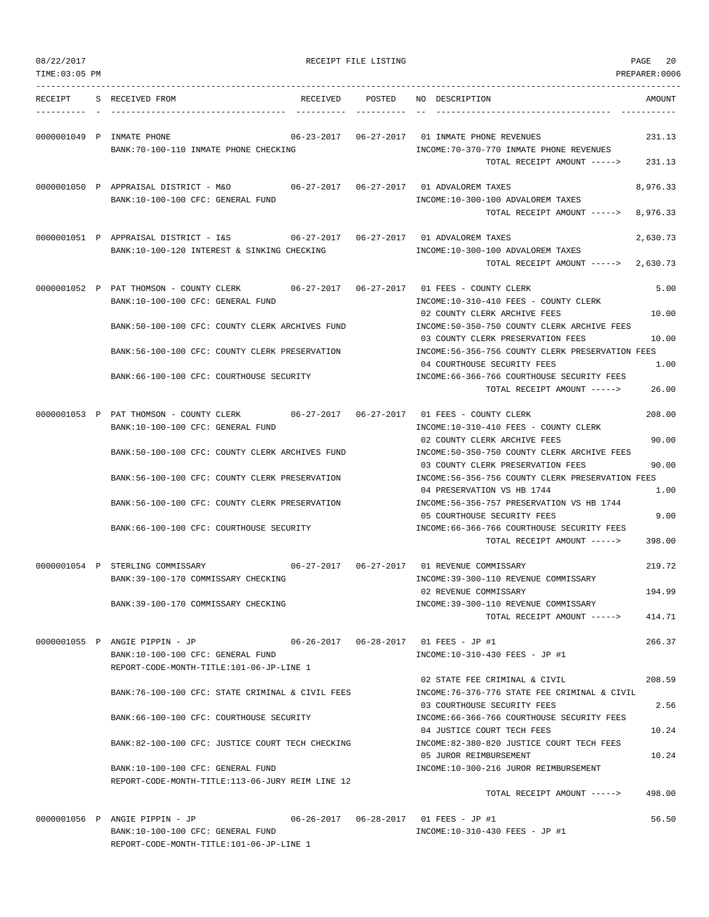| TIME:03:05 PM |                                                                                                                               |                                   |                                                                                                                                      | PREPARER:0006        |
|---------------|-------------------------------------------------------------------------------------------------------------------------------|-----------------------------------|--------------------------------------------------------------------------------------------------------------------------------------|----------------------|
| RECEIPT       | S RECEIVED FROM                                                                                                               | RECEIVED POSTED                   | NO DESCRIPTION                                                                                                                       | AMOUNT               |
|               | 0000001049 P INMATE PHONE<br>BANK: 70-100-110 INMATE PHONE CHECKING                                                           |                                   | 06-23-2017  06-27-2017  01 INMATE PHONE REVENUES<br>INCOME: 70-370-770 INMATE PHONE REVENUES<br>TOTAL RECEIPT AMOUNT ----->          | 231.13<br>231.13     |
|               | BANK:10-100-100 CFC: GENERAL FUND                                                                                             |                                   | INCOME:10-300-100 ADVALOREM TAXES<br>TOTAL RECEIPT AMOUNT ----->                                                                     | 8,976.33<br>8,976.33 |
|               | 0000001051 P APPRAISAL DISTRICT - I&S 66-27-2017 06-27-2017 01 ADVALOREM TAXES<br>BANK:10-100-120 INTEREST & SINKING CHECKING |                                   | INCOME:10-300-100 ADVALOREM TAXES<br>TOTAL RECEIPT AMOUNT ----->                                                                     | 2,630.73<br>2,630.73 |
|               | 0000001052 P PAT THOMSON - COUNTY CLERK<br>BANK:10-100-100 CFC: GENERAL FUND                                                  |                                   | INCOME:10-310-410 FEES - COUNTY CLERK<br>02 COUNTY CLERK ARCHIVE FEES                                                                | 5.00<br>10.00        |
|               | BANK:50-100-100 CFC: COUNTY CLERK ARCHIVES FUND<br>BANK:56-100-100 CFC: COUNTY CLERK PRESERVATION                             |                                   | INCOME:50-350-750 COUNTY CLERK ARCHIVE FEES<br>03 COUNTY CLERK PRESERVATION FEES<br>INCOME:56-356-756 COUNTY CLERK PRESERVATION FEES | 10.00                |
|               | BANK: 66-100-100 CFC: COURTHOUSE SECURITY                                                                                     |                                   | 04 COURTHOUSE SECURITY FEES<br>INCOME:66-366-766 COURTHOUSE SECURITY FEES<br>TOTAL RECEIPT AMOUNT ----->                             | 1.00<br>26.00        |
|               | 0000001053 P PAT THOMSON - COUNTY CLERK<br>BANK:10-100-100 CFC: GENERAL FUND                                                  |                                   | INCOME:10-310-410 FEES - COUNTY CLERK<br>02 COUNTY CLERK ARCHIVE FEES                                                                | 208.00<br>90.00      |
|               | BANK:50-100-100 CFC: COUNTY CLERK ARCHIVES FUND                                                                               |                                   | INCOME: 50-350-750 COUNTY CLERK ARCHIVE FEES<br>03 COUNTY CLERK PRESERVATION FEES                                                    | 90.00                |
|               | BANK:56-100-100 CFC: COUNTY CLERK PRESERVATION<br>BANK:56-100-100 CFC: COUNTY CLERK PRESERVATION                              |                                   | INCOME:56-356-756 COUNTY CLERK PRESERVATION FEES<br>04 PRESERVATION VS HB 1744<br>INCOME: 56-356-757 PRESERVATION VS HB 1744         | 1.00                 |
|               | BANK:66-100-100 CFC: COURTHOUSE SECURITY                                                                                      |                                   | 05 COURTHOUSE SECURITY FEES<br>INCOME:66-366-766 COURTHOUSE SECURITY FEES<br>TOTAL RECEIPT AMOUNT ----->                             | 9.00<br>398.00       |
|               | 0000001054 P STERLING COMMISSARY<br>BANK:39-100-170 COMMISSARY CHECKING                                                       | $06 - 27 - 2017$ $06 - 27 - 2017$ | 01 REVENUE COMMISSARY<br>INCOME: 39-300-110 REVENUE COMMISSARY                                                                       | 219.72               |
|               | BANK:39-100-170 COMMISSARY CHECKING                                                                                           |                                   | 02 REVENUE COMMISSARY<br>INCOME: 39-300-110 REVENUE COMMISSARY<br>TOTAL RECEIPT AMOUNT ----->                                        | 194.99<br>414.71     |
|               | 0000001055 P ANGIE PIPPIN - JP<br>BANK:10-100-100 CFC: GENERAL FUND<br>REPORT-CODE-MONTH-TITLE:101-06-JP-LINE 1               |                                   | INCOME:10-310-430 FEES - JP #1                                                                                                       | 266.37               |
|               | BANK:76-100-100 CFC: STATE CRIMINAL & CIVIL FEES                                                                              |                                   | 02 STATE FEE CRIMINAL & CIVIL<br>INCOME: 76-376-776 STATE FEE CRIMINAL & CIVIL                                                       | 208.59               |
|               | BANK:66-100-100 CFC: COURTHOUSE SECURITY                                                                                      |                                   | 03 COURTHOUSE SECURITY FEES<br>INCOME: 66-366-766 COURTHOUSE SECURITY FEES                                                           | 2.56                 |
|               | BANK:82-100-100 CFC: JUSTICE COURT TECH CHECKING                                                                              |                                   | 04 JUSTICE COURT TECH FEES<br>INCOME:82-380-820 JUSTICE COURT TECH FEES<br>05 JUROR REIMBURSEMENT                                    | 10.24<br>10.24       |
|               | BANK:10-100-100 CFC: GENERAL FUND<br>REPORT-CODE-MONTH-TITLE:113-06-JURY REIM LINE 12                                         |                                   | INCOME:10-300-216 JUROR REIMBURSEMENT<br>TOTAL RECEIPT AMOUNT ----->                                                                 | 498.00               |
|               |                                                                                                                               |                                   |                                                                                                                                      |                      |

0000001056 P ANGIE PIPPIN - JP 06-26-2017 06-28-2017 01 FEES - JP #1 56.50 BANK:10-100-100 CFC: GENERAL FUND INCOME:10-310-430 FEES - JP #1 REPORT-CODE-MONTH-TITLE:101-06-JP-LINE 1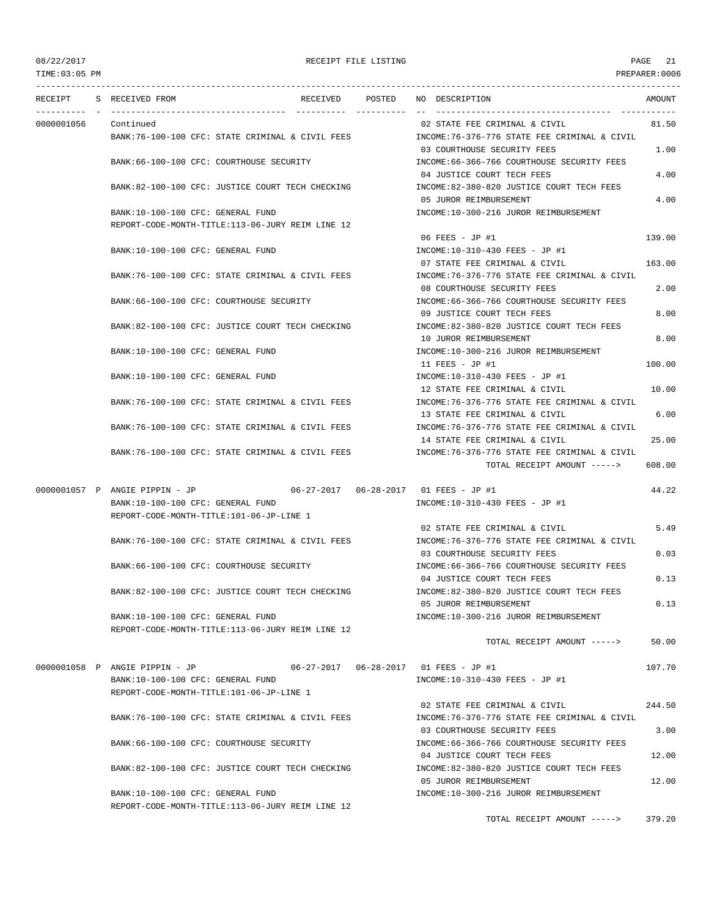TIME:03:05 PM PREPARER:0006 --------------------------------------------------------------------------------------------------------------------------------- RECEIPT S RECEIVED FROM RECEIVED POSTED NO DESCRIPTION AMOUNT ---------- - ----------------------------------- ---------- ---------- -- ----------------------------------- ----------- 0000001056 Continued 02 STATE FEE CRIMINAL & CIVIL 81.50 BANK:76-100-100 CFC: STATE CRIMINAL & CIVIL FEES INCOME:76-376-776 STATE FEE CRIMINAL & CIVIL 03 COURTHOUSE SECURITY FEES 1.00 BANK:66-100-100 CFC: COURTHOUSE SECURITY INCOME:66-366-766 COURTHOUSE SECURITY FEES 04 JUSTICE COURT TECH FEES 4.00 BANK:82-100-100 CFC: JUSTICE COURT TECH CHECKING INCOME:82-380-820 JUSTICE COURT TECH FEES 05 JUROR REIMBURSEMENT 4.00 BANK:10-100-100 CFC: GENERAL FUND INCOME:10-300-216 JUROR REIMBURSEMENT REPORT-CODE-MONTH-TITLE:113-06-JURY REIM LINE 12 06 FEES - JP #1 139.00 BANK:10-100-100 CFC: GENERAL FUND INCOME:10-310-430 FEES - JP #1 07 STATE FEE CRIMINAL & CIVIL 163.00 BANK:76-100-100 CFC: STATE CRIMINAL & CIVIL FEES INCOME:76-376-776 STATE FEE CRIMINAL & CIVIL 08 COURTHOUSE SECURITY FEES 2.00 BANK:66-100-100 CFC: COURTHOUSE SECURITY INCOME:66-366-766 COURTHOUSE SECURITY FEES 09 JUSTICE COURT TECH FEES 8.00 BANK:82-100-100 CFC: JUSTICE COURT TECH CHECKING INCOME:82-380-820 JUSTICE COURT TECH FEES 10 JUROR REIMBURSEMENT 8.00 BANK:10-100-100 CFC: GENERAL FUND INCOME:10-300-216 JUROR REIMBURSEMENT 11 FEES - JP #1 100.00 BANK:10-100-100 CFC: GENERAL FUND INCOME:10-310-430 FEES - JP #1 12 STATE FEE CRIMINAL & CIVIL 10.00 BANK:76-100-100 CFC: STATE CRIMINAL & CIVIL FEES INCOME:76-376-776 STATE FEE CRIMINAL & CIVIL 13 STATE FEE CRIMINAL & CIVIL 6.00 BANK:76-100-100 CFC: STATE CRIMINAL & CIVIL FEES INCOME:76-376-776 STATE FEE CRIMINAL & CIVIL 14 STATE FEE CRIMINAL & CIVIL 25.00 BANK:76-100-100 CFC: STATE CRIMINAL & CIVIL FEES INCOME:76-376-776 STATE FEE CRIMINAL & CIVIL TOTAL RECEIPT AMOUNT -----> 608.00 0000001057 P ANGIE PIPPIN - JP 06-27-2017 06-28-2017 01 FEES - JP #1 44.22 BANK:10-100-100 CFC: GENERAL FUND **INCOME:10-310-430 FEES** - JP #1 REPORT-CODE-MONTH-TITLE:101-06-JP-LINE 1 02 STATE FEE CRIMINAL & CIVIL 5.49 BANK:76-100-100 CFC: STATE CRIMINAL & CIVIL FEES INCOME:76-376-776 STATE FEE CRIMINAL & CIVIL 03 COURTHOUSE SECURITY FEES 0.03 BANK:66-100-100 CFC: COURTHOUSE SECURITY INCOME:66-366-766 COURTHOUSE SECURITY FEES 04 JUSTICE COURT TECH FEES 0.13 BANK:82-100-100 CFC: JUSTICE COURT TECH CHECKING INCOME:82-380-820 JUSTICE COURT TECH FEES 05 JUROR REIMBURSEMENT 0.13 BANK:10-100-100 CFC: GENERAL FUND INCOME:10-300-216 JUROR REIMBURSEMENT REPORT-CODE-MONTH-TITLE:113-06-JURY REIM LINE 12 TOTAL RECEIPT AMOUNT -----> 50.00 0000001058 P ANGIE PIPPIN - JP 06-27-2017 06-28-2017 01 FEES - JP #1 107.70 BANK:10-100-100 CFC: GENERAL FUND INCOME:10-310-430 FEES - JP #1 REPORT-CODE-MONTH-TITLE:101-06-JP-LINE 1 02 STATE FEE CRIMINAL & CIVIL 244.50 BANK:76-100-100 CFC: STATE CRIMINAL & CIVIL FEES INCOME:76-376-776 STATE FEE CRIMINAL & CIVIL 03 COURTHOUSE SECURITY FEES 3.00 BANK:66-100-100 CFC: COURTHOUSE SECURITY INCOME:66-366-766 COURTHOUSE SECURITY FEES 04 JUSTICE COURT TECH FEES 12.00 BANK:82-100-100 CFC: JUSTICE COURT TECH CHECKING INCOME:82-380-820 JUSTICE COURT TECH FEES 05 JUROR REIMBURSEMENT 12.00 BANK:10-100-100 CFC: GENERAL FUND INCOME:10-300-216 JUROR REIMBURSEMENT REPORT-CODE-MONTH-TITLE:113-06-JURY REIM LINE 12 TOTAL RECEIPT AMOUNT -----> 379.20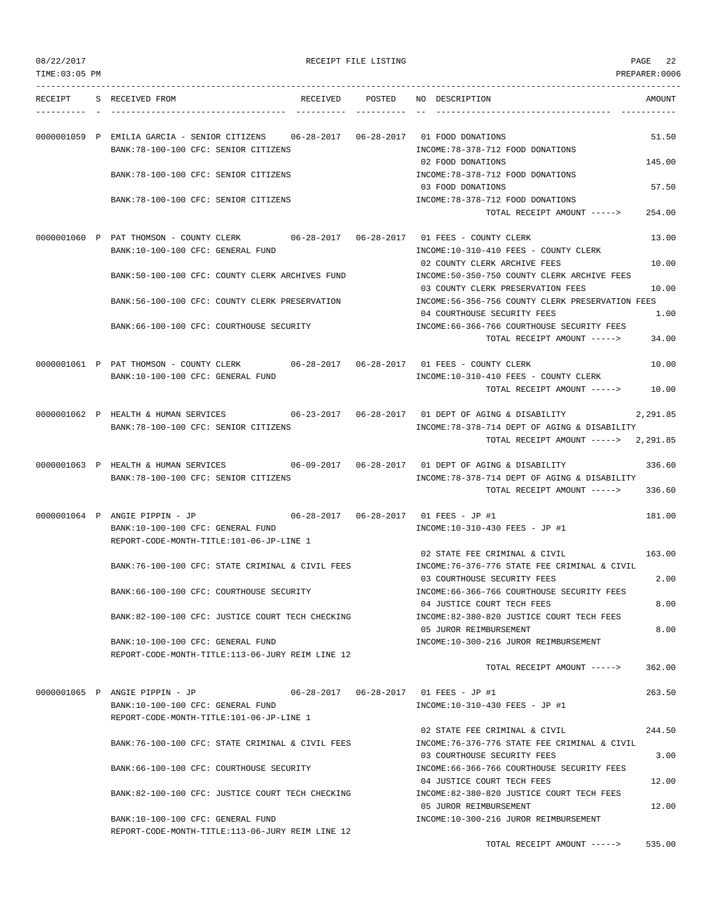| 08/22/2017 |  |
|------------|--|
|------------|--|

| 08/22/2017     |                                                                                                                                   | RECEIPT FILE LISTING |                                                                                                          | 22<br>PAGE    |
|----------------|-----------------------------------------------------------------------------------------------------------------------------------|----------------------|----------------------------------------------------------------------------------------------------------|---------------|
| TIME: 03:05 PM |                                                                                                                                   |                      |                                                                                                          | PREPARER:0006 |
|                | RECEIPT S RECEIVED FROM                                                                                                           | RECEIVED POSTED      | NO DESCRIPTION                                                                                           | AMOUNT        |
|                | 0000001059 P EMILIA GARCIA - SENIOR CITIZENS 06-28-2017 06-28-2017 01 FOOD DONATIONS                                              |                      |                                                                                                          | 51.50         |
|                | BANK: 78-100-100 CFC: SENIOR CITIZENS                                                                                             |                      | INCOME: 78-378-712 FOOD DONATIONS<br>02 FOOD DONATIONS                                                   | 145.00        |
|                | BANK: 78-100-100 CFC: SENIOR CITIZENS                                                                                             |                      | INCOME: 78-378-712 FOOD DONATIONS<br>03 FOOD DONATIONS                                                   | 57.50         |
|                | BANK: 78-100-100 CFC: SENIOR CITIZENS                                                                                             |                      | INCOME: 78-378-712 FOOD DONATIONS<br>TOTAL RECEIPT AMOUNT ----->                                         | 254.00        |
|                | 0000001060 P PAT THOMSON - COUNTY CLERK 06-28-2017 06-28-2017 01 FEES - COUNTY CLERK                                              |                      |                                                                                                          | 13.00         |
|                | BANK:10-100-100 CFC: GENERAL FUND                                                                                                 |                      | INCOME:10-310-410 FEES - COUNTY CLERK<br>02 COUNTY CLERK ARCHIVE FEES                                    | 10.00         |
|                | BANK:50-100-100 CFC: COUNTY CLERK ARCHIVES FUND                                                                                   |                      | INCOME:50-350-750 COUNTY CLERK ARCHIVE FEES<br>03 COUNTY CLERK PRESERVATION FEES                         | 10.00         |
|                | BANK:56-100-100 CFC: COUNTY CLERK PRESERVATION                                                                                    |                      | INCOME:56-356-756 COUNTY CLERK PRESERVATION FEES                                                         |               |
|                | BANK: 66-100-100 CFC: COURTHOUSE SECURITY                                                                                         |                      | 04 COURTHOUSE SECURITY FEES<br>INCOME:66-366-766 COURTHOUSE SECURITY FEES<br>TOTAL RECEIPT AMOUNT -----> | 1.00<br>34.00 |
|                | 0000001061 P PAT THOMSON - COUNTY CLERK 06-28-2017 06-28-2017 01 FEES - COUNTY CLERK                                              |                      |                                                                                                          | 10.00         |
|                | BANK:10-100-100 CFC: GENERAL FUND                                                                                                 |                      | INCOME:10-310-410 FEES - COUNTY CLERK<br>TOTAL RECEIPT AMOUNT ----->                                     | 10.00         |
|                |                                                                                                                                   |                      |                                                                                                          |               |
|                | 0000001062 P HEALTH & HUMAN SERVICES 66-23-2017 06-28-2017 01 DEPT OF AGING & DISABILITY<br>BANK: 78-100-100 CFC: SENIOR CITIZENS |                      | INCOME: 78-378-714 DEPT OF AGING & DISABILITY<br>TOTAL RECEIPT AMOUNT -----> 2,291.85                    | 2,291.85      |
|                | 0000001063 P HEALTH & HUMAN SERVICES                                                                                              |                      |                                                                                                          | 336.60        |
|                | BANK: 78-100-100 CFC: SENIOR CITIZENS                                                                                             |                      | INCOME:78-378-714 DEPT OF AGING & DISABILITY<br>TOTAL RECEIPT AMOUNT ----->                              | 336.60        |
|                | 0000001064 P ANGIE PIPPIN - JP 06-28-2017 06-28-2017 01 FEES - JP #1                                                              |                      |                                                                                                          | 181.00        |
|                | BANK:10-100-100 CFC: GENERAL FUND<br>REPORT-CODE-MONTH-TITLE:101-06-JP-LINE 1                                                     |                      | INCOME:10-310-430 FEES - JP #1                                                                           |               |
|                | BANK:76-100-100 CFC: STATE CRIMINAL & CIVIL FEES                                                                                  |                      | 02 STATE FEE CRIMINAL & CIVIL<br>INCOME:76-376-776 STATE FEE CRIMINAL & CIVIL                            | 163.00        |
|                | BANK:66-100-100 CFC: COURTHOUSE SECURITY                                                                                          |                      | 03 COURTHOUSE SECURITY FEES<br>INCOME:66-366-766 COURTHOUSE SECURITY FEES                                | 2.00          |
|                | BANK:82-100-100 CFC: JUSTICE COURT TECH CHECKING                                                                                  |                      | 04 JUSTICE COURT TECH FEES<br>INCOME:82-380-820 JUSTICE COURT TECH FEES                                  | 8.00          |
|                | BANK:10-100-100 CFC: GENERAL FUND                                                                                                 |                      | 05 JUROR REIMBURSEMENT<br>INCOME:10-300-216 JUROR REIMBURSEMENT                                          | 8.00          |
|                | REPORT-CODE-MONTH-TITLE:113-06-JURY REIM LINE 12                                                                                  |                      | TOTAL RECEIPT AMOUNT ----->                                                                              | 362.00        |
|                | 0000001065 P ANGIE PIPPIN - JP                                                                                                    |                      |                                                                                                          | 263.50        |
|                | BANK:10-100-100 CFC: GENERAL FUND<br>REPORT-CODE-MONTH-TITLE:101-06-JP-LINE 1                                                     |                      | INCOME:10-310-430 FEES - JP #1                                                                           |               |
|                | BANK:76-100-100 CFC: STATE CRIMINAL & CIVIL FEES                                                                                  |                      | 02 STATE FEE CRIMINAL & CIVIL<br>INCOME: 76-376-776 STATE FEE CRIMINAL & CIVIL                           | 244.50        |
|                | BANK:66-100-100 CFC: COURTHOUSE SECURITY                                                                                          |                      | 03 COURTHOUSE SECURITY FEES<br>INCOME: 66-366-766 COURTHOUSE SECURITY FEES                               | 3.00          |
|                | BANK:82-100-100 CFC: JUSTICE COURT TECH CHECKING                                                                                  |                      | 04 JUSTICE COURT TECH FEES<br>INCOME:82-380-820 JUSTICE COURT TECH FEES                                  | 12.00         |
|                |                                                                                                                                   |                      | 05 JUROR REIMBURSEMENT                                                                                   | 12.00         |
|                | BANK:10-100-100 CFC: GENERAL FUND<br>REPORT-CODE-MONTH-TITLE:113-06-JURY REIM LINE 12                                             |                      | INCOME:10-300-216 JUROR REIMBURSEMENT                                                                    |               |

TOTAL RECEIPT AMOUNT -----> 535.00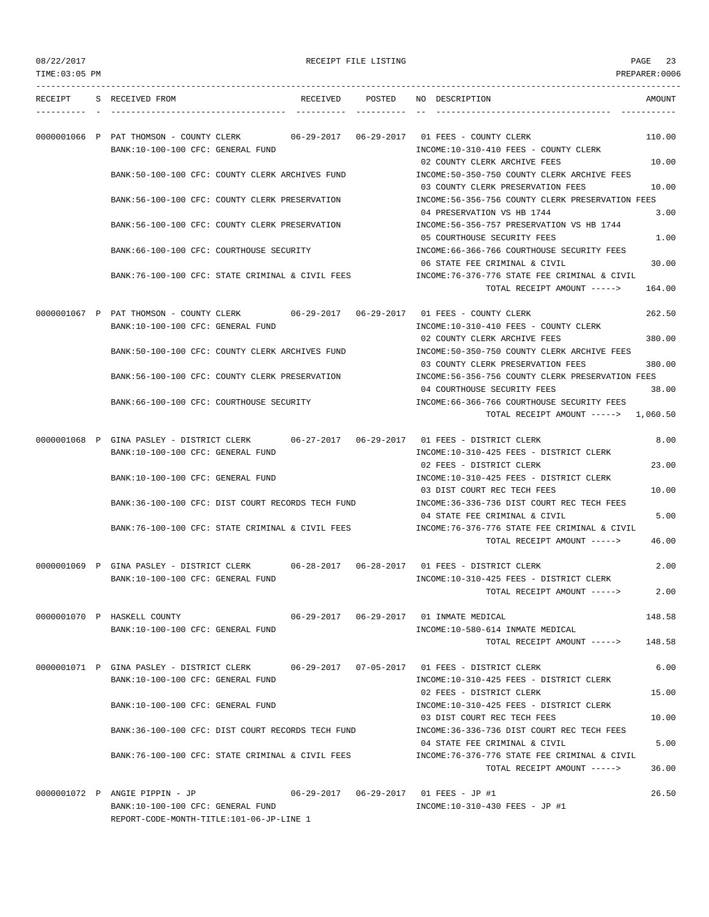|  | 08/22/2017 |  |
|--|------------|--|
|  |            |  |

| 08/22/2017<br>TIME: 03:05 PM |                                                                                                                               | RECEIPT FILE LISTING |                                                                                                                  | 23<br>PAGE<br>PREPARER:0006 |
|------------------------------|-------------------------------------------------------------------------------------------------------------------------------|----------------------|------------------------------------------------------------------------------------------------------------------|-----------------------------|
|                              | RECEIPT S RECEIVED FROM                                                                                                       |                      | RECEIVED POSTED NO DESCRIPTION                                                                                   | AMOUNT                      |
|                              | 0000001066 P PAT THOMSON - COUNTY CLERK 06-29-2017 06-29-2017 01 FEES - COUNTY CLERK<br>BANK:10-100-100 CFC: GENERAL FUND     |                      | INCOME:10-310-410 FEES - COUNTY CLERK                                                                            | 110.00                      |
|                              | BANK:50-100-100 CFC: COUNTY CLERK ARCHIVES FUND                                                                               |                      | 02 COUNTY CLERK ARCHIVE FEES<br>INCOME:50-350-750 COUNTY CLERK ARCHIVE FEES<br>03 COUNTY CLERK PRESERVATION FEES | 10.00<br>10.00              |
|                              | BANK:56-100-100 CFC: COUNTY CLERK PRESERVATION                                                                                |                      | INCOME:56-356-756 COUNTY CLERK PRESERVATION FEES                                                                 |                             |
|                              | BANK:56-100-100 CFC: COUNTY CLERK PRESERVATION                                                                                |                      | 04 PRESERVATION VS HB 1744<br>INCOME: 56-356-757 PRESERVATION VS HB 1744<br>05 COURTHOUSE SECURITY FEES          | 3.00<br>1.00                |
|                              | BANK:66-100-100 CFC: COURTHOUSE SECURITY                                                                                      |                      | INCOME: 66-366-766 COURTHOUSE SECURITY FEES<br>06 STATE FEE CRIMINAL & CIVIL                                     | 30.00                       |
|                              | BANK:76-100-100 CFC: STATE CRIMINAL & CIVIL FEES                                                                              |                      | INCOME:76-376-776 STATE FEE CRIMINAL & CIVIL<br>TOTAL RECEIPT AMOUNT ----->                                      | 164.00                      |
|                              | 0000001067 P PAT THOMSON - COUNTY CLERK                                                                                       |                      |                                                                                                                  | 262.50                      |
|                              | BANK:10-100-100 CFC: GENERAL FUND                                                                                             |                      | INCOME:10-310-410 FEES - COUNTY CLERK                                                                            |                             |
|                              | BANK:50-100-100 CFC: COUNTY CLERK ARCHIVES FUND                                                                               |                      | 02 COUNTY CLERK ARCHIVE FEES<br>INCOME:50-350-750 COUNTY CLERK ARCHIVE FEES                                      | 380.00                      |
|                              | BANK:56-100-100 CFC: COUNTY CLERK PRESERVATION                                                                                |                      | 03 COUNTY CLERK PRESERVATION FEES<br>INCOME:56-356-756 COUNTY CLERK PRESERVATION FEES                            | 380.00                      |
|                              | BANK:66-100-100 CFC: COURTHOUSE SECURITY                                                                                      |                      | 04 COURTHOUSE SECURITY FEES<br>INCOME: 66-366-766 COURTHOUSE SECURITY FEES                                       | 38.00                       |
|                              |                                                                                                                               |                      | TOTAL RECEIPT AMOUNT -----> 1,060.50                                                                             |                             |
|                              | 0000001068 P GINA PASLEY - DISTRICT CLERK 06-27-2017 06-29-2017 01 FEES - DISTRICT CLERK<br>BANK:10-100-100 CFC: GENERAL FUND |                      | INCOME:10-310-425 FEES - DISTRICT CLERK                                                                          | 8.00                        |
|                              |                                                                                                                               |                      | 02 FEES - DISTRICT CLERK                                                                                         | 23.00                       |
|                              | BANK:10-100-100 CFC: GENERAL FUND                                                                                             |                      | INCOME:10-310-425 FEES - DISTRICT CLERK<br>03 DIST COURT REC TECH FEES                                           | 10.00                       |
|                              | BANK:36-100-100 CFC: DIST COURT RECORDS TECH FUND                                                                             |                      | INCOME: 36-336-736 DIST COURT REC TECH FEES<br>04 STATE FEE CRIMINAL & CIVIL                                     | 5.00                        |
|                              | BANK:76-100-100 CFC: STATE CRIMINAL & CIVIL FEES                                                                              |                      | INCOME:76-376-776 STATE FEE CRIMINAL & CIVIL<br>TOTAL RECEIPT AMOUNT ----->                                      | 46.00                       |
|                              | 0000001069 P GINA PASLEY - DISTRICT CLERK                                                                                     |                      |                                                                                                                  | 2.00                        |
|                              | BANK:10-100-100 CFC: GENERAL FUND                                                                                             |                      | INCOME:10-310-425 FEES - DISTRICT CLERK<br>TOTAL RECEIPT AMOUNT ----->                                           | 2.00                        |
|                              | 0000001070 P HASKELL COUNTY                                                                                                   |                      |                                                                                                                  | 148.58                      |
|                              | BANK:10-100-100 CFC: GENERAL FUND                                                                                             |                      | INCOME:10-580-614 INMATE MEDICAL<br>TOTAL RECEIPT AMOUNT ----->                                                  | 148.58                      |
|                              | 0000001071 P GINA PASLEY - DISTRICT CLERK<br>BANK:10-100-100 CFC: GENERAL FUND                                                |                      | 06-29-2017  07-05-2017  01 FEES - DISTRICT CLERK<br>INCOME:10-310-425 FEES - DISTRICT CLERK                      | 6.00                        |
|                              | BANK:10-100-100 CFC: GENERAL FUND                                                                                             |                      | 02 FEES - DISTRICT CLERK<br>INCOME:10-310-425 FEES - DISTRICT CLERK                                              | 15.00                       |
|                              |                                                                                                                               |                      | 03 DIST COURT REC TECH FEES                                                                                      | 10.00                       |
|                              | BANK:36-100-100 CFC: DIST COURT RECORDS TECH FUND                                                                             |                      | INCOME: 36-336-736 DIST COURT REC TECH FEES<br>04 STATE FEE CRIMINAL & CIVIL                                     | 5.00                        |
|                              | BANK:76-100-100 CFC: STATE CRIMINAL & CIVIL FEES                                                                              |                      | INCOME:76-376-776 STATE FEE CRIMINAL & CIVIL<br>TOTAL RECEIPT AMOUNT ----->                                      | 36.00                       |
|                              | 0000001072 P ANGIE PIPPIN - JP                                                                                                |                      | 06-29-2017  06-29-2017  01 FEES - JP #1                                                                          | 26.50                       |

BANK:10-100-100 CFC: GENERAL FUND INCOME:10-310-430 FEES - JP #1

REPORT-CODE-MONTH-TITLE:101-06-JP-LINE 1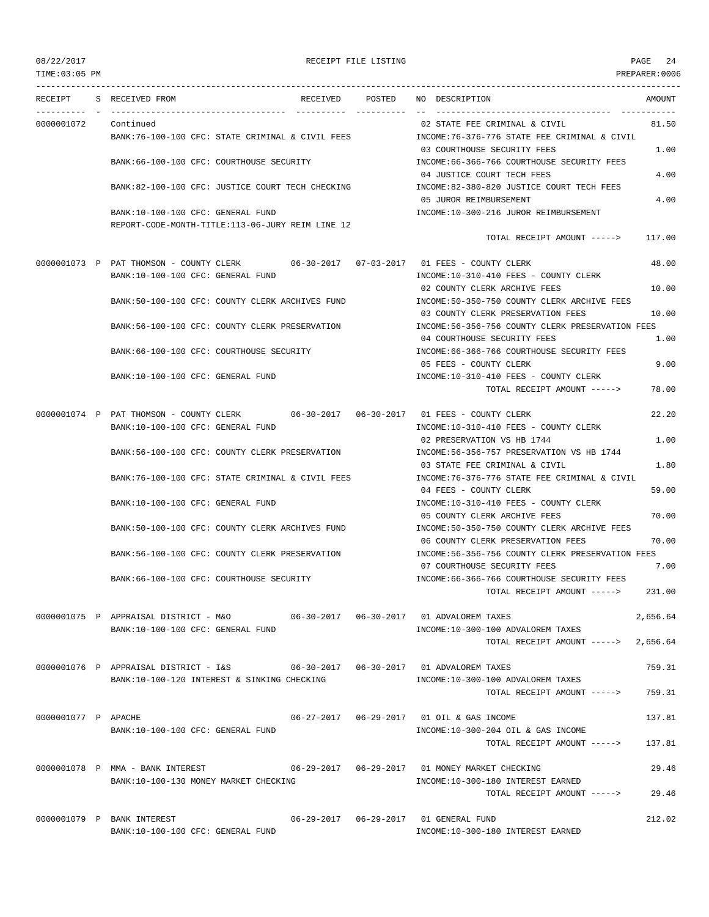TIME:03:05 PM PREPARER:0006 --------------------------------------------------------------------------------------------------------------------------------- RECEIPT S RECEIVED FROM RECEIVED POSTED NO DESCRIPTION AMOUNT ---------- - ----------------------------------- ---------- ---------- -- ----------------------------------- ----------- 0000001072 Continued 02 STATE FEE CRIMINAL & CIVIL 81.50 BANK:76-100-100 CFC: STATE CRIMINAL & CIVIL FEES INCOME:76-376-776 STATE FEE CRIMINAL & CIVIL 03 COURTHOUSE SECURITY FEES 1.00 BANK:66-100-100 CFC: COURTHOUSE SECURITY INCOME:66-366-766 COURTHOUSE SECURITY FEES 04 JUSTICE COURT TECH FEES 4.00 BANK:82-100-100 CFC: JUSTICE COURT TECH CHECKING INCOME:82-380-820 JUSTICE COURT TECH FEES 05 JUROR REIMBURSEMENT 4.00 BANK:10-100-100 CFC: GENERAL FUND INCOME:10-300-216 JUROR REIMBURSEMENT REPORT-CODE-MONTH-TITLE:113-06-JURY REIM LINE 12 TOTAL RECEIPT AMOUNT -----> 117.00 0000001073 P PAT THOMSON - COUNTY CLERK 06-30-2017 07-03-2017 01 FEES - COUNTY CLERK 48.00 BANK:10-100-100 CFC: GENERAL FUND INCOME:10-310-410 FEES - COUNTY CLERK 02 COUNTY CLERK ARCHIVE FEES 10.00 BANK:50-100-100 CFC: COUNTY CLERK ARCHIVES FUND INCOME:50-350-750 COUNTY CLERK ARCHIVE FEES 03 COUNTY CLERK PRESERVATION FEES 10.00 BANK:56-100-100 CFC: COUNTY CLERK PRESERVATION INCOME:56-356-756 COUNTY CLERK PRESERVATION FEES 04 COURTHOUSE SECURITY FEES 1.00 BANK:66-100-100 CFC: COURTHOUSE SECURITY INCOME:66-366-766 COURTHOUSE SECURITY FEES 05 FEES - COUNTY CLERK 9.00 BANK:10-100-100 CFC: GENERAL FUND INCOME:10-310-410 FEES - COUNTY CLERK TOTAL RECEIPT AMOUNT -----> 78.00 0000001074 P PAT THOMSON - COUNTY CLERK 06-30-2017 06-30-2017 01 FEES - COUNTY CLERK 22.20 BANK:10-100-100 CFC: GENERAL FUND INCOME:10-310-410 FEES - COUNTY CLERK 02 PRESERVATION VS HB 1744 1.00 BANK:56-100-100 CFC: COUNTY CLERK PRESERVATION INCOME:56-356-757 PRESERVATION VS HB 1744 03 STATE FEE CRIMINAL & CIVIL 1.80 BANK:76-100-100 CFC: STATE CRIMINAL & CIVIL FEES INCOME:76-376-776 STATE FEE CRIMINAL & CIVIL 04 FEES - COUNTY CLERK 59.00 BANK:10-100-100 CFC: GENERAL FUND INCOME:10-310-410 FEES - COUNTY CLERK 05 COUNTY CLERK ARCHIVE FEES 70.00 BANK:50-100-100 CFC: COUNTY CLERK ARCHIVES FUND INCOME:50-350-750 COUNTY CLERK ARCHIVE FEES 06 COUNTY CLERK PRESERVATION FEES 70.00 BANK:56-100-100 CFC: COUNTY CLERK PRESERVATION INCOME:56-356-756 COUNTY CLERK PRESERVATION FEES 07 COURTHOUSE SECURITY FEES 7.00 BANK:66-100-100 CFC: COURTHOUSE SECURITY INCOME:66-366-766 COURTHOUSE SECURITY FEES TOTAL RECEIPT AMOUNT -----> 231.00 0000001075 P APPRAISAL DISTRICT - M&O 06-30-2017 06-30-2017 01 ADVALOREM TAXES 2,656.64 BANK:10-100-100 CFC: GENERAL FUND **INCOME:10-300-100 ADVALOREM TAXES** TOTAL RECEIPT AMOUNT -----> 2,656.64 0000001076 P APPRAISAL DISTRICT - I&S 06-30-2017 06-30-2017 01 ADVALOREM TAXES 759.31 BANK:10-100-120 INTEREST & SINKING CHECKING INCOME:10-300-100 ADVALOREM TAXES TOTAL RECEIPT AMOUNT -----> 759.31 0000001077 P APACHE 06-27-2017 06-29-2017 01 OIL & GAS INCOME 137.81 BANK:10-100-100 CFC: GENERAL FUND INCOME:10-300-204 OIL & GAS INCOME TOTAL RECEIPT AMOUNT -----> 137.81 0000001078 P MMA - BANK INTEREST 06-29-2017 06-29-2017 01 MONEY MARKET CHECKING 29.46 BANK:10-100-130 MONEY MARKET CHECKING **INCOME:10-300-180 INTEREST EARNED** TOTAL RECEIPT AMOUNT -----> 29.46 0000001079 P BANK INTEREST 06-29-2017 06-29-2017 01 GENERAL FUND 212.02

BANK:10-100-100 CFC: GENERAL FUND INCOME:10-300-180 INTEREST EARNED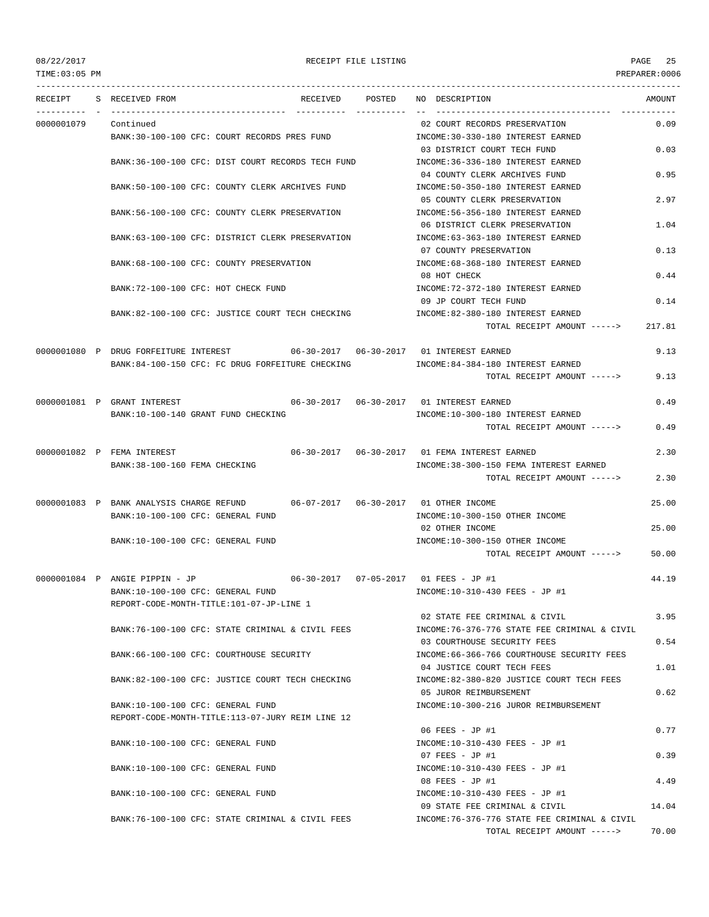TIME:03:05 PM PREPARER:0006

## 08/22/2017 RECEIPT FILE LISTING PAGE 25

| RECEIPT    | S RECEIVED FROM                                                                                                                    | RECEIVED POSTED | NO DESCRIPTION                                                                 | AMOUNT |
|------------|------------------------------------------------------------------------------------------------------------------------------------|-----------------|--------------------------------------------------------------------------------|--------|
| 0000001079 | Continued<br>BANK:30-100-100 CFC: COURT RECORDS PRES FUND                                                                          |                 | 02 COURT RECORDS PRESERVATION<br>INCOME: 30-330-180 INTEREST EARNED            | 0.09   |
|            | BANK:36-100-100 CFC: DIST COURT RECORDS TECH FUND                                                                                  |                 | 03 DISTRICT COURT TECH FUND<br>INCOME: 36-336-180 INTEREST EARNED              | 0.03   |
|            |                                                                                                                                    |                 | 04 COUNTY CLERK ARCHIVES FUND                                                  | 0.95   |
|            | BANK:50-100-100 CFC: COUNTY CLERK ARCHIVES FUND                                                                                    |                 | INCOME: 50-350-180 INTEREST EARNED<br>05 COUNTY CLERK PRESERVATION             | 2.97   |
|            | BANK:56-100-100 CFC: COUNTY CLERK PRESERVATION                                                                                     |                 | INCOME: 56-356-180 INTEREST EARNED<br>06 DISTRICT CLERK PRESERVATION           | 1.04   |
|            | BANK:63-100-100 CFC: DISTRICT CLERK PRESERVATION                                                                                   |                 | INCOME: 63-363-180 INTEREST EARNED<br>07 COUNTY PRESERVATION                   | 0.13   |
|            | BANK:68-100-100 CFC: COUNTY PRESERVATION                                                                                           |                 | INCOME: 68-368-180 INTEREST EARNED<br>08 HOT CHECK                             | 0.44   |
|            | BANK: 72-100-100 CFC: HOT CHECK FUND                                                                                               |                 | INCOME: 72-372-180 INTEREST EARNED<br>09 JP COURT TECH FUND                    | 0.14   |
|            | BANK:82-100-100 CFC: JUSTICE COURT TECH CHECKING                                                                                   |                 | INCOME:82-380-180 INTEREST EARNED<br>TOTAL RECEIPT AMOUNT ----->               | 217.81 |
|            | 0000001080 P DRUG FORFEITURE INTEREST 06-30-2017 06-30-2017 01 INTEREST EARNED<br>BANK:84-100-150 CFC: FC DRUG FORFEITURE CHECKING |                 | INCOME: 84-384-180 INTEREST EARNED                                             | 9.13   |
|            |                                                                                                                                    |                 | TOTAL RECEIPT AMOUNT ----->                                                    | 9.13   |
|            | 0000001081 P GRANT INTEREST                                                                                                        |                 |                                                                                | 0.49   |
|            | BANK:10-100-140 GRANT FUND CHECKING                                                                                                |                 | INCOME:10-300-180 INTEREST EARNED<br>TOTAL RECEIPT AMOUNT ----->               | 0.49   |
|            | 0000001082 P FEMA INTEREST                                                                                                         |                 | 06-30-2017  06-30-2017  01 FEMA INTEREST EARNED                                | 2.30   |
|            | BANK: 38-100-160 FEMA CHECKING                                                                                                     |                 | INCOME: 38-300-150 FEMA INTEREST EARNED<br>TOTAL RECEIPT AMOUNT ----->         | 2.30   |
|            | 0000001083 P BANK ANALYSIS CHARGE REFUND 06-07-2017 06-30-2017 01 OTHER INCOME<br>BANK:10-100-100 CFC: GENERAL FUND                |                 | INCOME:10-300-150 OTHER INCOME                                                 | 25.00  |
|            |                                                                                                                                    |                 | 02 OTHER INCOME                                                                | 25.00  |
|            | BANK:10-100-100 CFC: GENERAL FUND                                                                                                  |                 | INCOME:10-300-150 OTHER INCOME<br>TOTAL RECEIPT AMOUNT ----->                  | 50.00  |
|            | 0000001084 P ANGIE PIPPIN - JP<br>BANK:10-100-100 CFC: GENERAL FUND<br>REPORT-CODE-MONTH-TITLE:101-07-JP-LINE 1                    |                 | 06-30-2017  07-05-2017  01 FEES - JP #1<br>INCOME:10-310-430 FEES - JP #1      | 44.19  |
|            | BANK:76-100-100 CFC: STATE CRIMINAL & CIVIL FEES                                                                                   |                 | 02 STATE FEE CRIMINAL & CIVIL<br>INCOME: 76-376-776 STATE FEE CRIMINAL & CIVIL | 3.95   |
|            | BANK:66-100-100 CFC: COURTHOUSE SECURITY                                                                                           |                 | 03 COURTHOUSE SECURITY FEES<br>INCOME:66-366-766 COURTHOUSE SECURITY FEES      | 0.54   |
|            | BANK:82-100-100 CFC: JUSTICE COURT TECH CHECKING                                                                                   |                 | 04 JUSTICE COURT TECH FEES<br>INCOME:82-380-820 JUSTICE COURT TECH FEES        | 1.01   |
|            | BANK:10-100-100 CFC: GENERAL FUND<br>REPORT-CODE-MONTH-TITLE:113-07-JURY REIM LINE 12                                              |                 | 05 JUROR REIMBURSEMENT<br>INCOME:10-300-216 JUROR REIMBURSEMENT                | 0.62   |
|            | BANK:10-100-100 CFC: GENERAL FUND                                                                                                  |                 | 06 FEES - JP #1<br>INCOME:10-310-430 FEES - JP #1                              | 0.77   |
|            | BANK:10-100-100 CFC: GENERAL FUND                                                                                                  |                 | 07 FEES - JP #1<br>INCOME:10-310-430 FEES - JP #1                              | 0.39   |
|            | BANK:10-100-100 CFC: GENERAL FUND                                                                                                  |                 | 08 FEES - JP #1<br>INCOME:10-310-430 FEES - JP #1                              | 4.49   |
|            | BANK:76-100-100 CFC: STATE CRIMINAL & CIVIL FEES                                                                                   |                 | 09 STATE FEE CRIMINAL & CIVIL<br>INCOME: 76-376-776 STATE FEE CRIMINAL & CIVIL | 14.04  |
|            |                                                                                                                                    |                 | TOTAL RECEIPT AMOUNT ----->                                                    | 70.00  |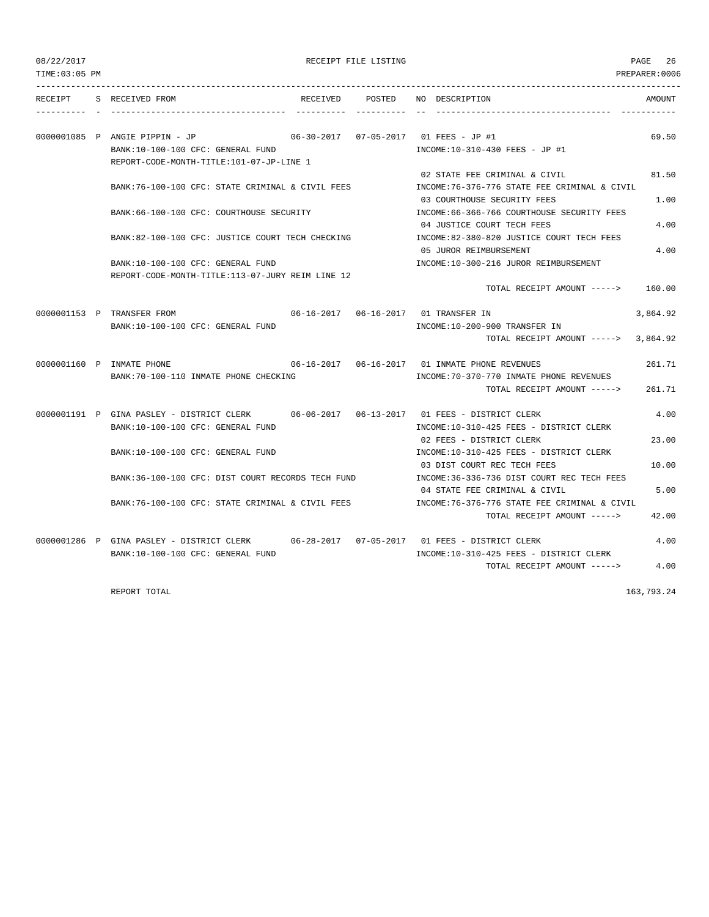RECEIPT FILE LISTING **PAGE 26** 

| TIME: 03:05 PM |                                                                                                                               |          |        | PREPARER:0006                                                                                |          |
|----------------|-------------------------------------------------------------------------------------------------------------------------------|----------|--------|----------------------------------------------------------------------------------------------|----------|
| RECEIPT        | S RECEIVED FROM                                                                                                               | RECEIVED | POSTED | NO DESCRIPTION                                                                               | AMOUNT   |
|                | 0000001085 P ANGIE PIPPIN - JP<br>BANK:10-100-100 CFC: GENERAL FUND<br>REPORT-CODE-MONTH-TITLE:101-07-JP-LINE 1               |          |        | INCOME:10-310-430 FEES - JP #1                                                               | 69.50    |
|                | BANK:76-100-100 CFC: STATE CRIMINAL & CIVIL FEES                                                                              |          |        | 02 STATE FEE CRIMINAL & CIVIL<br>INCOME: 76-376-776 STATE FEE CRIMINAL & CIVIL               | 81.50    |
|                | BANK: 66-100-100 CFC: COURTHOUSE SECURITY                                                                                     |          |        | 03 COURTHOUSE SECURITY FEES<br>INCOME: 66-366-766 COURTHOUSE SECURITY FEES                   | 1.00     |
|                | BANK:82-100-100 CFC: JUSTICE COURT TECH CHECKING                                                                              |          |        | 04 JUSTICE COURT TECH FEES<br>INCOME:82-380-820 JUSTICE COURT TECH FEES                      | 4.00     |
|                | BANK:10-100-100 CFC: GENERAL FUND                                                                                             |          |        | 05 JUROR REIMBURSEMENT<br>INCOME:10-300-216 JUROR REIMBURSEMENT                              | 4.00     |
|                | REPORT-CODE-MONTH-TITLE:113-07-JURY REIM LINE 12                                                                              |          |        | TOTAL RECEIPT AMOUNT ----->                                                                  | 160.00   |
|                | 0000001153 P TRANSFER FROM<br>BANK:10-100-100 CFC: GENERAL FUND                                                               |          |        | INCOME:10-200-900 TRANSFER IN                                                                | 3,864.92 |
|                |                                                                                                                               |          |        | TOTAL RECEIPT AMOUNT $--- 2$ 3,864.92                                                        |          |
|                | 0000001160 P INMATE PHONE<br>BANK: 70-100-110 INMATE PHONE CHECKING                                                           |          |        | 06-16-2017  06-16-2017  01 INMATE PHONE REVENUES<br>INCOME: 70-370-770 INMATE PHONE REVENUES | 261.71   |
|                |                                                                                                                               |          |        | TOTAL RECEIPT AMOUNT ----->                                                                  | 261.71   |
|                | 0000001191 P GINA PASLEY - DISTRICT CLERK 06-06-2017 06-13-2017 01 FEES - DISTRICT CLERK<br>BANK:10-100-100 CFC: GENERAL FUND |          |        | INCOME:10-310-425 FEES - DISTRICT CLERK                                                      | 4.00     |
|                | BANK:10-100-100 CFC: GENERAL FUND                                                                                             |          |        | 02 FEES - DISTRICT CLERK<br>INCOME:10-310-425 FEES - DISTRICT CLERK                          | 23.00    |
|                | BANK:36-100-100 CFC: DIST COURT RECORDS TECH FUND                                                                             |          |        | 03 DIST COURT REC TECH FEES<br>INCOME: 36-336-736 DIST COURT REC TECH FEES                   | 10.00    |
|                | BANK:76-100-100 CFC: STATE CRIMINAL & CIVIL FEES                                                                              |          |        | 04 STATE FEE CRIMINAL & CIVIL<br>INCOME:76-376-776 STATE FEE CRIMINAL & CIVIL                | 5.00     |
|                |                                                                                                                               |          |        | TOTAL RECEIPT AMOUNT ----->                                                                  | 42.00    |
|                | 0000001286 P GINA PASLEY - DISTRICT CLERK 06-28-2017 07-05-2017 01 FEES - DISTRICT CLERK<br>BANK:10-100-100 CFC: GENERAL FUND |          |        | INCOME:10-310-425 FEES - DISTRICT CLERK                                                      | 4.00     |
|                |                                                                                                                               |          |        | TOTAL RECEIPT AMOUNT ----->                                                                  | 4.00     |

REPORT TOTAL 163,793.24